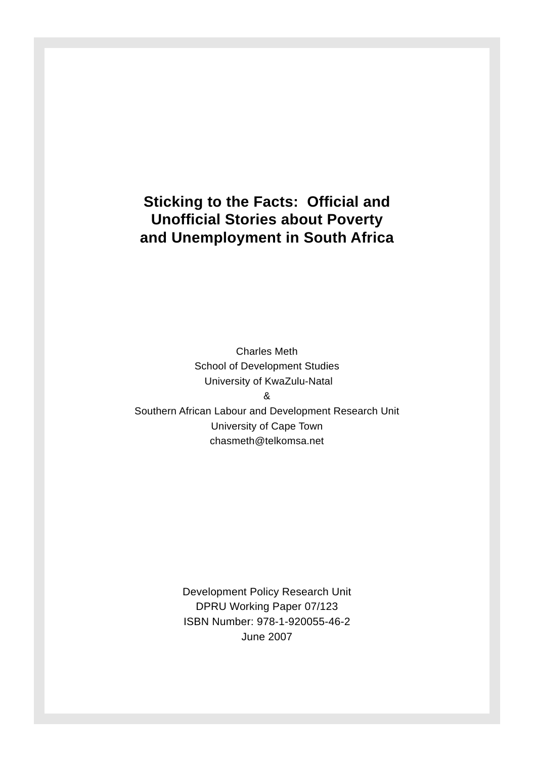## **Sticking to the Facts: Official and Unoffi cial Stories about Poverty and Unemployment in South Africa**

Charles Meth School of Development Studies University of KwaZulu-Natal

&

Southern African Labour and Development Research Unit University of Cape Town chasmeth@telkomsa.net

> Development Policy Research Unit DPRU Working Paper 07/123 ISBN Number: 978-1-920055-46-2 June 2007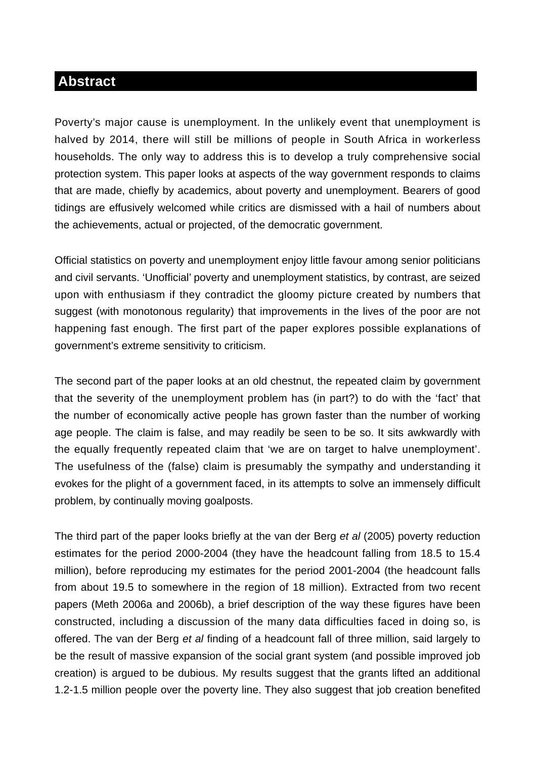### **Abstract**

Poverty's major cause is unemployment. In the unlikely event that unemployment is halved by 2014, there will still be millions of people in South Africa in workerless households. The only way to address this is to develop a truly comprehensive social protection system. This paper looks at aspects of the way government responds to claims that are made, chiefly by academics, about poverty and unemployment. Bearers of good tidings are effusively welcomed while critics are dismissed with a hail of numbers about the achievements, actual or projected, of the democratic government.

Official statistics on poverty and unemployment enjoy little favour among senior politicians and civil servants. 'Unofficial' poverty and unemployment statistics, by contrast, are seized upon with enthusiasm if they contradict the gloomy picture created by numbers that suggest (with monotonous regularity) that improvements in the lives of the poor are not happening fast enough. The first part of the paper explores possible explanations of government's extreme sensitivity to criticism.

The second part of the paper looks at an old chestnut, the repeated claim by government that the severity of the unemployment problem has (in part?) to do with the 'fact' that the number of economically active people has grown faster than the number of working age people. The claim is false, and may readily be seen to be so. It sits awkwardly with the equally frequently repeated claim that 'we are on target to halve unemployment'. The usefulness of the (false) claim is presumably the sympathy and understanding it evokes for the plight of a government faced, in its attempts to solve an immensely difficult problem, by continually moving goalposts.

The third part of the paper looks briefly at the van der Berg *et al* (2005) poverty reduction estimates for the period 2000-2004 (they have the headcount falling from 18.5 to 15.4 million), before reproducing my estimates for the period 2001-2004 (the headcount falls from about 19.5 to somewhere in the region of 18 million). Extracted from two recent papers (Meth 2006a and 2006b), a brief description of the way these figures have been constructed, including a discussion of the many data difficulties faced in doing so, is offered. The van der Berg *et al* finding of a headcount fall of three million, said largely to be the result of massive expansion of the social grant system (and possible improved job creation) is argued to be dubious. My results suggest that the grants lifted an additional 1.2-1.5 million people over the poverty line. They also suggest that job creation benefited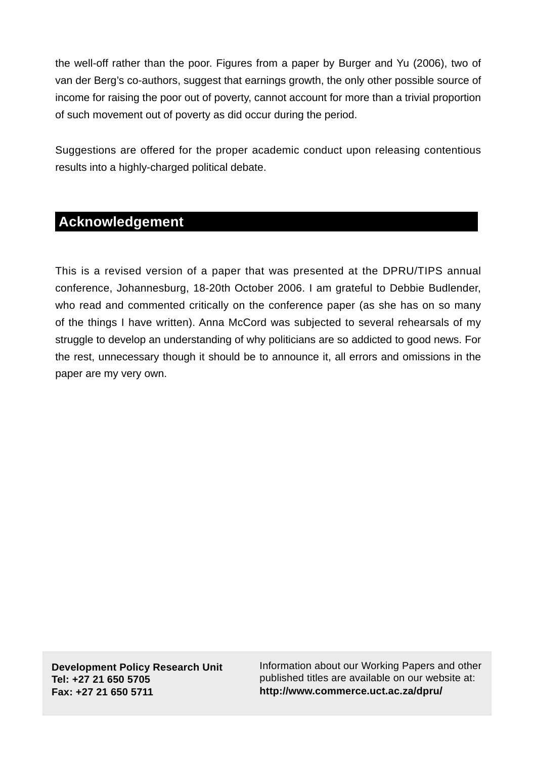the well-off rather than the poor. Figures from a paper by Burger and Yu (2006), two of van der Berg's co-authors, suggest that earnings growth, the only other possible source of income for raising the poor out of poverty, cannot account for more than a trivial proportion of such movement out of poverty as did occur during the period.

Suggestions are offered for the proper academic conduct upon releasing contentious results into a highly-charged political debate.

## **Acknowledgement**

This is a revised version of a paper that was presented at the DPRU/TIPS annual conference, Johannesburg, 18-20th October 2006. I am grateful to Debbie Budlender, who read and commented critically on the conference paper (as she has on so many of the things I have written). Anna McCord was subjected to several rehearsals of my struggle to develop an understanding of why politicians are so addicted to good news. For the rest, unnecessary though it should be to announce it, all errors and omissions in the paper are my very own.

**Development Policy Research Unit Tel: +27 21 650 5705 Fax: +27 21 650 5711**

Information about our Working Papers and other published titles are available on our website at: **http://www.commerce.uct.ac.za/dpru/**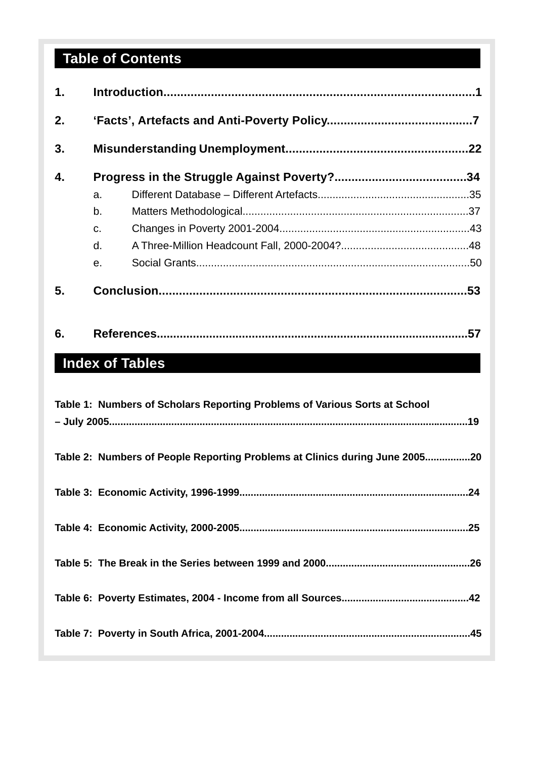# **Table of Contents**

| 1. |    |  |     |  |  |  |  |
|----|----|--|-----|--|--|--|--|
| 2. |    |  |     |  |  |  |  |
| 3. |    |  |     |  |  |  |  |
| 4. |    |  |     |  |  |  |  |
|    | a. |  |     |  |  |  |  |
|    | b. |  |     |  |  |  |  |
|    | C. |  |     |  |  |  |  |
|    | d. |  |     |  |  |  |  |
|    | e. |  |     |  |  |  |  |
| 5. |    |  |     |  |  |  |  |
| 6. |    |  | .57 |  |  |  |  |

## **Index of Tables**

| Table 1: Numbers of Scholars Reporting Problems of Various Sorts at School  |  |
|-----------------------------------------------------------------------------|--|
| Table 2: Numbers of People Reporting Problems at Clinics during June 200520 |  |
|                                                                             |  |
|                                                                             |  |
|                                                                             |  |
|                                                                             |  |
|                                                                             |  |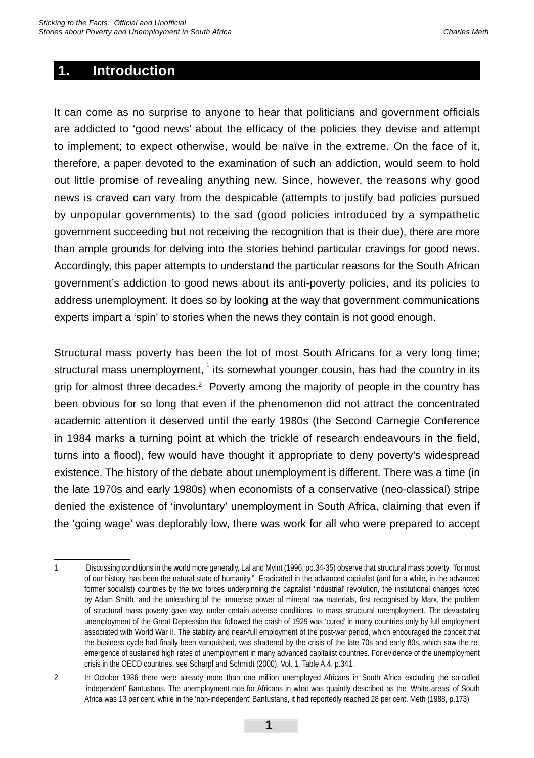## **1. Introduction**

It can come as no surprise to anyone to hear that politicians and government officials are addicted to 'good news' about the efficacy of the policies they devise and attempt to implement; to expect otherwise, would be naïve in the extreme. On the face of it, therefore, a paper devoted to the examination of such an addiction, would seem to hold out little promise of revealing anything new. Since, however, the reasons why good news is craved can vary from the despicable (attempts to justify bad policies pursued by unpopular governments) to the sad (good policies introduced by a sympathetic government succeeding but not receiving the recognition that is their due), there are more than ample grounds for delving into the stories behind particular cravings for good news. Accordingly, this paper attempts to understand the particular reasons for the South African government's addiction to good news about its anti-poverty policies, and its policies to address unemployment. It does so by looking at the way that government communications experts impart a 'spin' to stories when the news they contain is not good enough.

Structural mass poverty has been the lot of most South Africans for a very long time; structural mass unemployment,  $^1$  its somewhat younger cousin, has had the country in its grip for almost three decades.<sup>2</sup> Poverty among the majority of people in the country has been obvious for so long that even if the phenomenon did not attract the concentrated academic attention it deserved until the early 1980s (the Second Carnegie Conference in 1984 marks a turning point at which the trickle of research endeavours in the field, turns into a flood), few would have thought it appropriate to deny poverty's widespread existence. The history of the debate about unemployment is different. There was a time (in the late 1970s and early 1980s) when economists of a conservative (neo-classical) stripe denied the existence of 'involuntary' unemployment in South Africa, claiming that even if the 'going wage' was deplorably low, there was work for all who were prepared to accept

<sup>1</sup> Discussing conditions in the world more generally, Lal and Myint (1996, pp.34-35) observe that structural mass poverty, "for most of our history, has been the natural state of humanity." Eradicated in the advanced capitalist (and for a while, in the advanced former socialist) countries by the two forces underpinning the capitalist 'industrial' revolution, the institutional changes noted by Adam Smith, and the unleashing of the immense power of mineral raw materials, first recognised by Marx, the problem of structural mass poverty gave way, under certain adverse conditions, to mass structural unemployment. The devastating unemployment of the Great Depression that followed the crash of 1929 was 'cured' in many countries only by full employment associated with World War II. The stability and near-full employment of the post-war period, which encouraged the conceit that the business cycle had finally been vanquished, was shattered by the crisis of the late 70s and early 80s, which saw the reemergence of sustained high rates of unemployment in many advanced capitalist countries. For evidence of the unemployment crisis in the OECD countries, see Scharpf and Schmidt (2000), Vol. 1, Table A.4, p.341.

<sup>2</sup> In October 1986 there were already more than one million unemployed Africans in South Africa excluding the so-called 'independent' Bantustans. The unemployment rate for Africans in what was quaintly described as the 'White areas' of South Africa was 13 per cent, while in the 'non-independent' Bantustans, it had reportedly reached 28 per cent. Meth (1988, p.173)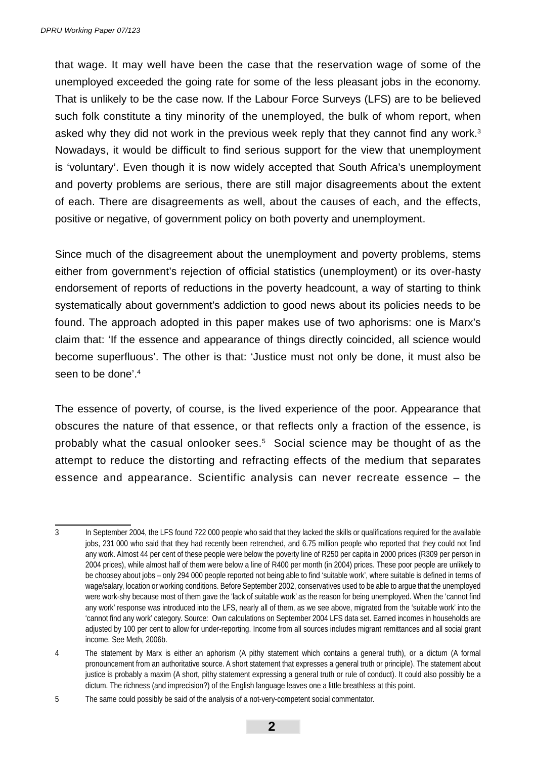that wage. It may well have been the case that the reservation wage of some of the unemployed exceeded the going rate for some of the less pleasant jobs in the economy. That is unlikely to be the case now. If the Labour Force Surveys (LFS) are to be believed such folk constitute a tiny minority of the unemployed, the bulk of whom report, when asked why they did not work in the previous week reply that they cannot find any work. $3$ Nowadays, it would be difficult to find serious support for the view that unemployment is 'voluntary'. Even though it is now widely accepted that South Africa's unemployment and poverty problems are serious, there are still major disagreements about the extent of each. There are disagreements as well, about the causes of each, and the effects, positive or negative, of government policy on both poverty and unemployment.

Since much of the disagreement about the unemployment and poverty problems, stems either from government's rejection of official statistics (unemployment) or its over-hasty endorsement of reports of reductions in the poverty headcount, a way of starting to think systematically about government's addiction to good news about its policies needs to be found. The approach adopted in this paper makes use of two aphorisms: one is Marx's claim that: 'If the essence and appearance of things directly coincided, all science would become superfluous'. The other is that: 'Justice must not only be done, it must also be seen to be done'.<sup>4</sup>

The essence of poverty, of course, is the lived experience of the poor. Appearance that obscures the nature of that essence, or that reflects only a fraction of the essence, is probably what the casual onlooker sees.5 Social science may be thought of as the attempt to reduce the distorting and refracting effects of the medium that separates essence and appearance. Scientific analysis can never recreate essence – the

<sup>3</sup> In September 2004, the LFS found 722 000 people who said that they lacked the skills or qualifications required for the available jobs, 231 000 who said that they had recently been retrenched, and 6.75 million people who reported that they could not find any work. Almost 44 per cent of these people were below the poverty line of R250 per capita in 2000 prices (R309 per person in 2004 prices), while almost half of them were below a line of R400 per month (in 2004) prices. These poor people are unlikely to be choosey about jobs – only 294 000 people reported not being able to find 'suitable work', where suitable is defined in terms of wage/salary, location or working conditions. Before September 2002, conservatives used to be able to argue that the unemployed were work-shy because most of them gave the 'lack of suitable work' as the reason for being unemployed. When the 'cannot find any work' response was introduced into the LFS, nearly all of them, as we see above, migrated from the 'suitable work' into the 'cannot find any work' category. Source: Own calculations on September 2004 LFS data set. Earned incomes in households are adjusted by 100 per cent to allow for under-reporting. Income from all sources includes migrant remittances and all social grant income. See Meth, 2006b.

<sup>4</sup> The statement by Marx is either an aphorism (A pithy statement which contains a general truth), or a dictum (A formal pronouncement from an authoritative source. A short statement that expresses a general truth or principle). The statement about justice is probably a maxim (A short, pithy statement expressing a general truth or rule of conduct). It could also possibly be a dictum. The richness (and imprecision?) of the English language leaves one a little breathless at this point.

<sup>5</sup> The same could possibly be said of the analysis of a not-very-competent social commentator.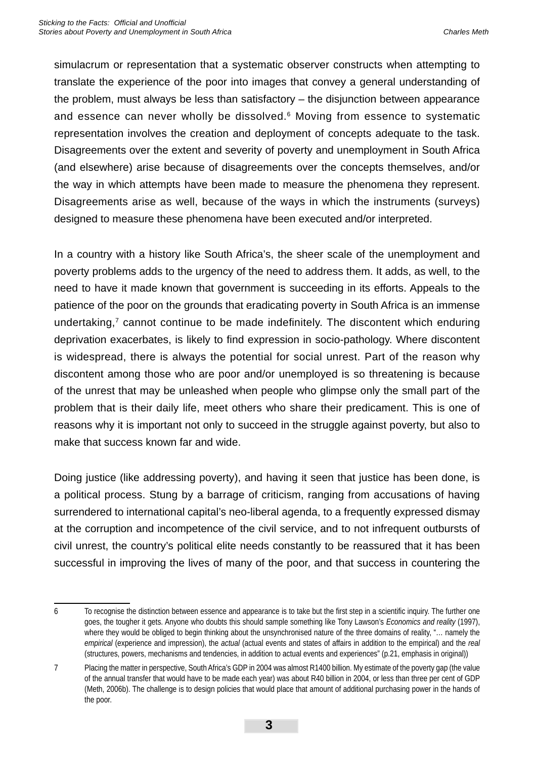simulacrum or representation that a systematic observer constructs when attempting to translate the experience of the poor into images that convey a general understanding of the problem, must always be less than satisfactory – the disjunction between appearance and essence can never wholly be dissolved.<sup>6</sup> Moving from essence to systematic representation involves the creation and deployment of concepts adequate to the task. Disagreements over the extent and severity of poverty and unemployment in South Africa (and elsewhere) arise because of disagreements over the concepts themselves, and/or the way in which attempts have been made to measure the phenomena they represent. Disagreements arise as well, because of the ways in which the instruments (surveys) designed to measure these phenomena have been executed and/or interpreted.

In a country with a history like South Africa's, the sheer scale of the unemployment and poverty problems adds to the urgency of the need to address them. It adds, as well, to the need to have it made known that government is succeeding in its efforts. Appeals to the patience of the poor on the grounds that eradicating poverty in South Africa is an immense undertaking, $7$  cannot continue to be made indefinitely. The discontent which enduring deprivation exacerbates, is likely to find expression in socio-pathology. Where discontent is widespread, there is always the potential for social unrest. Part of the reason why discontent among those who are poor and/or unemployed is so threatening is because of the unrest that may be unleashed when people who glimpse only the small part of the problem that is their daily life, meet others who share their predicament. This is one of reasons why it is important not only to succeed in the struggle against poverty, but also to make that success known far and wide.

Doing justice (like addressing poverty), and having it seen that justice has been done, is a political process. Stung by a barrage of criticism, ranging from accusations of having surrendered to international capital's neo-liberal agenda, to a frequently expressed dismay at the corruption and incompetence of the civil service, and to not infrequent outbursts of civil unrest, the country's political elite needs constantly to be reassured that it has been successful in improving the lives of many of the poor, and that success in countering the

<sup>6</sup> To recognise the distinction between essence and appearance is to take but the first step in a scientific inquiry. The further one goes, the tougher it gets. Anyone who doubts this should sample something like Tony Lawson's *Economics and reality* (1997), where they would be obliged to begin thinking about the unsynchronised nature of the three domains of reality, "... namely the *empirical* (experience and impression), the *actual* (actual events and states of affairs in addition to the empirical) and the *real* (structures, powers, mechanisms and tendencies, in addition to actual events and experiences" (p.21, emphasis in original))

<sup>7</sup> Placing the matter in perspective, South Africa's GDP in 2004 was almost R1400 billion. My estimate of the poverty gap (the value of the annual transfer that would have to be made each year) was about R40 billion in 2004, or less than three per cent of GDP (Meth, 2006b). The challenge is to design policies that would place that amount of additional purchasing power in the hands of the poor.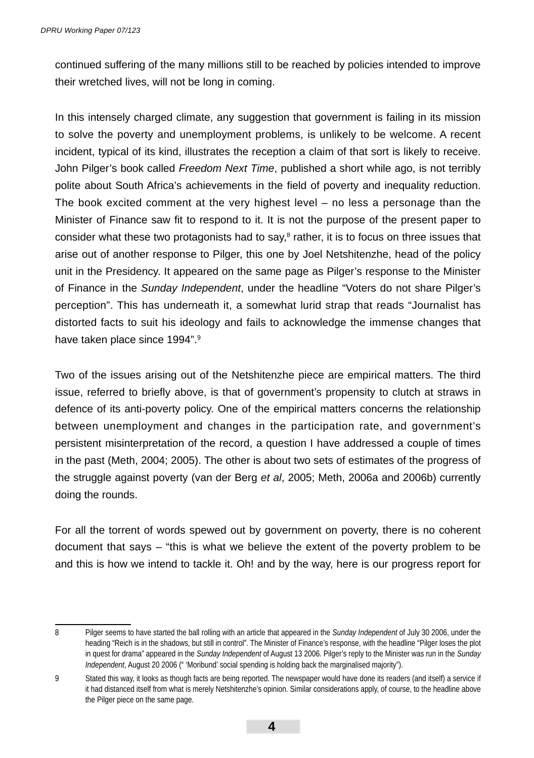continued suffering of the many millions still to be reached by policies intended to improve their wretched lives, will not be long in coming.

In this intensely charged climate, any suggestion that government is failing in its mission to solve the poverty and unemployment problems, is unlikely to be welcome. A recent incident, typical of its kind, illustrates the reception a claim of that sort is likely to receive. John Pilger's book called *Freedom Next Time*, published a short while ago, is not terribly polite about South Africa's achievements in the field of poverty and inequality reduction. The book excited comment at the very highest level – no less a personage than the Minister of Finance saw fit to respond to it. It is not the purpose of the present paper to consider what these two protagonists had to say, $8$  rather, it is to focus on three issues that arise out of another response to Pilger, this one by Joel Netshitenzhe, head of the policy unit in the Presidency. It appeared on the same page as Pilger's response to the Minister of Finance in the *Sunday Independent*, under the headline "Voters do not share Pilger's perception". This has underneath it, a somewhat lurid strap that reads "Journalist has distorted facts to suit his ideology and fails to acknowledge the immense changes that have taken place since 1994".<sup>9</sup>

Two of the issues arising out of the Netshitenzhe piece are empirical matters. The third issue, referred to briefly above, is that of government's propensity to clutch at straws in defence of its anti-poverty policy. One of the empirical matters concerns the relationship between unemployment and changes in the participation rate, and government's persistent misinterpretation of the record, a question I have addressed a couple of times in the past (Meth, 2004; 2005). The other is about two sets of estimates of the progress of the struggle against poverty (van der Berg *et al*, 2005; Meth, 2006a and 2006b) currently doing the rounds.

For all the torrent of words spewed out by government on poverty, there is no coherent document that says – "this is what we believe the extent of the poverty problem to be and this is how we intend to tackle it. Oh! and by the way, here is our progress report for

<sup>8</sup> Pilger seems to have started the ball rolling with an article that appeared in the *Sunday Independent* of July 30 2006, under the heading "Reich is in the shadows, but still in control". The Minister of Finance's response, with the headline "Pilger loses the plot in quest for drama" appeared in the *Sunday Independent* of August 13 2006. Pilger's reply to the Minister was run in the *Sunday Independent*, August 20 2006 (" 'Moribund' social spending is holding back the marginalised majority").

<sup>9</sup> Stated this way, it looks as though facts are being reported. The newspaper would have done its readers (and itself) a service if it had distanced itself from what is merely Netshitenzhe's opinion. Similar considerations apply, of course, to the headline above the Pilger piece on the same page.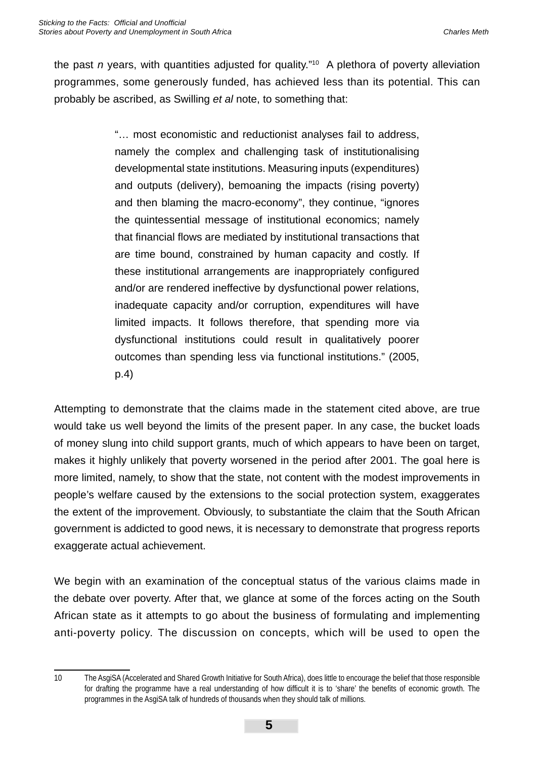the past *n* years, with quantities adjusted for quality."10 A plethora of poverty alleviation programmes, some generously funded, has achieved less than its potential. This can probably be ascribed, as Swilling *et al* note, to something that:

> "… most economistic and reductionist analyses fail to address, namely the complex and challenging task of institutionalising developmental state institutions. Measuring inputs (expenditures) and outputs (delivery), bemoaning the impacts (rising poverty) and then blaming the macro-economy", they continue, "ignores the quintessential message of institutional economics; namely that financial flows are mediated by institutional transactions that are time bound, constrained by human capacity and costly. If these institutional arrangements are inappropriately configured and/or are rendered ineffective by dysfunctional power relations, inadequate capacity and/or corruption, expenditures will have limited impacts. It follows therefore, that spending more via dysfunctional institutions could result in qualitatively poorer outcomes than spending less via functional institutions." (2005, p.4)

Attempting to demonstrate that the claims made in the statement cited above, are true would take us well beyond the limits of the present paper. In any case, the bucket loads of money slung into child support grants, much of which appears to have been on target, makes it highly unlikely that poverty worsened in the period after 2001. The goal here is more limited, namely, to show that the state, not content with the modest improvements in people's welfare caused by the extensions to the social protection system, exaggerates the extent of the improvement. Obviously, to substantiate the claim that the South African government is addicted to good news, it is necessary to demonstrate that progress reports exaggerate actual achievement.

We begin with an examination of the conceptual status of the various claims made in the debate over poverty. After that, we glance at some of the forces acting on the South African state as it attempts to go about the business of formulating and implementing anti-poverty policy. The discussion on concepts, which will be used to open the

<sup>10</sup> The AsgiSA (Accelerated and Shared Growth Initiative for South Africa), does little to encourage the belief that those responsible for drafting the programme have a real understanding of how difficult it is to 'share' the benefits of economic growth. The programmes in the AsgiSA talk of hundreds of thousands when they should talk of millions.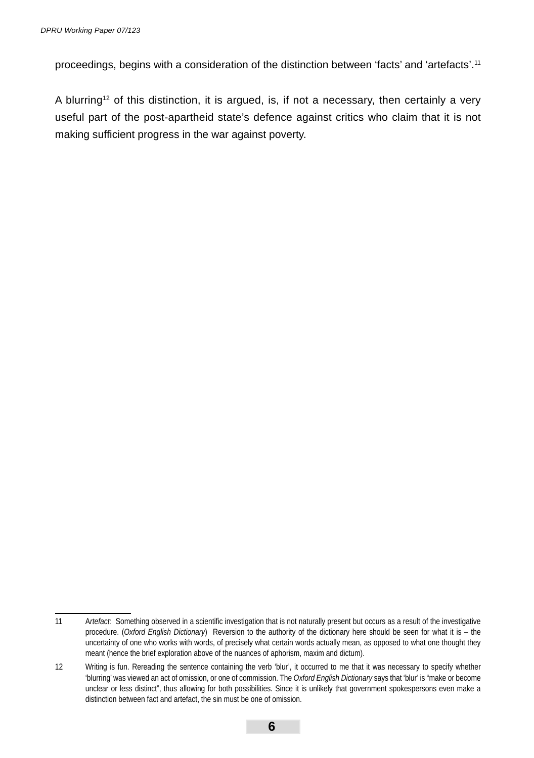proceedings, begins with a consideration of the distinction between 'facts' and 'artefacts'.<sup>11</sup>

A blurring<sup>12</sup> of this distinction, it is argued, is, if not a necessary, then certainly a very useful part of the post-apartheid state's defence against critics who claim that it is not making sufficient progress in the war against poverty.

<sup>11</sup> A*rtefact:* Something observed in a scientific investigation that is not naturally present but occurs as a result of the investigative procedure. (*Oxford English Dictionary*) Reversion to the authority of the dictionary here should be seen for what it is – the uncertainty of one who works with words, of precisely what certain words actually mean, as opposed to what one thought they meant (hence the brief exploration above of the nuances of aphorism, maxim and dictum).

<sup>12</sup> Writing is fun. Rereading the sentence containing the verb 'blur', it occurred to me that it was necessary to specify whether 'blurring' was viewed an act of omission, or one of commission. The *Oxford English Dictionary* says that 'blur' is "make or become unclear or less distinct", thus allowing for both possibilities. Since it is unlikely that government spokespersons even make a distinction between fact and artefact, the sin must be one of omission.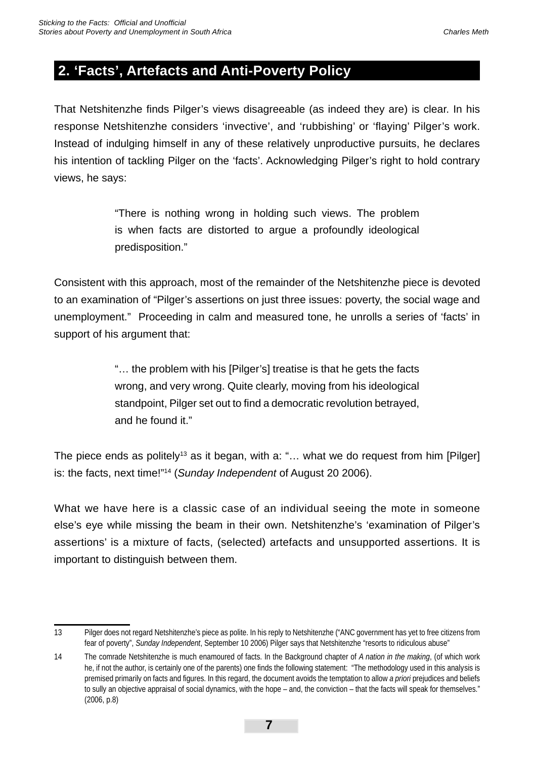## **2. 'Facts', Artefacts and Anti-Poverty Policy**

That Netshitenzhe finds Pilger's views disagreeable (as indeed they are) is clear. In his response Netshitenzhe considers 'invective', and 'rubbishing' or 'flaying' Pilger's work. Instead of indulging himself in any of these relatively unproductive pursuits, he declares his intention of tackling Pilger on the 'facts'. Acknowledging Pilger's right to hold contrary views, he says:

> "There is nothing wrong in holding such views. The problem is when facts are distorted to argue a profoundly ideological predisposition."

Consistent with this approach, most of the remainder of the Netshitenzhe piece is devoted to an examination of "Pilger's assertions on just three issues: poverty, the social wage and unemployment." Proceeding in calm and measured tone, he unrolls a series of 'facts' in support of his argument that:

> "… the problem with his [Pilger's] treatise is that he gets the facts wrong, and very wrong. Quite clearly, moving from his ideological standpoint, Pilger set out to find a democratic revolution betrayed, and he found it."

The piece ends as politely<sup>13</sup> as it began, with a: "... what we do request from him [Pilger] is: the facts, next time!"14 (*Sunday Independent* of August 20 2006).

What we have here is a classic case of an individual seeing the mote in someone else's eye while missing the beam in their own. Netshitenzhe's 'examination of Pilger's assertions' is a mixture of facts, (selected) artefacts and unsupported assertions. It is important to distinguish between them.

<sup>13</sup> Pilger does not regard Netshitenzhe's piece as polite. In his reply to Netshitenzhe ("ANC government has yet to free citizens from fear of poverty", *Sunday Independent*, September 10 2006) Pilger says that Netshitenzhe "resorts to ridiculous abuse"

<sup>14</sup> The comrade Netshitenzhe is much enamoured of facts. In the Background chapter of *A nation in the making*, (of which work he, if not the author, is certainly one of the parents) one finds the following statement: "The methodology used in this analysis is premised primarily on facts and figures. In this regard, the document avoids the temptation to allow *a priori* prejudices and beliefs to sully an objective appraisal of social dynamics, with the hope – and, the conviction – that the facts will speak for themselves." (2006, p.8)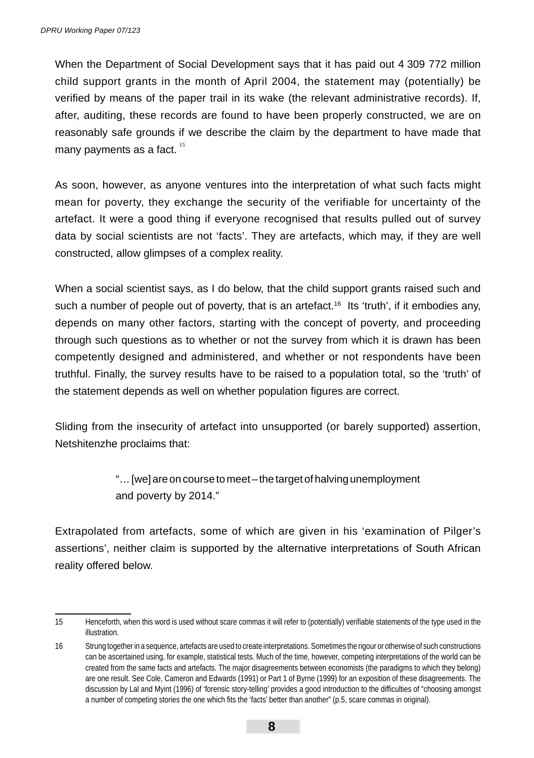When the Department of Social Development says that it has paid out 4 309 772 million child support grants in the month of April 2004, the statement may (potentially) be verified by means of the paper trail in its wake (the relevant administrative records). If, after, auditing, these records are found to have been properly constructed, we are on reasonably safe grounds if we describe the claim by the department to have made that many payments as a fact.  $15$ 

As soon, however, as anyone ventures into the interpretation of what such facts might mean for poverty, they exchange the security of the verifiable for uncertainty of the artefact. It were a good thing if everyone recognised that results pulled out of survey data by social scientists are not 'facts'. They are artefacts, which may, if they are well constructed, allow glimpses of a complex reality.

When a social scientist says, as I do below, that the child support grants raised such and such a number of people out of poverty, that is an artefact.<sup>16</sup> Its 'truth', if it embodies any, depends on many other factors, starting with the concept of poverty, and proceeding through such questions as to whether or not the survey from which it is drawn has been competently designed and administered, and whether or not respondents have been truthful. Finally, the survey results have to be raised to a population total, so the 'truth' of the statement depends as well on whether population figures are correct.

Sliding from the insecurity of artefact into unsupported (or barely supported) assertion, Netshitenzhe proclaims that:

> "… [we] are on course to meet – the target of halving unemployment and poverty by 2014."

Extrapolated from artefacts, some of which are given in his 'examination of Pilger's assertions', neither claim is supported by the alternative interpretations of South African reality offered below.

<sup>15</sup> Henceforth, when this word is used without scare commas it will refer to (potentially) verifiable statements of the type used in the illustration.

<sup>16</sup> Strung together in a sequence, artefacts are used to create interpretations. Sometimes the rigour or otherwise of such constructions can be ascertained using, for example, statistical tests. Much of the time, however, competing interpretations of the world can be created from the same facts and artefacts. The major disagreements between economists (the paradigms to which they belong) are one result. See Cole, Cameron and Edwards (1991) or Part 1 of Byrne (1999) for an exposition of these disagreements. The discussion by Lal and Myint (1996) of 'forensic story-telling' provides a good introduction to the difficulties of "choosing amongst a number of competing stories the one which fits the 'facts' better than another" (p.5, scare commas in original).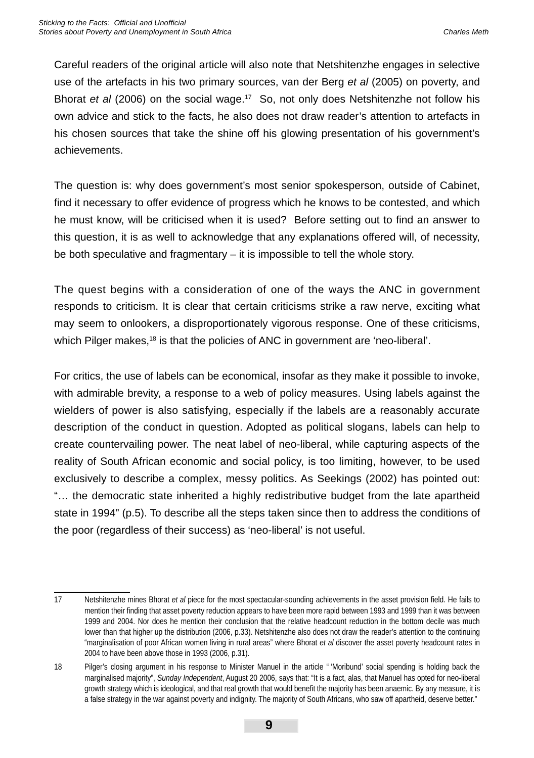Careful readers of the original article will also note that Netshitenzhe engages in selective use of the artefacts in his two primary sources, van der Berg *et al* (2005) on poverty, and Bhorat *et al* (2006) on the social wage.17 So, not only does Netshitenzhe not follow his own advice and stick to the facts, he also does not draw reader's attention to artefacts in his chosen sources that take the shine off his glowing presentation of his government's achievements.

The question is: why does government's most senior spokesperson, outside of Cabinet, find it necessary to offer evidence of progress which he knows to be contested, and which he must know, will be criticised when it is used? Before setting out to find an answer to this question, it is as well to acknowledge that any explanations offered will, of necessity, be both speculative and fragmentary – it is impossible to tell the whole story.

The quest begins with a consideration of one of the ways the ANC in government responds to criticism. It is clear that certain criticisms strike a raw nerve, exciting what may seem to onlookers, a disproportionately vigorous response. One of these criticisms, which Pilger makes,<sup>18</sup> is that the policies of ANC in government are 'neo-liberal'.

For critics, the use of labels can be economical, insofar as they make it possible to invoke, with admirable brevity, a response to a web of policy measures. Using labels against the wielders of power is also satisfying, especially if the labels are a reasonably accurate description of the conduct in question. Adopted as political slogans, labels can help to create countervailing power. The neat label of neo-liberal, while capturing aspects of the reality of South African economic and social policy, is too limiting, however, to be used exclusively to describe a complex, messy politics. As Seekings (2002) has pointed out: "… the democratic state inherited a highly redistributive budget from the late apartheid state in 1994" (p.5). To describe all the steps taken since then to address the conditions of the poor (regardless of their success) as 'neo-liberal' is not useful.

<sup>17</sup> Netshitenzhe mines Bhorat *et al* piece for the most spectacular-sounding achievements in the asset provision field. He fails to mention their finding that asset poverty reduction appears to have been more rapid between 1993 and 1999 than it was between 1999 and 2004. Nor does he mention their conclusion that the relative headcount reduction in the bottom decile was much lower than that higher up the distribution (2006, p.33). Netshitenzhe also does not draw the reader's attention to the continuing "marginalisation of poor African women living in rural areas" where Bhorat *et al* discover the asset poverty headcount rates in 2004 to have been above those in 1993 (2006, p.31).

<sup>18</sup> Pilger's closing argument in his response to Minister Manuel in the article " 'Moribund' social spending is holding back the marginalised majority", *Sunday Independent*, August 20 2006, says that: "It is a fact, alas, that Manuel has opted for neo-liberal growth strategy which is ideological, and that real growth that would benefit the majority has been anaemic. By any measure, it is a false strategy in the war against poverty and indignity. The majority of South Africans, who saw off apartheid, deserve better."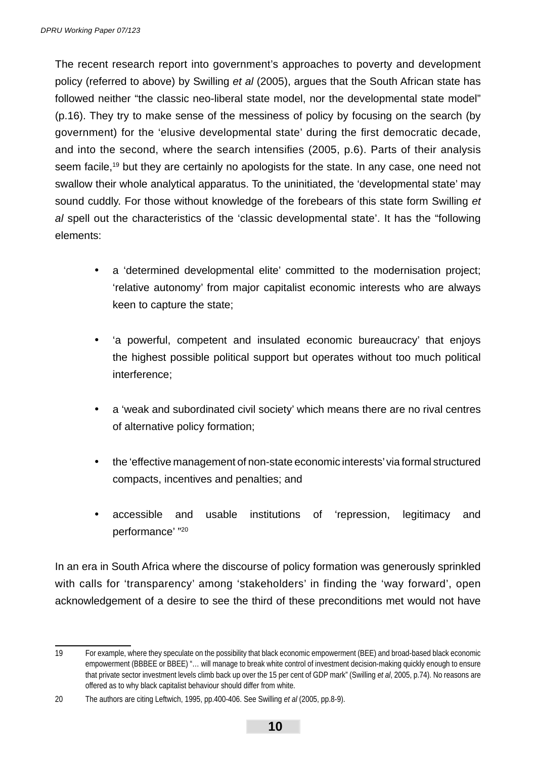The recent research report into government's approaches to poverty and development policy (referred to above) by Swilling *et al* (2005), argues that the South African state has followed neither "the classic neo-liberal state model, nor the developmental state model" (p.16). They try to make sense of the messiness of policy by focusing on the search (by government) for the 'elusive developmental state' during the first democratic decade, and into the second, where the search intensifies (2005, p.6). Parts of their analysis seem facile,<sup>19</sup> but they are certainly no apologists for the state. In any case, one need not swallow their whole analytical apparatus. To the uninitiated, the 'developmental state' may sound cuddly. For those without knowledge of the forebears of this state form Swilling *et al* spell out the characteristics of the 'classic developmental state'. It has the "following elements:

- a 'determined developmental elite' committed to the modernisation project; 'relative autonomy' from major capitalist economic interests who are always keen to capture the state;
- 'a powerful, competent and insulated economic bureaucracy' that enjoys the highest possible political support but operates without too much political interference;
- a 'weak and subordinated civil society' which means there are no rival centres of alternative policy formation;
- the 'effective management of non-state economic interests' via formal structured compacts, incentives and penalties; and
- accessible and usable institutions of 'repression, legitimacy and performance' "20

In an era in South Africa where the discourse of policy formation was generously sprinkled with calls for 'transparency' among 'stakeholders' in finding the 'way forward', open acknowledgement of a desire to see the third of these preconditions met would not have

<sup>19</sup> For example, where they speculate on the possibility that black economic empowerment (BEE) and broad-based black economic empowerment (BBBEE or BBEE) "… will manage to break white control of investment decision-making quickly enough to ensure that private sector investment levels climb back up over the 15 per cent of GDP mark" (Swilling *et al*, 2005, p.74). No reasons are offered as to why black capitalist behaviour should differ from white.

<sup>20</sup> The authors are citing Leftwich, 1995, pp.400-406. See Swilling *et al* (2005, pp.8-9).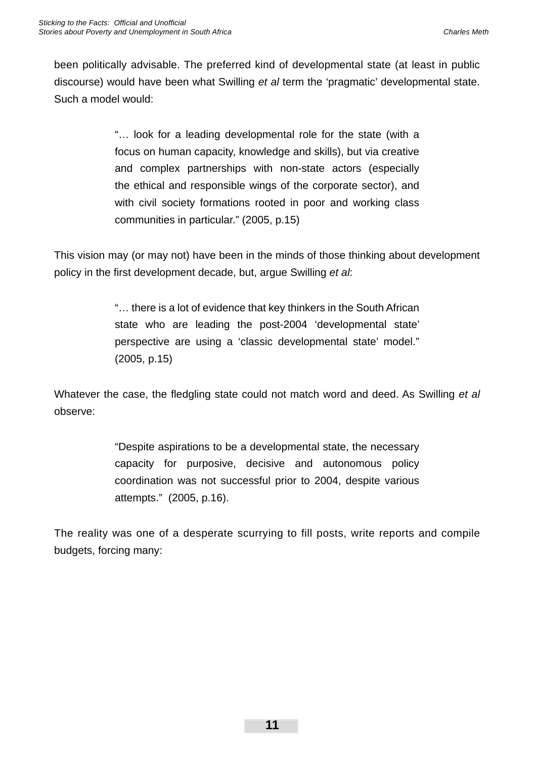been politically advisable. The preferred kind of developmental state (at least in public discourse) would have been what Swilling *et al* term the 'pragmatic' developmental state. Such a model would:

> "… look for a leading developmental role for the state (with a focus on human capacity, knowledge and skills), but via creative and complex partnerships with non-state actors (especially the ethical and responsible wings of the corporate sector), and with civil society formations rooted in poor and working class communities in particular." (2005, p.15)

This vision may (or may not) have been in the minds of those thinking about development policy in the first development decade, but, argue Swilling *et al:* 

> "… there is a lot of evidence that key thinkers in the South African state who are leading the post-2004 'developmental state' perspective are using a 'classic developmental state' model." (2005, p.15)

Whatever the case, the fledgling state could not match word and deed. As Swilling *et al* observe:

> "Despite aspirations to be a developmental state, the necessary capacity for purposive, decisive and autonomous policy coordination was not successful prior to 2004, despite various attempts." (2005, p.16).

The reality was one of a desperate scurrying to fill posts, write reports and compile budgets, forcing many: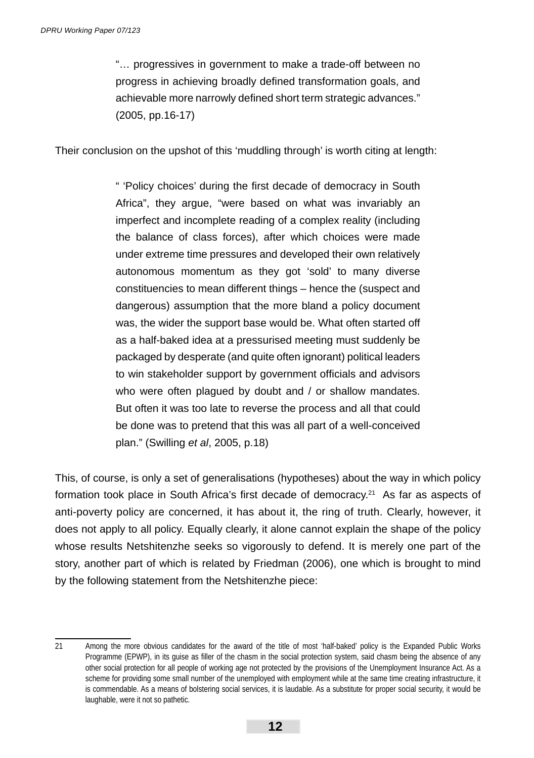"… progressives in government to make a trade-off between no progress in achieving broadly defined transformation goals, and achievable more narrowly defined short term strategic advances." (2005, pp.16-17)

Their conclusion on the upshot of this 'muddling through' is worth citing at length:

" 'Policy choices' during the first decade of democracy in South Africa", they argue, "were based on what was invariably an imperfect and incomplete reading of a complex reality (including the balance of class forces), after which choices were made under extreme time pressures and developed their own relatively autonomous momentum as they got 'sold' to many diverse constituencies to mean different things – hence the (suspect and dangerous) assumption that the more bland a policy document was, the wider the support base would be. What often started off as a half-baked idea at a pressurised meeting must suddenly be packaged by desperate (and quite often ignorant) political leaders to win stakeholder support by government officials and advisors who were often plagued by doubt and / or shallow mandates. But often it was too late to reverse the process and all that could be done was to pretend that this was all part of a well-conceived plan." (Swilling *et al*, 2005, p.18)

This, of course, is only a set of generalisations (hypotheses) about the way in which policy formation took place in South Africa's first decade of democracy.<sup>21</sup> As far as aspects of anti-poverty policy are concerned, it has about it, the ring of truth. Clearly, however, it does not apply to all policy. Equally clearly, it alone cannot explain the shape of the policy whose results Netshitenzhe seeks so vigorously to defend. It is merely one part of the story, another part of which is related by Friedman (2006), one which is brought to mind by the following statement from the Netshitenzhe piece:

<sup>21</sup> Among the more obvious candidates for the award of the title of most 'half-baked' policy is the Expanded Public Works Programme (EPWP), in its guise as filler of the chasm in the social protection system, said chasm being the absence of any other social protection for all people of working age not protected by the provisions of the Unemployment Insurance Act. As a scheme for providing some small number of the unemployed with employment while at the same time creating infrastructure, it is commendable. As a means of bolstering social services, it is laudable. As a substitute for proper social security, it would be laughable, were it not so pathetic.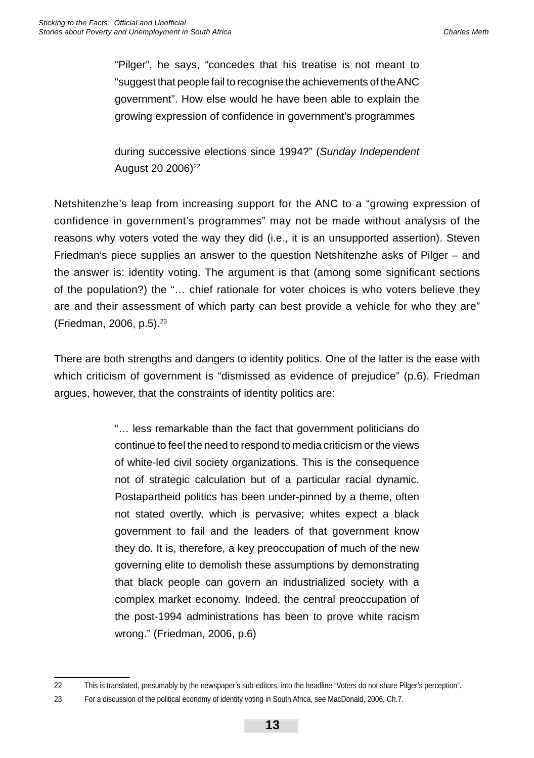"Pilger", he says, "concedes that his treatise is not meant to "suggest that people fail to recognise the achievements of the ANC government". How else would he have been able to explain the growing expression of confidence in government's programmes

during successive elections since 1994?" (*Sunday Independent* August 20 2006)<sup>22</sup>

Netshitenzhe's leap from increasing support for the ANC to a "growing expression of confidence in government's programmes" may not be made without analysis of the reasons why voters voted the way they did (i.e., it is an unsupported assertion). Steven Friedman's piece supplies an answer to the question Netshitenzhe asks of Pilger – and the answer is: identity voting. The argument is that (among some significant sections of the population?) the "… chief rationale for voter choices is who voters believe they are and their assessment of which party can best provide a vehicle for who they are" (Friedman, 2006, p.5).23

There are both strengths and dangers to identity politics. One of the latter is the ease with which criticism of government is "dismissed as evidence of prejudice" (p.6). Friedman argues, however, that the constraints of identity politics are:

> "… less remarkable than the fact that government politicians do continue to feel the need to respond to media criticism or the views of white-led civil society organizations. This is the consequence not of strategic calculation but of a particular racial dynamic. Postapartheid politics has been under-pinned by a theme, often not stated overtly, which is pervasive; whites expect a black government to fail and the leaders of that government know they do. It is, therefore, a key preoccupation of much of the new governing elite to demolish these assumptions by demonstrating that black people can govern an industrialized society with a complex market economy. Indeed, the central preoccupation of the post-1994 administrations has been to prove white racism wrong." (Friedman, 2006, p.6)

<sup>22</sup> This is translated, presumably by the newspaper's sub-editors, into the headline "Voters do not share Pilger's perception".

<sup>23</sup> For a discussion of the political economy of identity voting in South Africa, see MacDonald, 2006, Ch.7.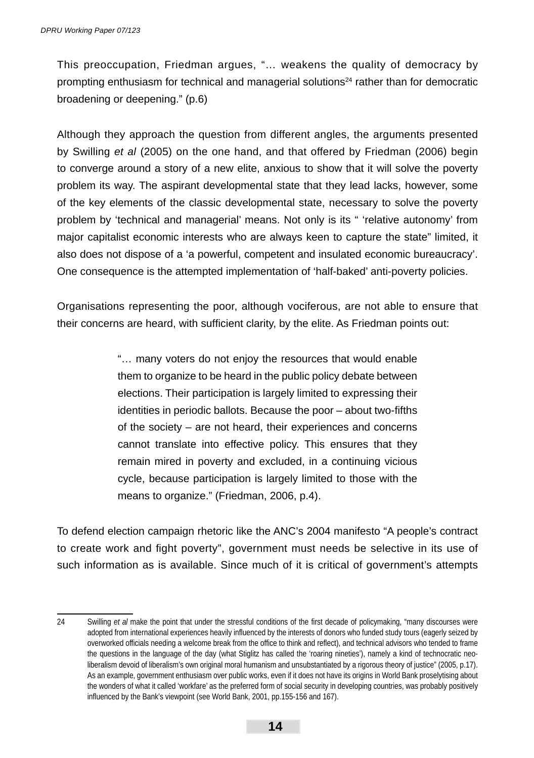This preoccupation, Friedman argues, "… weakens the quality of democracy by prompting enthusiasm for technical and managerial solutions<sup>24</sup> rather than for democratic broadening or deepening." (p.6)

Although they approach the question from different angles, the arguments presented by Swilling *et al* (2005) on the one hand, and that offered by Friedman (2006) begin to converge around a story of a new elite, anxious to show that it will solve the poverty problem its way. The aspirant developmental state that they lead lacks, however, some of the key elements of the classic developmental state, necessary to solve the poverty problem by 'technical and managerial' means. Not only is its " 'relative autonomy' from major capitalist economic interests who are always keen to capture the state" limited, it also does not dispose of a 'a powerful, competent and insulated economic bureaucracy'. One consequence is the attempted implementation of 'half-baked' anti-poverty policies.

Organisations representing the poor, although vociferous, are not able to ensure that their concerns are heard, with sufficient clarity, by the elite. As Friedman points out:

> "… many voters do not enjoy the resources that would enable them to organize to be heard in the public policy debate between elections. Their participation is largely limited to expressing their identities in periodic ballots. Because the poor – about two-fifths of the society – are not heard, their experiences and concerns cannot translate into effective policy. This ensures that they remain mired in poverty and excluded, in a continuing vicious cycle, because participation is largely limited to those with the means to organize." (Friedman, 2006, p.4).

To defend election campaign rhetoric like the ANC's 2004 manifesto "A people's contract to create work and fight poverty", government must needs be selective in its use of such information as is available. Since much of it is critical of government's attempts

<sup>24</sup> Swilling *et al* make the point that under the stressful conditions of the first decade of policymaking, "many discourses were adopted from international experiences heavily influenced by the interests of donors who funded study tours (eagerly seized by overworked officials needing a welcome break from the office to think and reflect), and technical advisors who tended to frame the questions in the language of the day (what Stiglitz has called the 'roaring nineties'), namely a kind of technocratic neoliberalism devoid of liberalism's own original moral humanism and unsubstantiated by a rigorous theory of justice" (2005, p.17). As an example, government enthusiasm over public works, even if it does not have its origins in World Bank proselytising about the wonders of what it called 'workfare' as the preferred form of social security in developing countries, was probably positively influenced by the Bank's viewpoint (see World Bank, 2001, pp.155-156 and 167).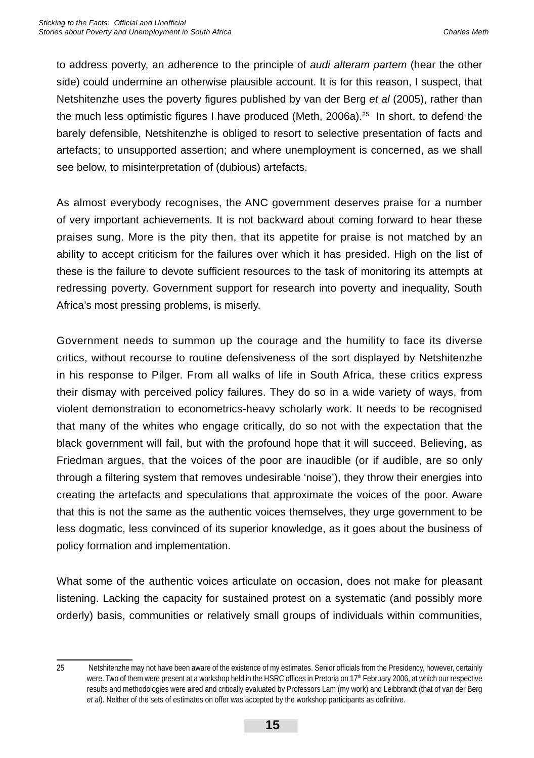to address poverty, an adherence to the principle of *audi alteram partem* (hear the other side) could undermine an otherwise plausible account. It is for this reason, I suspect, that Netshitenzhe uses the poverty figures published by van der Berg *et al* (2005), rather than the much less optimistic figures I have produced (Meth, 2006a).<sup>25</sup> In short, to defend the barely defensible, Netshitenzhe is obliged to resort to selective presentation of facts and artefacts; to unsupported assertion; and where unemployment is concerned, as we shall see below, to misinterpretation of (dubious) artefacts.

As almost everybody recognises, the ANC government deserves praise for a number of very important achievements. It is not backward about coming forward to hear these praises sung. More is the pity then, that its appetite for praise is not matched by an ability to accept criticism for the failures over which it has presided. High on the list of these is the failure to devote sufficient resources to the task of monitoring its attempts at redressing poverty. Government support for research into poverty and inequality, South Africa's most pressing problems, is miserly.

Government needs to summon up the courage and the humility to face its diverse critics, without recourse to routine defensiveness of the sort displayed by Netshitenzhe in his response to Pilger. From all walks of life in South Africa, these critics express their dismay with perceived policy failures. They do so in a wide variety of ways, from violent demonstration to econometrics-heavy scholarly work. It needs to be recognised that many of the whites who engage critically, do so not with the expectation that the black government will fail, but with the profound hope that it will succeed. Believing, as Friedman argues, that the voices of the poor are inaudible (or if audible, are so only through a filtering system that removes undesirable 'noise'), they throw their energies into creating the artefacts and speculations that approximate the voices of the poor. Aware that this is not the same as the authentic voices themselves, they urge government to be less dogmatic, less convinced of its superior knowledge, as it goes about the business of policy formation and implementation.

What some of the authentic voices articulate on occasion, does not make for pleasant listening. Lacking the capacity for sustained protest on a systematic (and possibly more orderly) basis, communities or relatively small groups of individuals within communities,

<sup>25</sup> Netshitenzhe may not have been aware of the existence of my estimates. Senior officials from the Presidency, however, certainly were. Two of them were present at a workshop held in the HSRC offices in Pretoria on 17<sup>th</sup> February 2006, at which our respective results and methodologies were aired and critically evaluated by Professors Lam (my work) and Leibbrandt (that of van der Berg *et al*). Neither of the sets of estimates on offer was accepted by the workshop participants as definitive.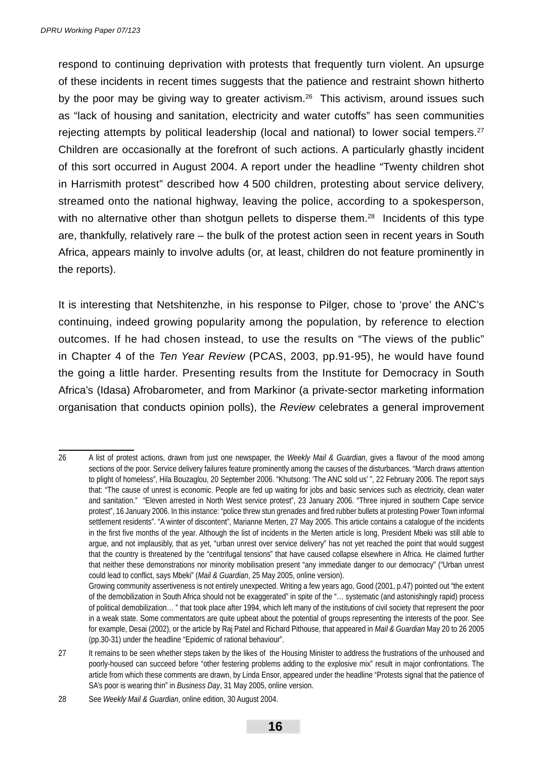respond to continuing deprivation with protests that frequently turn violent. An upsurge of these incidents in recent times suggests that the patience and restraint shown hitherto by the poor may be giving way to greater activism.<sup>26</sup> This activism, around issues such as "lack of housing and sanitation, electricity and water cutoffs" has seen communities rejecting attempts by political leadership (local and national) to lower social tempers.<sup>27</sup> Children are occasionally at the forefront of such actions. A particularly ghastly incident of this sort occurred in August 2004. A report under the headline "Twenty children shot in Harrismith protest" described how 4 500 children, protesting about service delivery, streamed onto the national highway, leaving the police, according to a spokesperson, with no alternative other than shotgun pellets to disperse them.<sup>28</sup> Incidents of this type are, thankfully, relatively rare – the bulk of the protest action seen in recent years in South Africa, appears mainly to involve adults (or, at least, children do not feature prominently in the reports).

It is interesting that Netshitenzhe, in his response to Pilger, chose to 'prove' the ANC's continuing, indeed growing popularity among the population, by reference to election outcomes. If he had chosen instead, to use the results on "The views of the public" in Chapter 4 of the *Ten Year Review* (PCAS, 2003, pp.91-95), he would have found the going a little harder. Presenting results from the Institute for Democracy in South Africa's (Idasa) Afrobarometer, and from Markinor (a private-sector marketing information organisation that conducts opinion polls), the *Review* celebrates a general improvement

<sup>26</sup> A list of protest actions, drawn from just one newspaper, the *Weekly Mail & Guardian*, gives a flavour of the mood among sections of the poor. Service delivery failures feature prominently among the causes of the disturbances. "March draws attention to plight of homeless", Hila Bouzaglou, 20 September 2006. "Khutsong: 'The ANC sold us' ", 22 February 2006. The report says that: "The cause of unrest is economic. People are fed up waiting for jobs and basic services such as electricity, clean water and sanitation." "Eleven arrested in North West service protest", 23 January 2006. "Three injured in southern Cape service protest", 16 January 2006. In this instance: "police threw stun grenades and fired rubber bullets at protesting Power Town informal settlement residents". "A winter of discontent", Marianne Merten, 27 May 2005. This article contains a catalogue of the incidents in the first five months of the year. Although the list of incidents in the Merten article is long, President Mbeki was still able to argue, and not implausibly, that as yet, "urban unrest over service delivery" has not yet reached the point that would suggest that the country is threatened by the "centrifugal tensions" that have caused collapse elsewhere in Africa. He claimed further that neither these demonstrations nor minority mobilisation present "any immediate danger to our democracy" ("Urban unrest could lead to conflict, says Mbeki" (*Mail & Guardian*, 25 May 2005, online version). Growing community assertiveness is not entirely unexpected. Writing a few years ago, Good (2001, p.47) pointed out "the extent

of the demobilization in South Africa should not be exaggerated" in spite of the "… systematic (and astonishingly rapid) process of political demobilization… " that took place after 1994, which left many of the institutions of civil society that represent the poor in a weak state. Some commentators are quite upbeat about the potential of groups representing the interests of the poor. See for example, Desai (2002), or the article by Raj Patel and Richard Pithouse, that appeared in *Mail & Guardian* May 20 to 26 2005 (pp.30-31) under the headline "Epidemic of rational behaviour".

<sup>27</sup> It remains to be seen whether steps taken by the likes of the Housing Minister to address the frustrations of the unhoused and poorly-housed can succeed before "other festering problems adding to the explosive mix" result in major confrontations. The article from which these comments are drawn, by Linda Ensor, appeared under the headline "Protests signal that the patience of SA's poor is wearing thin" in *Business Day*, 31 May 2005, online version.

<sup>28</sup> See *Weekly Mail & Guardian*, online edition, 30 August 2004.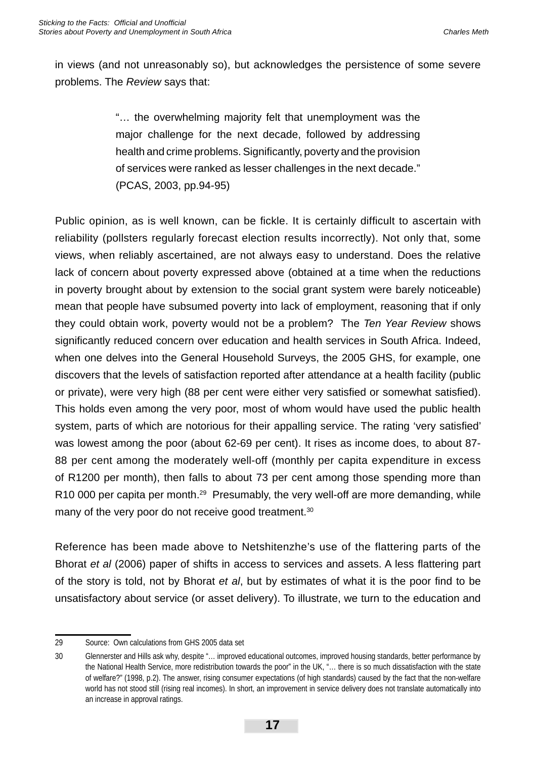in views (and not unreasonably so), but acknowledges the persistence of some severe problems. The *Review* says that:

> "… the overwhelming majority felt that unemployment was the major challenge for the next decade, followed by addressing health and crime problems. Significantly, poverty and the provision of services were ranked as lesser challenges in the next decade." (PCAS, 2003, pp.94-95)

Public opinion, as is well known, can be fickle. It is certainly difficult to ascertain with reliability (pollsters regularly forecast election results incorrectly). Not only that, some views, when reliably ascertained, are not always easy to understand. Does the relative lack of concern about poverty expressed above (obtained at a time when the reductions in poverty brought about by extension to the social grant system were barely noticeable) mean that people have subsumed poverty into lack of employment, reasoning that if only they could obtain work, poverty would not be a problem? The *Ten Year Review* shows significantly reduced concern over education and health services in South Africa. Indeed, when one delves into the General Household Surveys, the 2005 GHS, for example, one discovers that the levels of satisfaction reported after attendance at a health facility (public or private), were very high (88 per cent were either very satisfied or somewhat satisfied). This holds even among the very poor, most of whom would have used the public health system, parts of which are notorious for their appalling service. The rating 'very satisfied' was lowest among the poor (about 62-69 per cent). It rises as income does, to about 87- 88 per cent among the moderately well-off (monthly per capita expenditure in excess of R1200 per month), then falls to about 73 per cent among those spending more than R10 000 per capita per month.<sup>29</sup> Presumably, the very well-off are more demanding, while many of the very poor do not receive good treatment.<sup>30</sup>

Reference has been made above to Netshitenzhe's use of the flattering parts of the Bhorat *et al* (2006) paper of shifts in access to services and assets. A less flattering part of the story is told, not by Bhorat *et al*, but by estimates of what it is the poor find to be unsatisfactory about service (or asset delivery). To illustrate, we turn to the education and

<sup>29</sup> Source: Own calculations from GHS 2005 data set

<sup>30</sup> Glennerster and Hills ask why, despite "… improved educational outcomes, improved housing standards, better performance by the National Health Service, more redistribution towards the poor" in the UK, "… there is so much dissatisfaction with the state of welfare?" (1998, p.2). The answer, rising consumer expectations (of high standards) caused by the fact that the non-welfare world has not stood still (rising real incomes). In short, an improvement in service delivery does not translate automatically into an increase in approval ratings.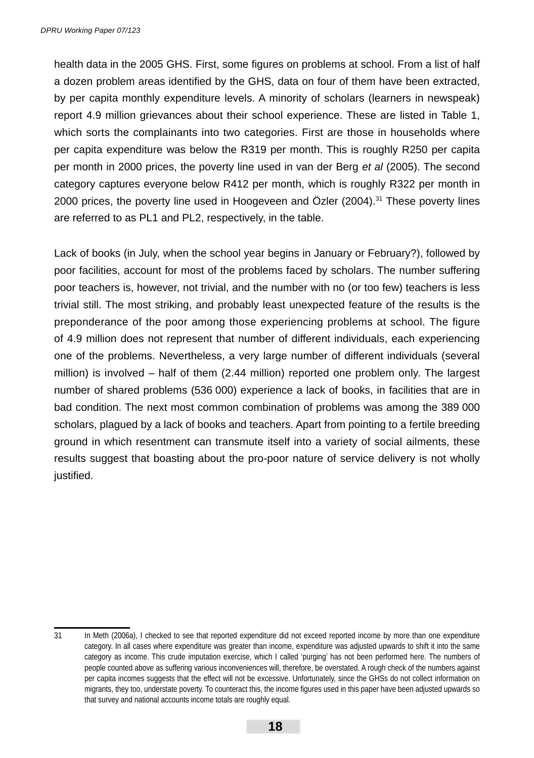health data in the 2005 GHS. First, some figures on problems at school. From a list of half a dozen problem areas identified by the GHS, data on four of them have been extracted, by per capita monthly expenditure levels. A minority of scholars (learners in newspeak) report 4.9 million grievances about their school experience. These are listed in Table 1, which sorts the complainants into two categories. First are those in households where per capita expenditure was below the R319 per month. This is roughly R250 per capita per month in 2000 prices, the poverty line used in van der Berg *et al* (2005). The second category captures everyone below R412 per month, which is roughly R322 per month in 2000 prices, the poverty line used in Hoogeveen and Özler (2004).31 These poverty lines are referred to as PL1 and PL2, respectively, in the table.

Lack of books (in July, when the school year begins in January or February?), followed by poor facilities, account for most of the problems faced by scholars. The number suffering poor teachers is, however, not trivial, and the number with no (or too few) teachers is less trivial still. The most striking, and probably least unexpected feature of the results is the preponderance of the poor among those experiencing problems at school. The figure of 4.9 million does not represent that number of different individuals, each experiencing one of the problems. Nevertheless, a very large number of different individuals (several million) is involved – half of them (2.44 million) reported one problem only. The largest number of shared problems (536 000) experience a lack of books, in facilities that are in bad condition. The next most common combination of problems was among the 389 000 scholars, plagued by a lack of books and teachers. Apart from pointing to a fertile breeding ground in which resentment can transmute itself into a variety of social ailments, these results suggest that boasting about the pro-poor nature of service delivery is not wholly justified.

<sup>31</sup> In Meth (2006a), I checked to see that reported expenditure did not exceed reported income by more than one expenditure category. In all cases where expenditure was greater than income, expenditure was adjusted upwards to shift it into the same category as income. This crude imputation exercise, which I called 'purging' has not been performed here. The numbers of people counted above as suffering various inconveniences will, therefore, be overstated. A rough check of the numbers against per capita incomes suggests that the effect will not be excessive. Unfortunately, since the GHSs do not collect information on migrants, they too, understate poverty. To counteract this, the income figures used in this paper have been adjusted upwards so that survey and national accounts income totals are roughly equal.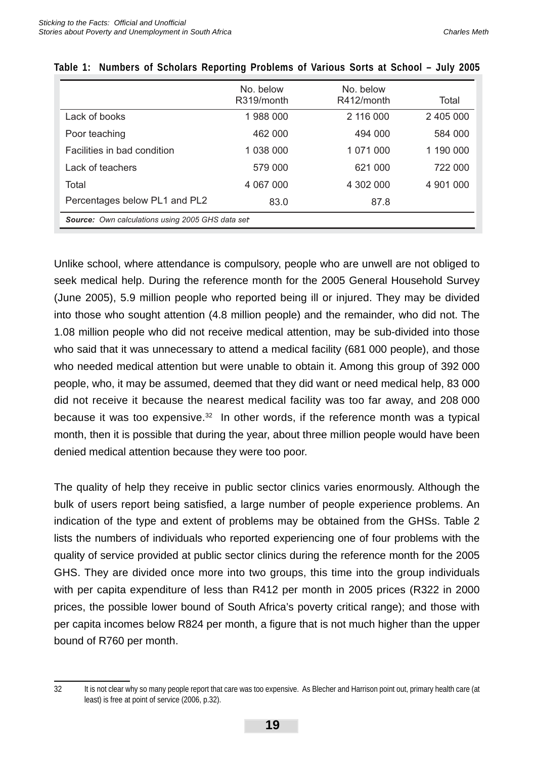|                                                  | No. below<br>R319/month | No. below<br>R412/month | Total     |  |  |  |
|--------------------------------------------------|-------------------------|-------------------------|-----------|--|--|--|
| Lack of books                                    | 1988000                 | 2 116 000               | 2 405 000 |  |  |  |
| Poor teaching                                    | 462 000                 | 494 000                 | 584 000   |  |  |  |
| Facilities in bad condition                      | 1 038 000               | 1 071 000               | 1 190 000 |  |  |  |
| Lack of teachers                                 | 579 000                 | 621 000                 | 722 000   |  |  |  |
| Total                                            | 4 067 000               | 4 302 000               | 4 901 000 |  |  |  |
| Percentages below PL1 and PL2                    | 83.0                    | 87.8                    |           |  |  |  |
| Source: Own calculations using 2005 GHS data set |                         |                         |           |  |  |  |

|  | Table 1: Numbers of Scholars Reporting Problems of Various Sorts at School – July 2005 |  |  |  |  |
|--|----------------------------------------------------------------------------------------|--|--|--|--|

Unlike school, where attendance is compulsory, people who are unwell are not obliged to seek medical help. During the reference month for the 2005 General Household Survey (June 2005), 5.9 million people who reported being ill or injured. They may be divided into those who sought attention (4.8 million people) and the remainder, who did not. The 1.08 million people who did not receive medical attention, may be sub-divided into those who said that it was unnecessary to attend a medical facility (681 000 people), and those who needed medical attention but were unable to obtain it. Among this group of 392 000 people, who, it may be assumed, deemed that they did want or need medical help, 83 000 did not receive it because the nearest medical facility was too far away, and 208 000 because it was too expensive. $32$  In other words, if the reference month was a typical month, then it is possible that during the year, about three million people would have been denied medical attention because they were too poor.

The quality of help they receive in public sector clinics varies enormously. Although the bulk of users report being satisfied, a large number of people experience problems. An indication of the type and extent of problems may be obtained from the GHSs. Table 2 lists the numbers of individuals who reported experiencing one of four problems with the quality of service provided at public sector clinics during the reference month for the 2005 GHS. They are divided once more into two groups, this time into the group individuals with per capita expenditure of less than R412 per month in 2005 prices (R322 in 2000 prices, the possible lower bound of South Africa's poverty critical range); and those with per capita incomes below R824 per month, a figure that is not much higher than the upper bound of R760 per month.

<sup>32</sup> It is not clear why so many people report that care was too expensive. As Blecher and Harrison point out, primary health care (at least) is free at point of service (2006, p.32).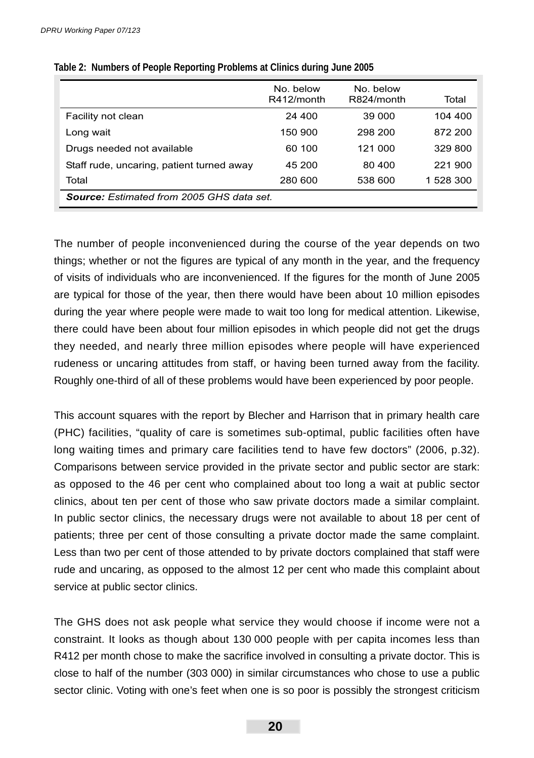|                                                  | No. below<br>R412/month | No. below<br>R824/month | Total     |  |  |  |
|--------------------------------------------------|-------------------------|-------------------------|-----------|--|--|--|
| Facility not clean                               | 24 400                  | 39 000                  | 104 400   |  |  |  |
| Long wait                                        | 150 900                 | 298 200                 | 872 200   |  |  |  |
| Drugs needed not available                       | 60 100                  | 121 000                 | 329 800   |  |  |  |
| Staff rude, uncaring, patient turned away        | 45 200                  | 80 400                  | 221 900   |  |  |  |
| Total                                            | 280 600                 | 538 600                 | 1 528 300 |  |  |  |
| <b>Source:</b> Estimated from 2005 GHS data set. |                         |                         |           |  |  |  |

**Table 2: Numbers of People Reporting Problems at Clinics during June 2005**

The number of people inconvenienced during the course of the year depends on two things; whether or not the figures are typical of any month in the year, and the frequency of visits of individuals who are inconvenienced. If the figures for the month of June 2005 are typical for those of the year, then there would have been about 10 million episodes during the year where people were made to wait too long for medical attention. Likewise, there could have been about four million episodes in which people did not get the drugs they needed, and nearly three million episodes where people will have experienced rudeness or uncaring attitudes from staff, or having been turned away from the facility. Roughly one-third of all of these problems would have been experienced by poor people.

This account squares with the report by Blecher and Harrison that in primary health care (PHC) facilities, "quality of care is sometimes sub-optimal, public facilities often have long waiting times and primary care facilities tend to have few doctors" (2006, p.32). Comparisons between service provided in the private sector and public sector are stark: as opposed to the 46 per cent who complained about too long a wait at public sector clinics, about ten per cent of those who saw private doctors made a similar complaint. In public sector clinics, the necessary drugs were not available to about 18 per cent of patients; three per cent of those consulting a private doctor made the same complaint. Less than two per cent of those attended to by private doctors complained that staff were rude and uncaring, as opposed to the almost 12 per cent who made this complaint about service at public sector clinics.

The GHS does not ask people what service they would choose if income were not a constraint. It looks as though about 130 000 people with per capita incomes less than R412 per month chose to make the sacrifice involved in consulting a private doctor. This is close to half of the number (303 000) in similar circumstances who chose to use a public sector clinic. Voting with one's feet when one is so poor is possibly the strongest criticism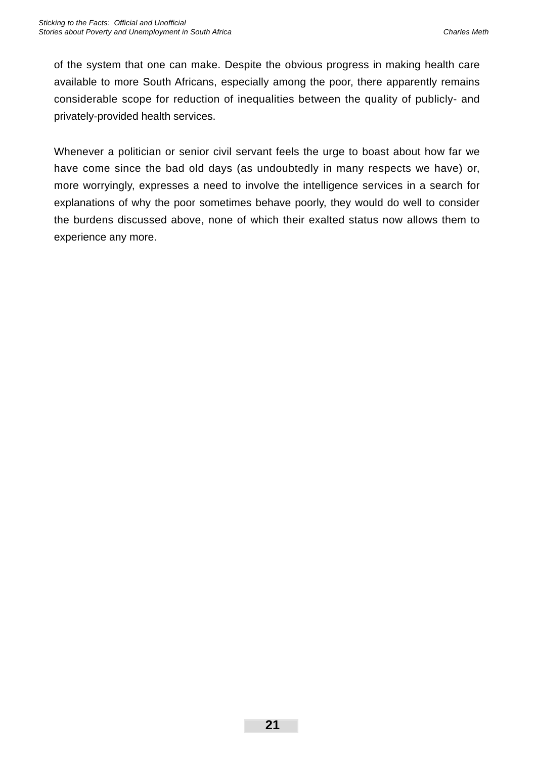of the system that one can make. Despite the obvious progress in making health care available to more South Africans, especially among the poor, there apparently remains considerable scope for reduction of inequalities between the quality of publicly- and privately-provided health services.

Whenever a politician or senior civil servant feels the urge to boast about how far we have come since the bad old days (as undoubtedly in many respects we have) or, more worryingly, expresses a need to involve the intelligence services in a search for explanations of why the poor sometimes behave poorly, they would do well to consider the burdens discussed above, none of which their exalted status now allows them to experience any more.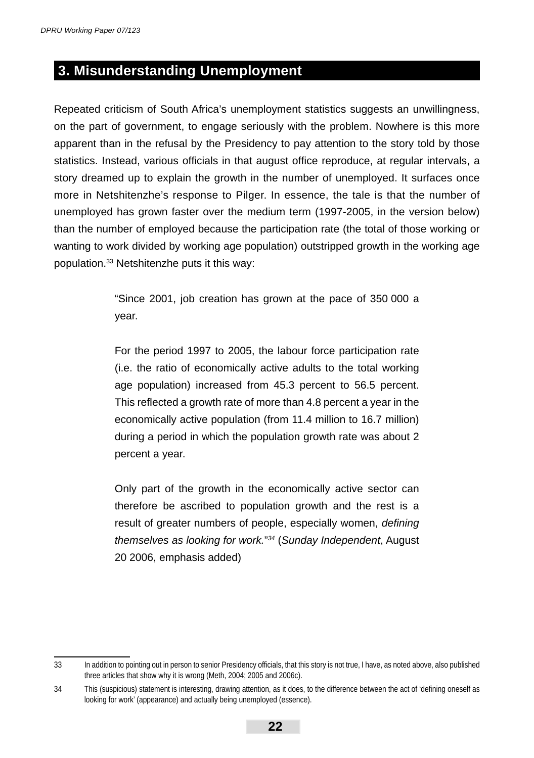### **3. Misunderstanding Unemployment**

Repeated criticism of South Africa's unemployment statistics suggests an unwillingness, on the part of government, to engage seriously with the problem. Nowhere is this more apparent than in the refusal by the Presidency to pay attention to the story told by those statistics. Instead, various officials in that august office reproduce, at regular intervals, a story dreamed up to explain the growth in the number of unemployed. It surfaces once more in Netshitenzhe's response to Pilger. In essence, the tale is that the number of unemployed has grown faster over the medium term (1997-2005, in the version below) than the number of employed because the participation rate (the total of those working or wanting to work divided by working age population) outstripped growth in the working age population.33 Netshitenzhe puts it this way:

> "Since 2001, job creation has grown at the pace of 350 000 a year.

> For the period 1997 to 2005, the labour force participation rate (i.e. the ratio of economically active adults to the total working age population) increased from 45.3 percent to 56.5 percent. This reflected a growth rate of more than 4.8 percent a year in the economically active population (from 11.4 million to 16.7 million) during a period in which the population growth rate was about 2 percent a year.

> Only part of the growth in the economically active sector can therefore be ascribed to population growth and the rest is a result of greater numbers of people, especially women, *defining themselves as looking for work.*"*34* (*Sunday Independent*, August 20 2006, emphasis added)

<sup>33</sup> In addition to pointing out in person to senior Presidency officials, that this story is not true, I have, as noted above, also published three articles that show why it is wrong (Meth, 2004; 2005 and 2006c).

<sup>34</sup> This (suspicious) statement is interesting, drawing attention, as it does, to the difference between the act of 'defining oneself as looking for work' (appearance) and actually being unemployed (essence).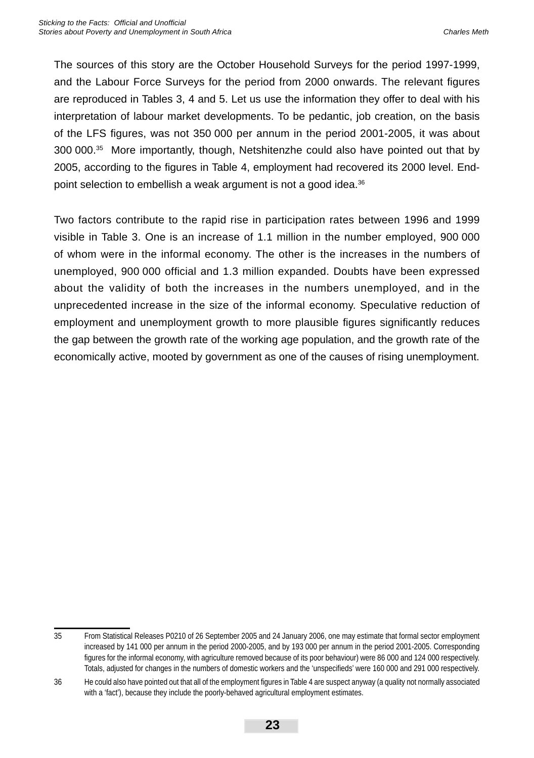The sources of this story are the October Household Surveys for the period 1997-1999, and the Labour Force Surveys for the period from 2000 onwards. The relevant figures are reproduced in Tables 3, 4 and 5. Let us use the information they offer to deal with his interpretation of labour market developments. To be pedantic, job creation, on the basis of the LFS figures, was not 350 000 per annum in the period 2001-2005, it was about 300 000.35 More importantly, though, Netshitenzhe could also have pointed out that by 2005, according to the figures in Table 4, employment had recovered its 2000 level. Endpoint selection to embellish a weak argument is not a good idea.<sup>36</sup>

Two factors contribute to the rapid rise in participation rates between 1996 and 1999 visible in Table 3. One is an increase of 1.1 million in the number employed, 900 000 of whom were in the informal economy. The other is the increases in the numbers of unemployed, 900 000 official and 1.3 million expanded. Doubts have been expressed about the validity of both the increases in the numbers unemployed, and in the unprecedented increase in the size of the informal economy. Speculative reduction of employment and unemployment growth to more plausible figures significantly reduces the gap between the growth rate of the working age population, and the growth rate of the economically active, mooted by government as one of the causes of rising unemployment.

<sup>35</sup> From Statistical Releases P0210 of 26 September 2005 and 24 January 2006, one may estimate that formal sector employment increased by 141 000 per annum in the period 2000-2005, and by 193 000 per annum in the period 2001-2005. Corresponding figures for the informal economy, with agriculture removed because of its poor behaviour) were 86 000 and 124 000 respectively. Totals, adjusted for changes in the numbers of domestic workers and the 'unspecifieds' were 160 000 and 291 000 respectively.

<sup>36</sup> He could also have pointed out that all of the employment figures in Table 4 are suspect anyway (a quality not normally associated with a 'fact'), because they include the poorly-behaved agricultural employment estimates.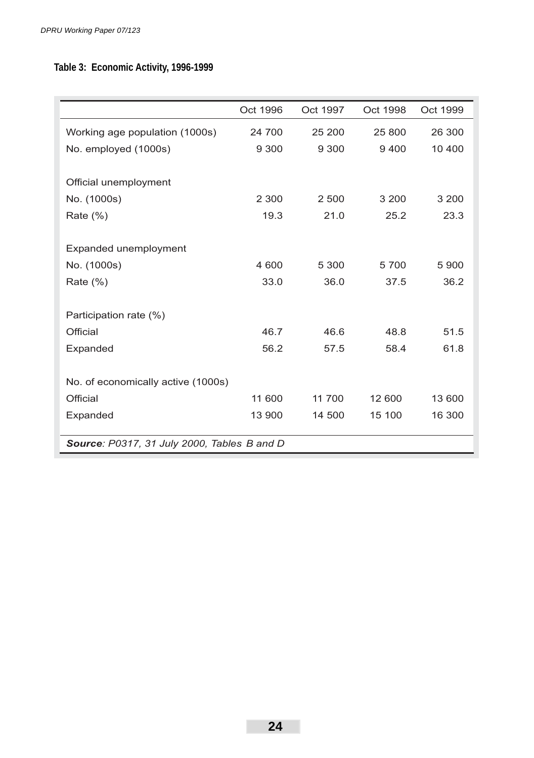### **Table 3: Economic Activity, 1996-1999**

|                                             | Oct 1996 | Oct 1997 | Oct 1998 | Oct 1999 |  |  |  |
|---------------------------------------------|----------|----------|----------|----------|--|--|--|
| Working age population (1000s)              | 24 700   | 25 200   | 25 800   | 26 300   |  |  |  |
| No. employed (1000s)                        | 9 3 0 0  | 9 3 0 0  | 9400     | 10 400   |  |  |  |
|                                             |          |          |          |          |  |  |  |
| Official unemployment                       |          |          |          |          |  |  |  |
| No. (1000s)                                 | 2 3 0 0  | 2 500    | 3 200    | 3 2 0 0  |  |  |  |
| Rate $(\%)$                                 | 19.3     | 21.0     | 25.2     | 23.3     |  |  |  |
|                                             |          |          |          |          |  |  |  |
| Expanded unemployment                       |          |          |          |          |  |  |  |
| No. (1000s)                                 | 4 600    | 5 300    | 5700     | 5 9 0 0  |  |  |  |
| Rate $(\% )$                                | 33.0     | 36.0     | 37.5     | 36.2     |  |  |  |
|                                             |          |          |          |          |  |  |  |
| Participation rate (%)                      |          |          |          |          |  |  |  |
| Official                                    | 46.7     | 46.6     | 48.8     | 51.5     |  |  |  |
| Expanded                                    | 56.2     | 57.5     | 58.4     | 61.8     |  |  |  |
|                                             |          |          |          |          |  |  |  |
| No. of economically active (1000s)          |          |          |          |          |  |  |  |
| Official                                    | 11 600   | 11 700   | 12 600   | 13 600   |  |  |  |
| Expanded                                    | 13 900   | 14 500   | 15 100   | 16 300   |  |  |  |
|                                             |          |          |          |          |  |  |  |
| Source: P0317, 31 July 2000, Tables B and D |          |          |          |          |  |  |  |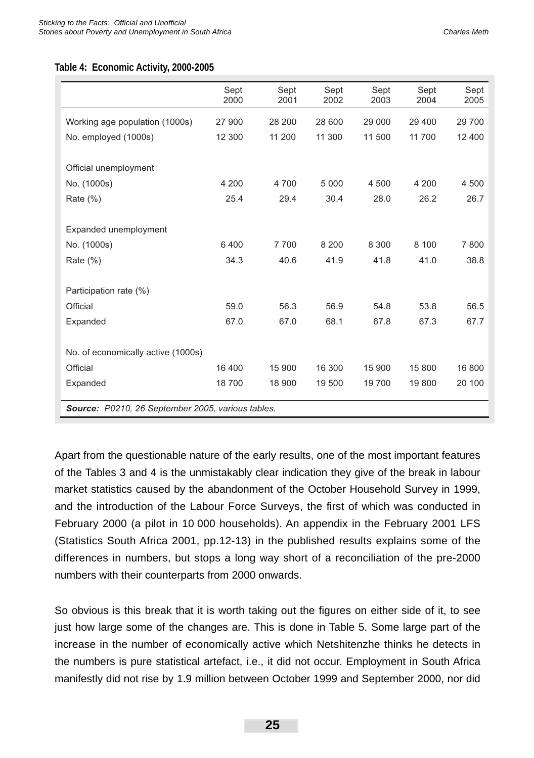#### **Table 4: Economic Activity, 2000-2005**

|                                                   | Sept<br>2000 | Sept<br>2001 | Sept<br>2002 | Sept<br>2003 | Sept<br>2004 | Sept<br>2005 |
|---------------------------------------------------|--------------|--------------|--------------|--------------|--------------|--------------|
| Working age population (1000s)                    | 27 900       | 28 200       | 28 600       | 29 000       | 29 400       | 29 700       |
| No. employed (1000s)                              | 12 300       | 11 200       | 11 300       | 11 500       | 11 700       | 12 400       |
|                                                   |              |              |              |              |              |              |
| Official unemployment                             |              |              |              |              |              |              |
| No. (1000s)                                       | 4 200        | 4700         | 5 0 0 0      | 4 500        | 4 200        | 4 500        |
| Rate (%)                                          | 25.4         | 29.4         | 30.4         | 28.0         | 26.2         | 26.7         |
|                                                   |              |              |              |              |              |              |
| Expanded unemployment                             |              |              |              |              |              |              |
| No. (1000s)                                       | 6400         | 7700         | 8 2 0 0      | 8 3 0 0      | 8 100        | 7800         |
| Rate (%)                                          | 34.3         | 40.6         | 41.9         | 41.8         | 41.0         | 38.8         |
|                                                   |              |              |              |              |              |              |
| Participation rate (%)                            |              |              |              |              |              |              |
| Official                                          | 59.0         | 56.3         | 56.9         | 54.8         | 53.8         | 56.5         |
| Expanded                                          | 67.0         | 67.0         | 68.1         | 67.8         | 67.3         | 67.7         |
|                                                   |              |              |              |              |              |              |
| No. of economically active (1000s)                |              |              |              |              |              |              |
| Official                                          | 16 400       | 15 900       | 16 300       | 15 900       | 15 800       | 16 800       |
| Expanded                                          | 18700        | 18 900       | 19 500       | 19 700       | 19 800       | 20 100       |
| Source: P0210, 26 September 2005, various tables. |              |              |              |              |              |              |

Apart from the questionable nature of the early results, one of the most important features of the Tables 3 and 4 is the unmistakably clear indication they give of the break in labour market statistics caused by the abandonment of the October Household Survey in 1999, and the introduction of the Labour Force Surveys, the first of which was conducted in February 2000 (a pilot in 10 000 households). An appendix in the February 2001 LFS (Statistics South Africa 2001, pp.12-13) in the published results explains some of the differences in numbers, but stops a long way short of a reconciliation of the pre-2000 numbers with their counterparts from 2000 onwards.

So obvious is this break that it is worth taking out the figures on either side of it, to see just how large some of the changes are. This is done in Table 5. Some large part of the increase in the number of economically active which Netshitenzhe thinks he detects in the numbers is pure statistical artefact, i.e., it did not occur. Employment in South Africa manifestly did not rise by 1.9 million between October 1999 and September 2000, nor did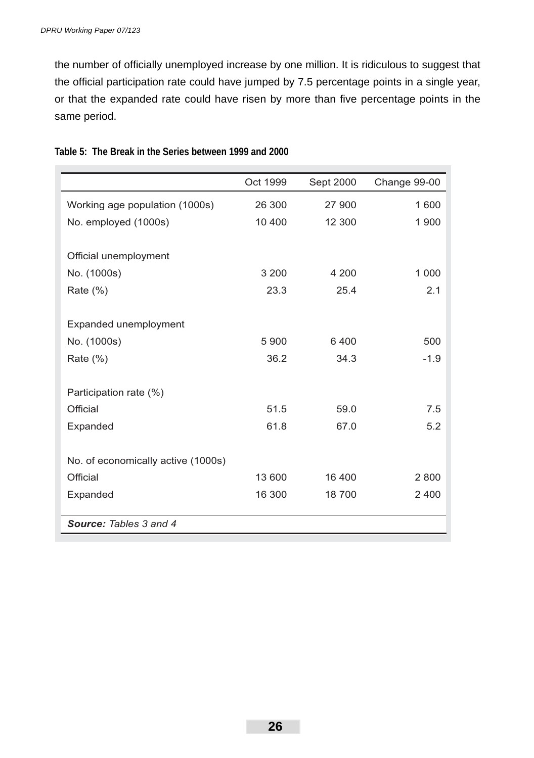the number of officially unemployed increase by one million. It is ridiculous to suggest that the official participation rate could have jumped by 7.5 percentage points in a single year, or that the expanded rate could have risen by more than five percentage points in the same period.

|                                    | Oct 1999 | Sept 2000 | Change 99-00 |
|------------------------------------|----------|-----------|--------------|
| Working age population (1000s)     | 26 300   | 27 900    | 1600         |
| No. employed (1000s)               | 10 400   | 12 300    | 1 900        |
|                                    |          |           |              |
| Official unemployment              |          |           |              |
| No. (1000s)                        | 3 2 0 0  | 4 200     | 1 000        |
| Rate $(\%)$                        | 23.3     | 25.4      | 2.1          |
| Expanded unemployment              |          |           |              |
| No. (1000s)                        | 5 9 0 0  | 6400      | 500          |
|                                    |          |           |              |
| Rate $(\%)$                        | 36.2     | 34.3      | $-1.9$       |
| Participation rate (%)             |          |           |              |
| Official                           | 51.5     | 59.0      | 7.5          |
| Expanded                           | 61.8     | 67.0      | 5.2          |
| No. of economically active (1000s) |          |           |              |
|                                    |          |           |              |
| Official                           | 13 600   | 16 400    | 2800         |
| Expanded                           | 16 300   | 18700     | 2400         |
| <b>Source: Tables 3 and 4</b>      |          |           |              |

**Table 5: The Break in the Series between 1999 and 2000**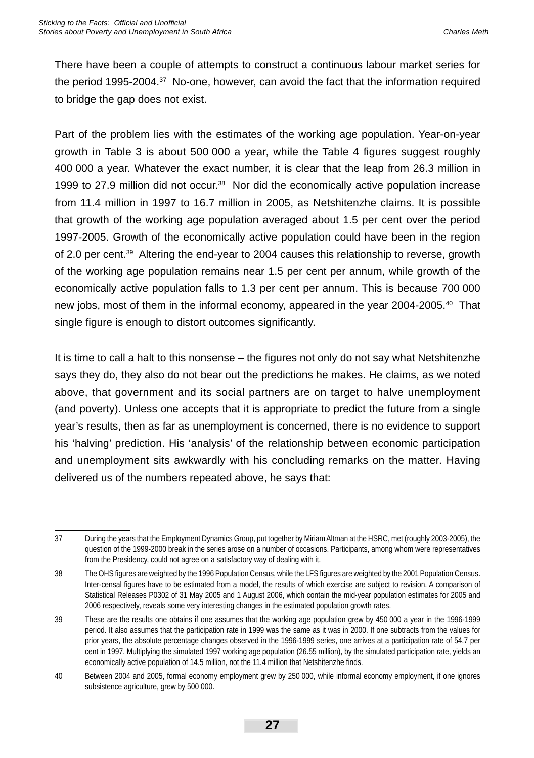There have been a couple of attempts to construct a continuous labour market series for the period 1995-2004.37 No-one, however, can avoid the fact that the information required to bridge the gap does not exist.

Part of the problem lies with the estimates of the working age population. Year-on-year growth in Table 3 is about  $500\,000$  a year, while the Table 4 figures suggest roughly 400 000 a year. Whatever the exact number, it is clear that the leap from 26.3 million in 1999 to 27.9 million did not occur.<sup>38</sup> Nor did the economically active population increase from 11.4 million in 1997 to 16.7 million in 2005, as Netshitenzhe claims. It is possible that growth of the working age population averaged about 1.5 per cent over the period 1997-2005. Growth of the economically active population could have been in the region of 2.0 per cent.39 Altering the end-year to 2004 causes this relationship to reverse, growth of the working age population remains near 1.5 per cent per annum, while growth of the economically active population falls to 1.3 per cent per annum. This is because 700 000 new jobs, most of them in the informal economy, appeared in the year 2004-2005.40 That single figure is enough to distort outcomes significantly.

It is time to call a halt to this nonsense – the figures not only do not say what Netshitenzhe says they do, they also do not bear out the predictions he makes. He claims, as we noted above, that government and its social partners are on target to halve unemployment (and poverty). Unless one accepts that it is appropriate to predict the future from a single year's results, then as far as unemployment is concerned, there is no evidence to support his 'halving' prediction. His 'analysis' of the relationship between economic participation and unemployment sits awkwardly with his concluding remarks on the matter. Having delivered us of the numbers repeated above, he says that:

<sup>37</sup> During the years that the Employment Dynamics Group, put together by Miriam Altman at the HSRC, met (roughly 2003-2005), the question of the 1999-2000 break in the series arose on a number of occasions. Participants, among whom were representatives from the Presidency, could not agree on a satisfactory way of dealing with it.

<sup>38</sup> The OHS figures are weighted by the 1996 Population Census, while the LFS figures are weighted by the 2001 Population Census. Inter-censal figures have to be estimated from a model, the results of which exercise are subject to revision. A comparison of Statistical Releases P0302 of 31 May 2005 and 1 August 2006, which contain the mid-year population estimates for 2005 and 2006 respectively, reveals some very interesting changes in the estimated population growth rates.

<sup>39</sup> These are the results one obtains if one assumes that the working age population grew by 450 000 a year in the 1996-1999 period. It also assumes that the participation rate in 1999 was the same as it was in 2000. If one subtracts from the values for prior years, the absolute percentage changes observed in the 1996-1999 series, one arrives at a participation rate of 54.7 per cent in 1997. Multiplying the simulated 1997 working age population (26.55 million), by the simulated participation rate, yields an economically active population of 14.5 million, not the 11.4 million that Netshitenzhe finds.

<sup>40</sup> Between 2004 and 2005, formal economy employment grew by 250 000, while informal economy employment, if one ignores subsistence agriculture, grew by 500 000.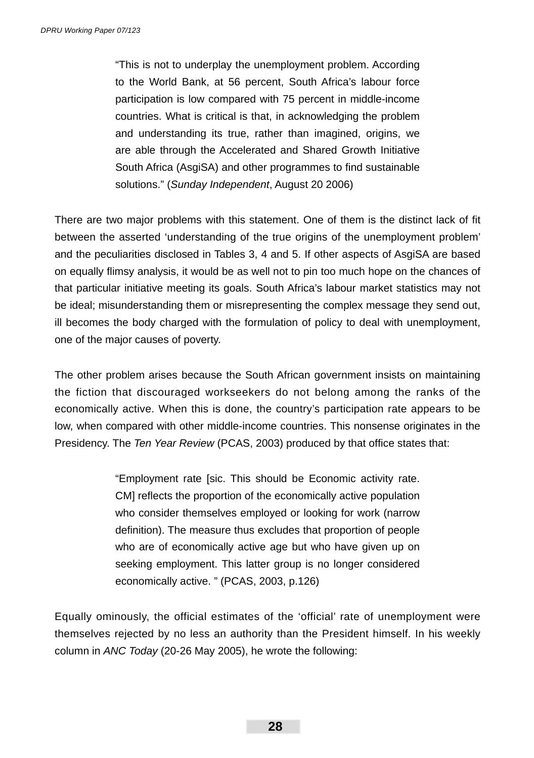"This is not to underplay the unemployment problem. According to the World Bank, at 56 percent, South Africa's labour force participation is low compared with 75 percent in middle-income countries. What is critical is that, in acknowledging the problem and understanding its true, rather than imagined, origins, we are able through the Accelerated and Shared Growth Initiative South Africa (AsgiSA) and other programmes to find sustainable solutions." (*Sunday Independent*, August 20 2006)

There are two major problems with this statement. One of them is the distinct lack of fit between the asserted 'understanding of the true origins of the unemployment problem' and the peculiarities disclosed in Tables 3, 4 and 5. If other aspects of AsgiSA are based on equally flimsy analysis, it would be as well not to pin too much hope on the chances of that particular initiative meeting its goals. South Africa's labour market statistics may not be ideal; misunderstanding them or misrepresenting the complex message they send out, ill becomes the body charged with the formulation of policy to deal with unemployment, one of the major causes of poverty.

The other problem arises because the South African government insists on maintaining the fiction that discouraged workseekers do not belong among the ranks of the economically active. When this is done, the country's participation rate appears to be low, when compared with other middle-income countries. This nonsense originates in the Presidency. The *Ten Year Review* (PCAS, 2003) produced by that office states that:

> "Employment rate [sic. This should be Economic activity rate. CM] reflects the proportion of the economically active population who consider themselves employed or looking for work (narrow definition). The measure thus excludes that proportion of people who are of economically active age but who have given up on seeking employment. This latter group is no longer considered economically active. " (PCAS, 2003, p.126)

Equally ominously, the official estimates of the 'official' rate of unemployment were themselves rejected by no less an authority than the President himself. In his weekly column in *ANC Today* (20-26 May 2005), he wrote the following: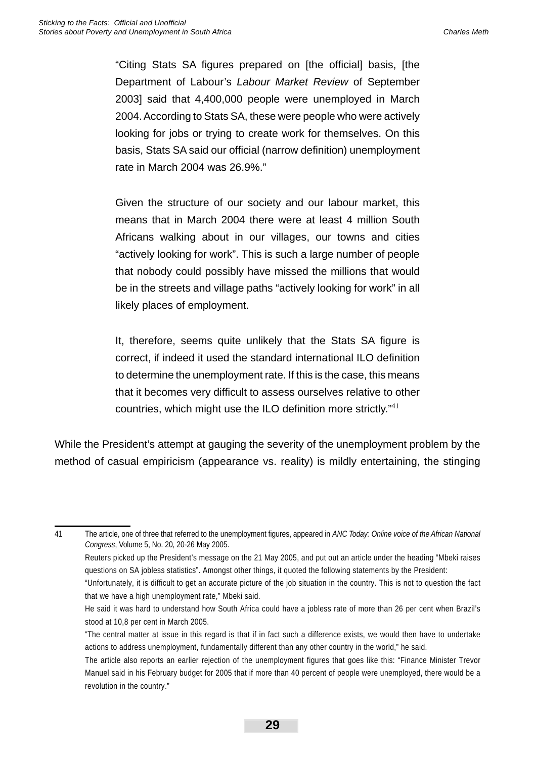"Citing Stats SA figures prepared on [the official] basis, [the Department of Labour's *Labour Market Review* of September 2003] said that 4,400,000 people were unemployed in March 2004. According to Stats SA, these were people who were actively looking for jobs or trying to create work for themselves. On this basis, Stats SA said our official (narrow definition) unemployment rate in March 2004 was 26.9%."

Given the structure of our society and our labour market, this means that in March 2004 there were at least 4 million South Africans walking about in our villages, our towns and cities "actively looking for work". This is such a large number of people that nobody could possibly have missed the millions that would be in the streets and village paths "actively looking for work" in all likely places of employment.

It, therefore, seems quite unlikely that the Stats SA figure is correct, if indeed it used the standard international ILO definition to determine the unemployment rate. If this is the case, this means that it becomes very difficult to assess ourselves relative to other countries, which might use the ILO definition more strictly." $41$ 

While the President's attempt at gauging the severity of the unemployment problem by the method of casual empiricism (appearance vs. reality) is mildly entertaining, the stinging

41 The article, one of three that referred to the unemployment figures, appeared in *ANC Today: Online voice of the African National Congress*, Volume 5, No. 20, 20-26 May 2005. Reuters picked up the President's message on the 21 May 2005, and put out an article under the heading "Mbeki raises questions on SA jobless statistics". Amongst other things, it quoted the following statements by the President: "Unfortunately, it is difficult to get an accurate picture of the job situation in the country. This is not to question the fact that we have a high unemployment rate," Mbeki said.

He said it was hard to understand how South Africa could have a jobless rate of more than 26 per cent when Brazil's stood at 10,8 per cent in March 2005.

<sup>&</sup>quot;The central matter at issue in this regard is that if in fact such a difference exists, we would then have to undertake actions to address unemployment, fundamentally different than any other country in the world," he said.

The article also reports an earlier rejection of the unemployment figures that goes like this: "Finance Minister Trevor Manuel said in his February budget for 2005 that if more than 40 percent of people were unemployed, there would be a revolution in the country."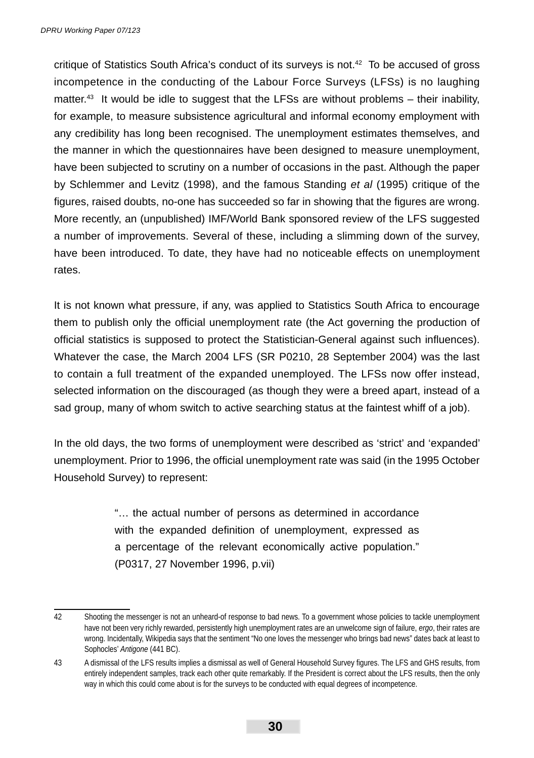critique of Statistics South Africa's conduct of its surveys is not.42 To be accused of gross incompetence in the conducting of the Labour Force Surveys (LFSs) is no laughing matter.<sup>43</sup> It would be idle to suggest that the LFSs are without problems – their inability, for example, to measure subsistence agricultural and informal economy employment with any credibility has long been recognised. The unemployment estimates themselves, and the manner in which the questionnaires have been designed to measure unemployment, have been subjected to scrutiny on a number of occasions in the past. Although the paper by Schlemmer and Levitz (1998), and the famous Standing *et al* (1995) critique of the figures, raised doubts, no-one has succeeded so far in showing that the figures are wrong. More recently, an (unpublished) IMF/World Bank sponsored review of the LFS suggested a number of improvements. Several of these, including a slimming down of the survey, have been introduced. To date, they have had no noticeable effects on unemployment rates.

It is not known what pressure, if any, was applied to Statistics South Africa to encourage them to publish only the official unemployment rate (the Act governing the production of official statistics is supposed to protect the Statistician-General against such influences). Whatever the case, the March 2004 LFS (SR P0210, 28 September 2004) was the last to contain a full treatment of the expanded unemployed. The LFSs now offer instead, selected information on the discouraged (as though they were a breed apart, instead of a sad group, many of whom switch to active searching status at the faintest whiff of a job).

In the old days, the two forms of unemployment were described as 'strict' and 'expanded' unemployment. Prior to 1996, the official unemployment rate was said (in the 1995 October Household Survey) to represent:

> "… the actual number of persons as determined in accordance with the expanded definition of unemployment, expressed as a percentage of the relevant economically active population." (P0317, 27 November 1996, p.vii)

<sup>42</sup> Shooting the messenger is not an unheard-of response to bad news. To a government whose policies to tackle unemployment have not been very richly rewarded, persistently high unemployment rates are an unwelcome sign of failure, *ergo*, their rates are wrong. Incidentally, Wikipedia says that the sentiment "No one loves the messenger who brings bad news" dates back at least to Sophocles' *Antigone* (441 BC).

<sup>43</sup> A dismissal of the LFS results implies a dismissal as well of General Household Survey figures. The LFS and GHS results, from entirely independent samples, track each other quite remarkably. If the President is correct about the LFS results, then the only way in which this could come about is for the surveys to be conducted with equal degrees of incompetence.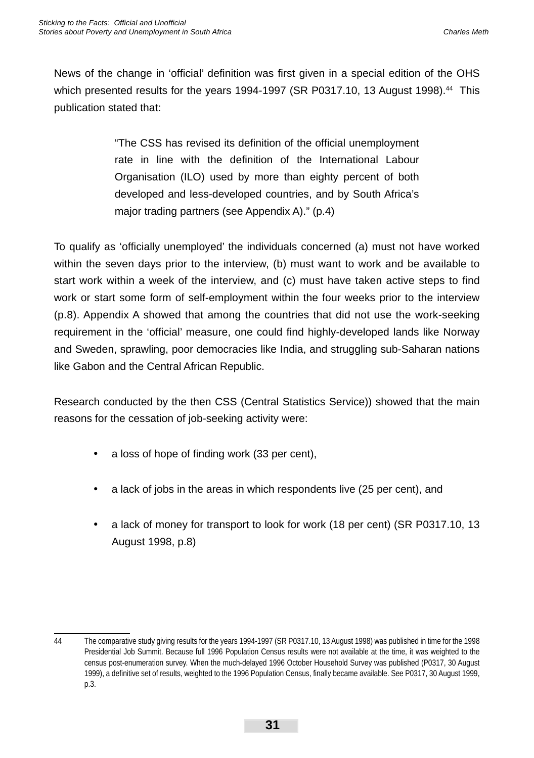News of the change in 'official' definition was first given in a special edition of the OHS which presented results for the years 1994-1997 (SR P0317.10, 13 August 1998).<sup>44</sup> This publication stated that:

> "The CSS has revised its definition of the official unemployment rate in line with the definition of the International Labour Organisation (ILO) used by more than eighty percent of both developed and less-developed countries, and by South Africa's major trading partners (see Appendix A)." (p.4)

To qualify as 'officially unemployed' the individuals concerned (a) must not have worked within the seven days prior to the interview, (b) must want to work and be available to start work within a week of the interview, and (c) must have taken active steps to find work or start some form of self-employment within the four weeks prior to the interview (p.8). Appendix A showed that among the countries that did not use the work-seeking requirement in the 'official' measure, one could find highly-developed lands like Norway and Sweden, sprawling, poor democracies like India, and struggling sub-Saharan nations like Gabon and the Central African Republic.

Research conducted by the then CSS (Central Statistics Service)) showed that the main reasons for the cessation of job-seeking activity were:

- $\cdot$  a loss of hope of finding work (33 per cent),
- a lack of jobs in the areas in which respondents live (25 per cent), and
- a lack of money for transport to look for work (18 per cent) (SR P0317.10, 13 August 1998, p.8)

<sup>44</sup> The comparative study giving results for the years 1994-1997 (SR P0317.10, 13 August 1998) was published in time for the 1998 Presidential Job Summit. Because full 1996 Population Census results were not available at the time, it was weighted to the census post-enumeration survey. When the much-delayed 1996 October Household Survey was published (P0317, 30 August 1999), a definitive set of results, weighted to the 1996 Population Census, finally became available. See P0317, 30 August 1999, p.3.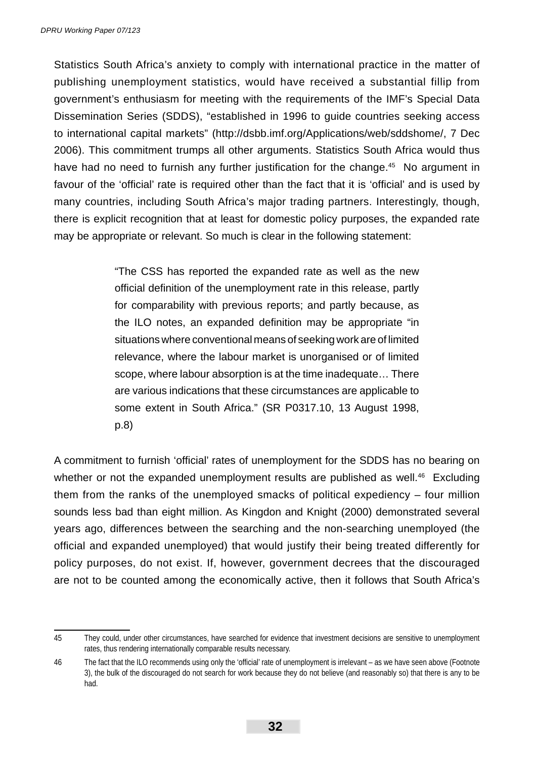Statistics South Africa's anxiety to comply with international practice in the matter of publishing unemployment statistics, would have received a substantial fillip from government's enthusiasm for meeting with the requirements of the IMF's Special Data Dissemination Series (SDDS), "established in 1996 to guide countries seeking access to international capital markets" (http://dsbb.imf.org/Applications/web/sddshome/, 7 Dec 2006). This commitment trumps all other arguments. Statistics South Africa would thus have had no need to furnish any further justification for the change.<sup>45</sup> No argument in favour of the 'official' rate is required other than the fact that it is 'official' and is used by many countries, including South Africa's major trading partners. Interestingly, though, there is explicit recognition that at least for domestic policy purposes, the expanded rate may be appropriate or relevant. So much is clear in the following statement:

> "The CSS has reported the expanded rate as well as the new official definition of the unemployment rate in this release, partly for comparability with previous reports; and partly because, as the ILO notes, an expanded definition may be appropriate "in situations where conventional means of seeking work are of limited relevance, where the labour market is unorganised or of limited scope, where labour absorption is at the time inadequate… There are various indications that these circumstances are applicable to some extent in South Africa." (SR P0317.10, 13 August 1998, p.8)

A commitment to furnish 'official' rates of unemployment for the SDDS has no bearing on whether or not the expanded unemployment results are published as well.<sup>46</sup> Excluding them from the ranks of the unemployed smacks of political expediency – four million sounds less bad than eight million. As Kingdon and Knight (2000) demonstrated several years ago, differences between the searching and the non-searching unemployed (the official and expanded unemployed) that would justify their being treated differently for policy purposes, do not exist. If, however, government decrees that the discouraged are not to be counted among the economically active, then it follows that South Africa's

<sup>45</sup> They could, under other circumstances, have searched for evidence that investment decisions are sensitive to unemployment rates, thus rendering internationally comparable results necessary.

<sup>46</sup> The fact that the ILO recommends using only the 'official' rate of unemployment is irrelevant – as we have seen above (Footnote 3), the bulk of the discouraged do not search for work because they do not believe (and reasonably so) that there is any to be had.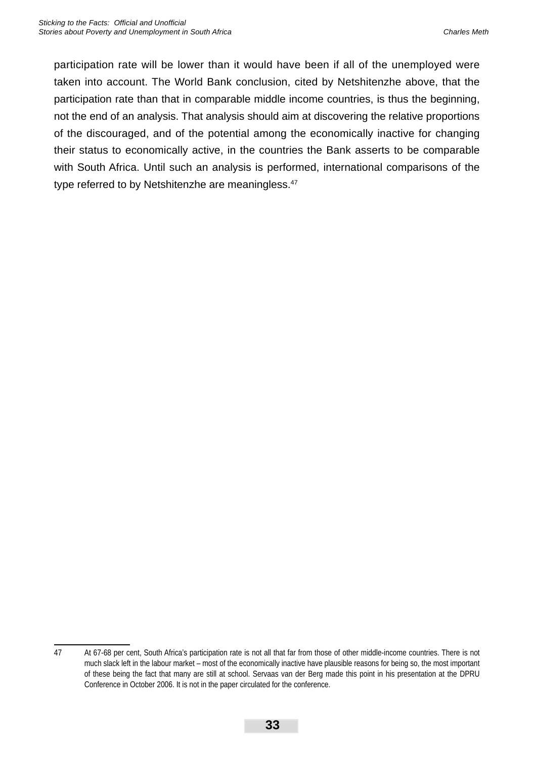participation rate will be lower than it would have been if all of the unemployed were taken into account. The World Bank conclusion, cited by Netshitenzhe above, that the participation rate than that in comparable middle income countries, is thus the beginning, not the end of an analysis. That analysis should aim at discovering the relative proportions of the discouraged, and of the potential among the economically inactive for changing their status to economically active, in the countries the Bank asserts to be comparable with South Africa. Until such an analysis is performed, international comparisons of the type referred to by Netshitenzhe are meaningless.<sup>47</sup>

<sup>47</sup> At 67-68 per cent, South Africa's participation rate is not all that far from those of other middle-income countries. There is not much slack left in the labour market – most of the economically inactive have plausible reasons for being so, the most important of these being the fact that many are still at school. Servaas van der Berg made this point in his presentation at the DPRU Conference in October 2006. It is not in the paper circulated for the conference.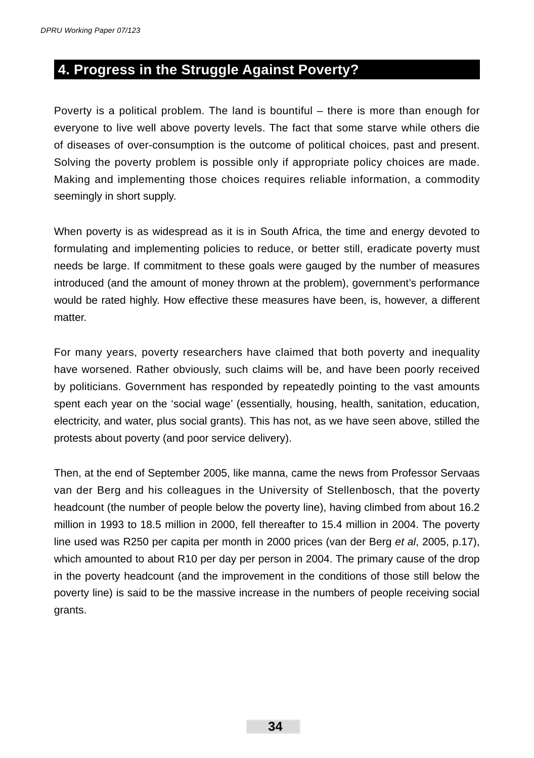## **4. Progress in the Struggle Against Poverty?**

Poverty is a political problem. The land is bountiful – there is more than enough for everyone to live well above poverty levels. The fact that some starve while others die of diseases of over-consumption is the outcome of political choices, past and present. Solving the poverty problem is possible only if appropriate policy choices are made. Making and implementing those choices requires reliable information, a commodity seemingly in short supply.

When poverty is as widespread as it is in South Africa, the time and energy devoted to formulating and implementing policies to reduce, or better still, eradicate poverty must needs be large. If commitment to these goals were gauged by the number of measures introduced (and the amount of money thrown at the problem), government's performance would be rated highly. How effective these measures have been, is, however, a different matter.

For many years, poverty researchers have claimed that both poverty and inequality have worsened. Rather obviously, such claims will be, and have been poorly received by politicians. Government has responded by repeatedly pointing to the vast amounts spent each year on the 'social wage' (essentially, housing, health, sanitation, education, electricity, and water, plus social grants). This has not, as we have seen above, stilled the protests about poverty (and poor service delivery).

Then, at the end of September 2005, like manna, came the news from Professor Servaas van der Berg and his colleagues in the University of Stellenbosch, that the poverty headcount (the number of people below the poverty line), having climbed from about 16.2 million in 1993 to 18.5 million in 2000, fell thereafter to 15.4 million in 2004. The poverty line used was R250 per capita per month in 2000 prices (van der Berg *et al*, 2005, p.17), which amounted to about R10 per day per person in 2004. The primary cause of the drop in the poverty headcount (and the improvement in the conditions of those still below the poverty line) is said to be the massive increase in the numbers of people receiving social grants.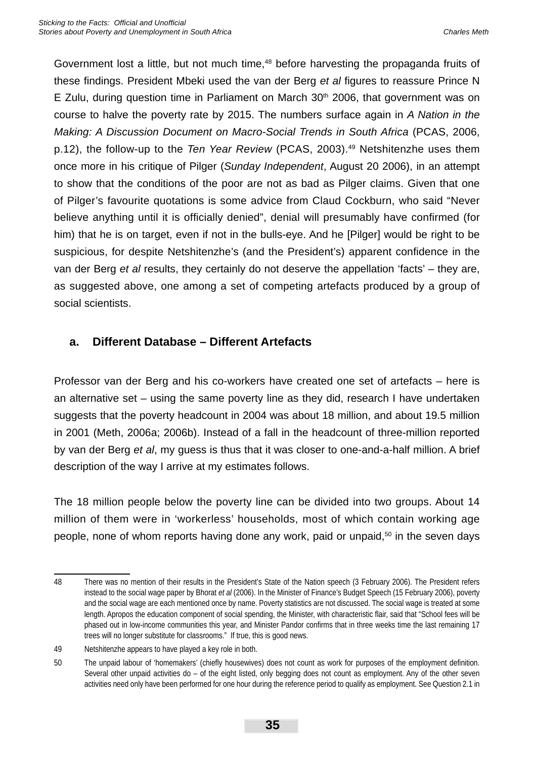Government lost a little, but not much time,<sup>48</sup> before harvesting the propaganda fruits of these findings. President Mbeki used the van der Berg *et al* figures to reassure Prince N E Zulu, during question time in Parliament on March  $30<sup>th</sup>$  2006, that government was on course to halve the poverty rate by 2015. The numbers surface again in *A Nation in the Making: A Discussion Document on Macro-Social Trends in South Africa* (PCAS, 2006, p.12), the follow-up to the *Ten Year Review* (PCAS, 2003).<sup>49</sup> Netshitenzhe uses them once more in his critique of Pilger (*Sunday Independent*, August 20 2006), in an attempt to show that the conditions of the poor are not as bad as Pilger claims. Given that one of Pilger's favourite quotations is some advice from Claud Cockburn, who said "Never believe anything until it is officially denied", denial will presumably have confirmed (for him) that he is on target, even if not in the bulls-eye. And he [Pilger] would be right to be suspicious, for despite Netshitenzhe's (and the President's) apparent confidence in the van der Berg *et al* results, they certainly do not deserve the appellation 'facts' – they are, as suggested above, one among a set of competing artefacts produced by a group of social scientists.

### **a. Different Database – Different Artefacts**

Professor van der Berg and his co-workers have created one set of artefacts – here is an alternative set – using the same poverty line as they did, research I have undertaken suggests that the poverty headcount in 2004 was about 18 million, and about 19.5 million in 2001 (Meth, 2006a; 2006b). Instead of a fall in the headcount of three-million reported by van der Berg *et al*, my guess is thus that it was closer to one-and-a-half million. A brief description of the way I arrive at my estimates follows.

The 18 million people below the poverty line can be divided into two groups. About 14 million of them were in 'workerless' households, most of which contain working age people, none of whom reports having done any work, paid or unpaid,<sup>50</sup> in the seven days

<sup>48</sup> There was no mention of their results in the President's State of the Nation speech (3 February 2006). The President refers instead to the social wage paper by Bhorat *et al* (2006). In the Minister of Finance's Budget Speech (15 February 2006), poverty and the social wage are each mentioned once by name. Poverty statistics are not discussed. The social wage is treated at some length. Apropos the education component of social spending, the Minister, with characteristic flair, said that "School fees will be phased out in low-income communities this year, and Minister Pandor confirms that in three weeks time the last remaining 17 trees will no longer substitute for classrooms." If true, this is good news.

<sup>49</sup> Netshitenzhe appears to have played a key role in both.

<sup>50</sup> The unpaid labour of 'homemakers' (chiefly housewives) does not count as work for purposes of the employment definition. Several other unpaid activities do – of the eight listed, only begging does not count as employment. Any of the other seven activities need only have been performed for one hour during the reference period to qualify as employment. See Question 2.1 in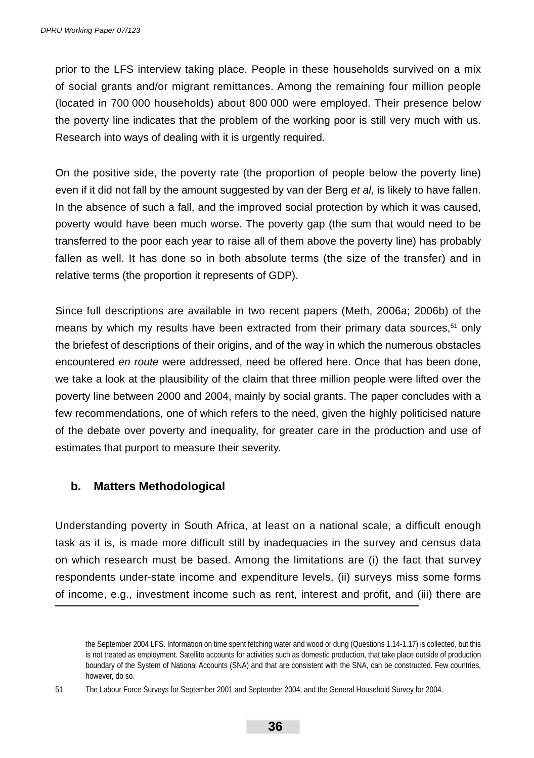prior to the LFS interview taking place. People in these households survived on a mix of social grants and/or migrant remittances. Among the remaining four million people (located in 700 000 households) about 800 000 were employed. Their presence below the poverty line indicates that the problem of the working poor is still very much with us. Research into ways of dealing with it is urgently required.

On the positive side, the poverty rate (the proportion of people below the poverty line) even if it did not fall by the amount suggested by van der Berg *et al*, is likely to have fallen. In the absence of such a fall, and the improved social protection by which it was caused, poverty would have been much worse. The poverty gap (the sum that would need to be transferred to the poor each year to raise all of them above the poverty line) has probably fallen as well. It has done so in both absolute terms (the size of the transfer) and in relative terms (the proportion it represents of GDP).

Since full descriptions are available in two recent papers (Meth, 2006a; 2006b) of the means by which my results have been extracted from their primary data sources,<sup>51</sup> only the briefest of descriptions of their origins, and of the way in which the numerous obstacles encountered *en route* were addressed, need be offered here. Once that has been done, we take a look at the plausibility of the claim that three million people were lifted over the poverty line between 2000 and 2004, mainly by social grants. The paper concludes with a few recommendations, one of which refers to the need, given the highly politicised nature of the debate over poverty and inequality, for greater care in the production and use of estimates that purport to measure their severity.

### **b. Matters Methodological**

Understanding poverty in South Africa, at least on a national scale, a difficult enough task as it is, is made more difficult still by inadequacies in the survey and census data on which research must be based. Among the limitations are (i) the fact that survey respondents under-state income and expenditure levels, (ii) surveys miss some forms of income, e.g., investment income such as rent, interest and profit, and (iii) there are

51 The Labour Force Surveys for September 2001 and September 2004, and the General Household Survey for 2004.

the September 2004 LFS. Information on time spent fetching water and wood or dung (Questions 1.14-1.17) is collected, but this is not treated as employment. Satellite accounts for activities such as domestic production, that take place outside of production boundary of the System of National Accounts (SNA) and that are consistent with the SNA, can be constructed. Few countries, however, do so.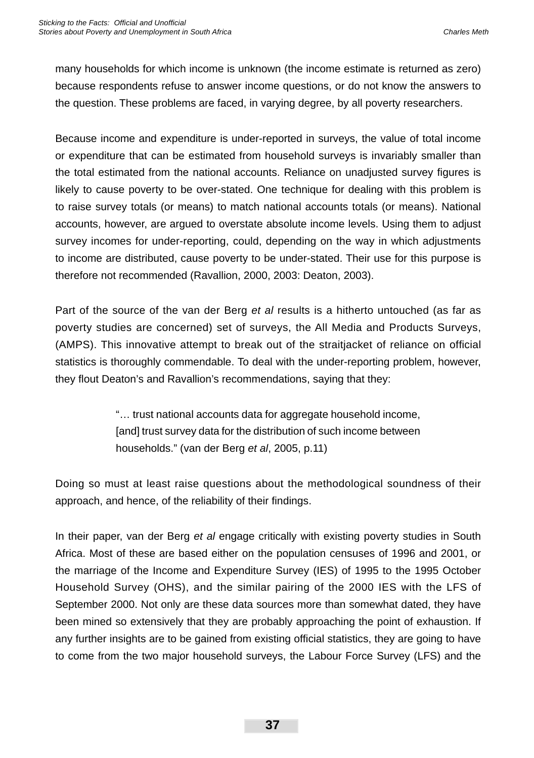many households for which income is unknown (the income estimate is returned as zero) because respondents refuse to answer income questions, or do not know the answers to the question. These problems are faced, in varying degree, by all poverty researchers.

Because income and expenditure is under-reported in surveys, the value of total income or expenditure that can be estimated from household surveys is invariably smaller than the total estimated from the national accounts. Reliance on unadjusted survey figures is likely to cause poverty to be over-stated. One technique for dealing with this problem is to raise survey totals (or means) to match national accounts totals (or means). National accounts, however, are argued to overstate absolute income levels. Using them to adjust survey incomes for under-reporting, could, depending on the way in which adjustments to income are distributed, cause poverty to be under-stated. Their use for this purpose is therefore not recommended (Ravallion, 2000, 2003: Deaton, 2003).

Part of the source of the van der Berg *et al* results is a hitherto untouched (as far as poverty studies are concerned) set of surveys, the All Media and Products Surveys, (AMPS). This innovative attempt to break out of the straitjacket of reliance on official statistics is thoroughly commendable. To deal with the under-reporting problem, however, they flout Deaton's and Ravallion's recommendations, saying that they:

> "… trust national accounts data for aggregate household income, [and] trust survey data for the distribution of such income between households." (van der Berg *et al*, 2005, p.11)

Doing so must at least raise questions about the methodological soundness of their approach, and hence, of the reliability of their findings.

In their paper, van der Berg *et al* engage critically with existing poverty studies in South Africa. Most of these are based either on the population censuses of 1996 and 2001, or the marriage of the Income and Expenditure Survey (IES) of 1995 to the 1995 October Household Survey (OHS), and the similar pairing of the 2000 IES with the LFS of September 2000. Not only are these data sources more than somewhat dated, they have been mined so extensively that they are probably approaching the point of exhaustion. If any further insights are to be gained from existing official statistics, they are going to have to come from the two major household surveys, the Labour Force Survey (LFS) and the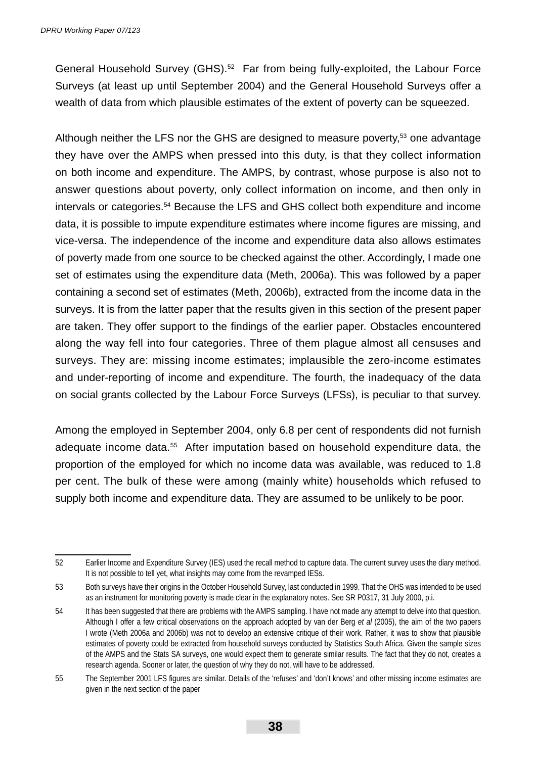General Household Survey (GHS).<sup>52</sup> Far from being fully-exploited, the Labour Force Surveys (at least up until September 2004) and the General Household Surveys offer a wealth of data from which plausible estimates of the extent of poverty can be squeezed.

Although neither the LFS nor the GHS are designed to measure poverty,<sup>53</sup> one advantage they have over the AMPS when pressed into this duty, is that they collect information on both income and expenditure. The AMPS, by contrast, whose purpose is also not to answer questions about poverty, only collect information on income, and then only in intervals or categories.54 Because the LFS and GHS collect both expenditure and income data, it is possible to impute expenditure estimates where income figures are missing, and vice-versa. The independence of the income and expenditure data also allows estimates of poverty made from one source to be checked against the other. Accordingly, I made one set of estimates using the expenditure data (Meth, 2006a). This was followed by a paper containing a second set of estimates (Meth, 2006b), extracted from the income data in the surveys. It is from the latter paper that the results given in this section of the present paper are taken. They offer support to the findings of the earlier paper. Obstacles encountered along the way fell into four categories. Three of them plague almost all censuses and surveys. They are: missing income estimates; implausible the zero-income estimates and under-reporting of income and expenditure. The fourth, the inadequacy of the data on social grants collected by the Labour Force Surveys (LFSs), is peculiar to that survey.

Among the employed in September 2004, only 6.8 per cent of respondents did not furnish adequate income data.<sup>55</sup> After imputation based on household expenditure data, the proportion of the employed for which no income data was available, was reduced to 1.8 per cent. The bulk of these were among (mainly white) households which refused to supply both income and expenditure data. They are assumed to be unlikely to be poor.

<sup>52</sup> Earlier Income and Expenditure Survey (IES) used the recall method to capture data. The current survey uses the diary method. It is not possible to tell yet, what insights may come from the revamped IESs.

<sup>53</sup> Both surveys have their origins in the October Household Survey, last conducted in 1999. That the OHS was intended to be used as an instrument for monitoring poverty is made clear in the explanatory notes. See SR P0317, 31 July 2000, p.i.

<sup>54</sup> It has been suggested that there are problems with the AMPS sampling. I have not made any attempt to delve into that question. Although I offer a few critical observations on the approach adopted by van der Berg *et al* (2005), the aim of the two papers I wrote (Meth 2006a and 2006b) was not to develop an extensive critique of their work. Rather, it was to show that plausible estimates of poverty could be extracted from household surveys conducted by Statistics South Africa. Given the sample sizes of the AMPS and the Stats SA surveys, one would expect them to generate similar results. The fact that they do not, creates a research agenda. Sooner or later, the question of why they do not, will have to be addressed.

<sup>55</sup> The September 2001 LFS figures are similar. Details of the 'refuses' and 'don't knows' and other missing income estimates are given in the next section of the paper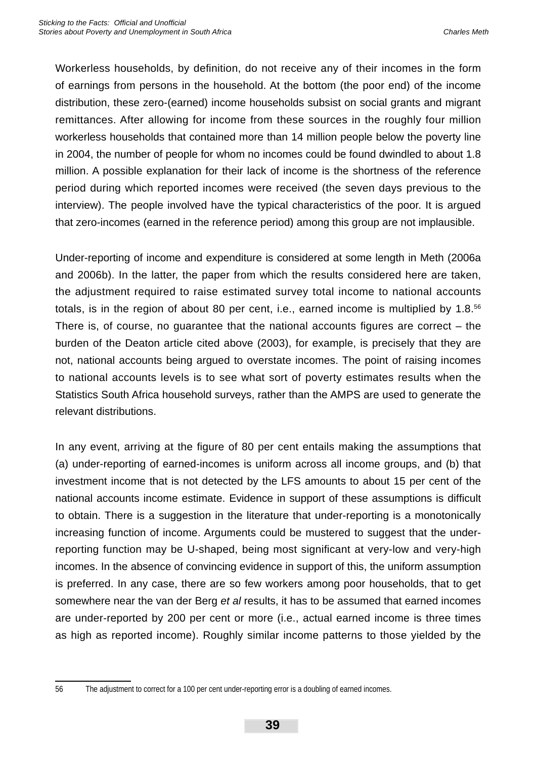Workerless households, by definition, do not receive any of their incomes in the form of earnings from persons in the household. At the bottom (the poor end) of the income distribution, these zero-(earned) income households subsist on social grants and migrant remittances. After allowing for income from these sources in the roughly four million workerless households that contained more than 14 million people below the poverty line in 2004, the number of people for whom no incomes could be found dwindled to about 1.8 million. A possible explanation for their lack of income is the shortness of the reference period during which reported incomes were received (the seven days previous to the interview). The people involved have the typical characteristics of the poor. It is argued that zero-incomes (earned in the reference period) among this group are not implausible.

Under-reporting of income and expenditure is considered at some length in Meth (2006a and 2006b). In the latter, the paper from which the results considered here are taken, the adjustment required to raise estimated survey total income to national accounts totals, is in the region of about 80 per cent, i.e., earned income is multiplied by 1.8.<sup>56</sup> There is, of course, no guarantee that the national accounts figures are correct  $-$  the burden of the Deaton article cited above (2003), for example, is precisely that they are not, national accounts being argued to overstate incomes. The point of raising incomes to national accounts levels is to see what sort of poverty estimates results when the Statistics South Africa household surveys, rather than the AMPS are used to generate the relevant distributions.

In any event, arriving at the figure of 80 per cent entails making the assumptions that (a) under-reporting of earned-incomes is uniform across all income groups, and (b) that investment income that is not detected by the LFS amounts to about 15 per cent of the national accounts income estimate. Evidence in support of these assumptions is difficult to obtain. There is a suggestion in the literature that under-reporting is a monotonically increasing function of income. Arguments could be mustered to suggest that the underreporting function may be U-shaped, being most significant at very-low and very-high incomes. In the absence of convincing evidence in support of this, the uniform assumption is preferred. In any case, there are so few workers among poor households, that to get somewhere near the van der Berg *et al* results, it has to be assumed that earned incomes are under-reported by 200 per cent or more (i.e., actual earned income is three times as high as reported income). Roughly similar income patterns to those yielded by the

<sup>56</sup> The adjustment to correct for a 100 per cent under-reporting error is a doubling of earned incomes.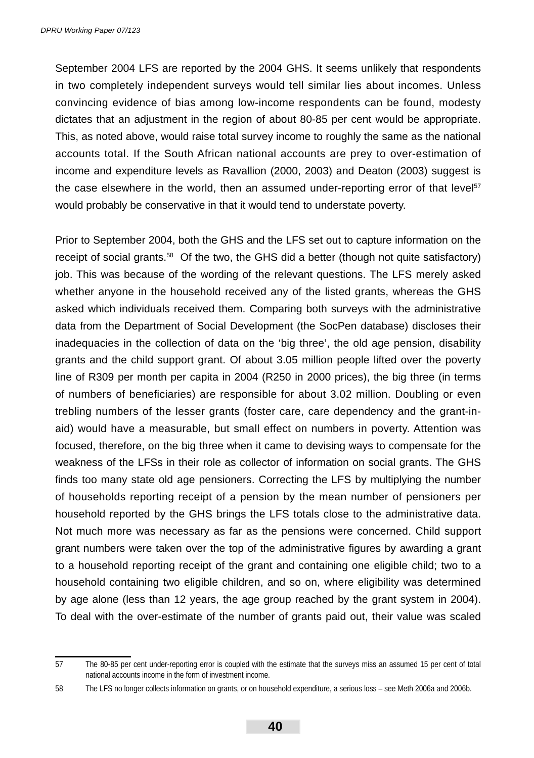September 2004 LFS are reported by the 2004 GHS. It seems unlikely that respondents in two completely independent surveys would tell similar lies about incomes. Unless convincing evidence of bias among low-income respondents can be found, modesty dictates that an adjustment in the region of about 80-85 per cent would be appropriate. This, as noted above, would raise total survey income to roughly the same as the national accounts total. If the South African national accounts are prey to over-estimation of income and expenditure levels as Ravallion (2000, 2003) and Deaton (2003) suggest is the case elsewhere in the world, then an assumed under-reporting error of that level $57$ would probably be conservative in that it would tend to understate poverty.

Prior to September 2004, both the GHS and the LFS set out to capture information on the receipt of social grants.58 Of the two, the GHS did a better (though not quite satisfactory) job. This was because of the wording of the relevant questions. The LFS merely asked whether anyone in the household received any of the listed grants, whereas the GHS asked which individuals received them. Comparing both surveys with the administrative data from the Department of Social Development (the SocPen database) discloses their inadequacies in the collection of data on the 'big three', the old age pension, disability grants and the child support grant. Of about 3.05 million people lifted over the poverty line of R309 per month per capita in 2004 (R250 in 2000 prices), the big three (in terms of numbers of beneficiaries) are responsible for about 3.02 million. Doubling or even trebling numbers of the lesser grants (foster care, care dependency and the grant-inaid) would have a measurable, but small effect on numbers in poverty. Attention was focused, therefore, on the big three when it came to devising ways to compensate for the weakness of the LFSs in their role as collector of information on social grants. The GHS finds too many state old age pensioners. Correcting the LFS by multiplying the number of households reporting receipt of a pension by the mean number of pensioners per household reported by the GHS brings the LFS totals close to the administrative data. Not much more was necessary as far as the pensions were concerned. Child support grant numbers were taken over the top of the administrative figures by awarding a grant to a household reporting receipt of the grant and containing one eligible child; two to a household containing two eligible children, and so on, where eligibility was determined by age alone (less than 12 years, the age group reached by the grant system in 2004). To deal with the over-estimate of the number of grants paid out, their value was scaled

<sup>57</sup> The 80-85 per cent under-reporting error is coupled with the estimate that the surveys miss an assumed 15 per cent of total national accounts income in the form of investment income.

<sup>58</sup> The LFS no longer collects information on grants, or on household expenditure, a serious loss – see Meth 2006a and 2006b.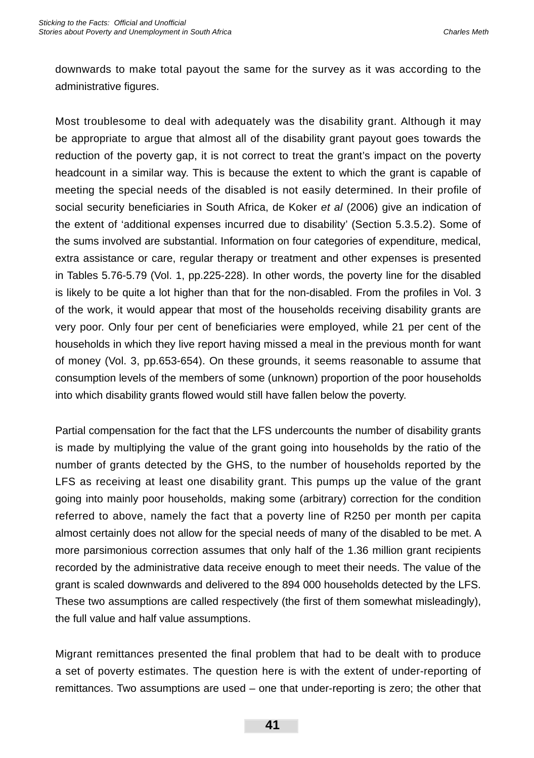downwards to make total payout the same for the survey as it was according to the administrative figures.

Most troublesome to deal with adequately was the disability grant. Although it may be appropriate to argue that almost all of the disability grant payout goes towards the reduction of the poverty gap, it is not correct to treat the grant's impact on the poverty headcount in a similar way. This is because the extent to which the grant is capable of meeting the special needs of the disabled is not easily determined. In their profile of social security beneficiaries in South Africa, de Koker *et al* (2006) give an indication of the extent of 'additional expenses incurred due to disability' (Section 5.3.5.2). Some of the sums involved are substantial. Information on four categories of expenditure, medical, extra assistance or care, regular therapy or treatment and other expenses is presented in Tables 5.76-5.79 (Vol. 1, pp.225-228). In other words, the poverty line for the disabled is likely to be quite a lot higher than that for the non-disabled. From the profiles in Vol. 3 of the work, it would appear that most of the households receiving disability grants are very poor. Only four per cent of beneficiaries were employed, while 21 per cent of the households in which they live report having missed a meal in the previous month for want of money (Vol. 3, pp.653-654). On these grounds, it seems reasonable to assume that consumption levels of the members of some (unknown) proportion of the poor households into which disability grants flowed would still have fallen below the poverty.

Partial compensation for the fact that the LFS undercounts the number of disability grants is made by multiplying the value of the grant going into households by the ratio of the number of grants detected by the GHS, to the number of households reported by the LFS as receiving at least one disability grant. This pumps up the value of the grant going into mainly poor households, making some (arbitrary) correction for the condition referred to above, namely the fact that a poverty line of R250 per month per capita almost certainly does not allow for the special needs of many of the disabled to be met. A more parsimonious correction assumes that only half of the 1.36 million grant recipients recorded by the administrative data receive enough to meet their needs. The value of the grant is scaled downwards and delivered to the 894 000 households detected by the LFS. These two assumptions are called respectively (the first of them somewhat misleadingly), the full value and half value assumptions.

Migrant remittances presented the final problem that had to be dealt with to produce a set of poverty estimates. The question here is with the extent of under-reporting of remittances. Two assumptions are used – one that under-reporting is zero; the other that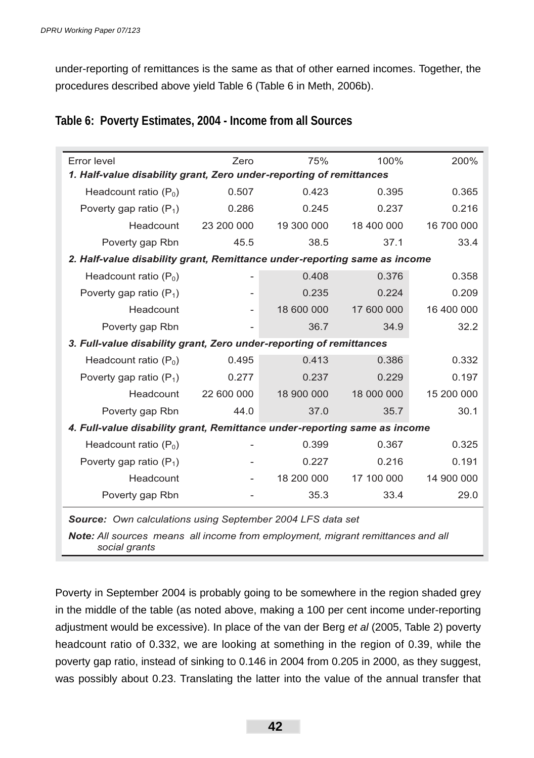under-reporting of remittances is the same as that of other earned incomes. Together, the procedures described above yield Table 6 (Table 6 in Meth, 2006b).

|  |  | Table 6: Poverty Estimates, 2004 - Income from all Sources |
|--|--|------------------------------------------------------------|
|--|--|------------------------------------------------------------|

| Error level                                                               | Zero       | 75%        | 100%       | 200%       |  |  |  |  |
|---------------------------------------------------------------------------|------------|------------|------------|------------|--|--|--|--|
| 1. Half-value disability grant, Zero under-reporting of remittances       |            |            |            |            |  |  |  |  |
| Headcount ratio $(P_0)$                                                   | 0.507      | 0.423      | 0.395      | 0.365      |  |  |  |  |
| Poverty gap ratio $(P_1)$                                                 | 0.286      | 0.245      | 0.237      | 0.216      |  |  |  |  |
| Headcount                                                                 | 23 200 000 | 19 300 000 | 18 400 000 | 16 700 000 |  |  |  |  |
| Poverty gap Rbn                                                           | 45.5       | 38.5       | 37.1       | 33.4       |  |  |  |  |
| 2. Half-value disability grant, Remittance under-reporting same as income |            |            |            |            |  |  |  |  |
| Headcount ratio $(P_0)$                                                   |            | 0.408      | 0.376      | 0.358      |  |  |  |  |
| Poverty gap ratio $(P_1)$                                                 |            | 0.235      | 0.224      | 0.209      |  |  |  |  |
| Headcount                                                                 |            | 18 600 000 | 17 600 000 | 16 400 000 |  |  |  |  |
| Poverty gap Rbn                                                           |            | 36.7       | 34.9       | 32.2       |  |  |  |  |
| 3. Full-value disability grant, Zero under-reporting of remittances       |            |            |            |            |  |  |  |  |
| Headcount ratio $(P_0)$                                                   | 0.495      | 0.413      | 0.386      | 0.332      |  |  |  |  |
| Poverty gap ratio $(P_1)$                                                 | 0.277      | 0.237      | 0.229      | 0.197      |  |  |  |  |
| Headcount                                                                 | 22 600 000 | 18 900 000 | 18 000 000 | 15 200 000 |  |  |  |  |
| Poverty gap Rbn                                                           | 44.0       | 37.0       | 35.7       | 30.1       |  |  |  |  |
| 4. Full-value disability grant, Remittance under-reporting same as income |            |            |            |            |  |  |  |  |
| Headcount ratio $(P_0)$                                                   |            | 0.399      | 0.367      | 0.325      |  |  |  |  |
| Poverty gap ratio $(P_1)$                                                 |            | 0.227      | 0.216      | 0.191      |  |  |  |  |
| Headcount                                                                 |            | 18 200 000 | 17 100 000 | 14 900 000 |  |  |  |  |
| Poverty gap Rbn                                                           |            | 35.3       | 33.4       | 29.0       |  |  |  |  |
| <b>Source:</b> Own calculations using September 2004 LFS data set         |            |            |            |            |  |  |  |  |

*Note: All sources means all income from employment, migrant remittances and all social grants*

Poverty in September 2004 is probably going to be somewhere in the region shaded grey in the middle of the table (as noted above, making a 100 per cent income under-reporting adjustment would be excessive). In place of the van der Berg *et al* (2005, Table 2) poverty headcount ratio of 0.332, we are looking at something in the region of 0.39, while the poverty gap ratio, instead of sinking to 0.146 in 2004 from 0.205 in 2000, as they suggest, was possibly about 0.23. Translating the latter into the value of the annual transfer that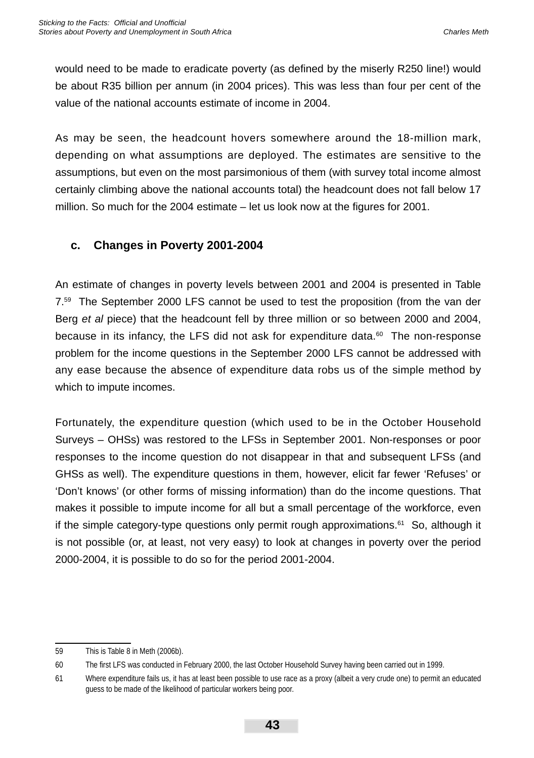would need to be made to eradicate poverty (as defined by the miserly R250 line!) would be about R35 billion per annum (in 2004 prices). This was less than four per cent of the value of the national accounts estimate of income in 2004.

As may be seen, the headcount hovers somewhere around the 18-million mark, depending on what assumptions are deployed. The estimates are sensitive to the assumptions, but even on the most parsimonious of them (with survey total income almost certainly climbing above the national accounts total) the headcount does not fall below 17 million. So much for the 2004 estimate  $-$  let us look now at the figures for 2001.

### **c. Changes in Poverty 2001-2004**

An estimate of changes in poverty levels between 2001 and 2004 is presented in Table 7.59 The September 2000 LFS cannot be used to test the proposition (from the van der Berg *et al* piece) that the headcount fell by three million or so between 2000 and 2004, because in its infancy, the LFS did not ask for expenditure data. $60$  The non-response problem for the income questions in the September 2000 LFS cannot be addressed with any ease because the absence of expenditure data robs us of the simple method by which to impute incomes.

Fortunately, the expenditure question (which used to be in the October Household Surveys – OHSs) was restored to the LFSs in September 2001. Non-responses or poor responses to the income question do not disappear in that and subsequent LFSs (and GHSs as well). The expenditure questions in them, however, elicit far fewer 'Refuses' or 'Don't knows' (or other forms of missing information) than do the income questions. That makes it possible to impute income for all but a small percentage of the workforce, even if the simple category-type questions only permit rough approximations.<sup>61</sup> So, although it is not possible (or, at least, not very easy) to look at changes in poverty over the period 2000-2004, it is possible to do so for the period 2001-2004.

<sup>59</sup> This is Table 8 in Meth (2006b).

<sup>60</sup> The first LFS was conducted in February 2000, the last October Household Survey having been carried out in 1999.

<sup>61</sup> Where expenditure fails us, it has at least been possible to use race as a proxy (albeit a very crude one) to permit an educated guess to be made of the likelihood of particular workers being poor.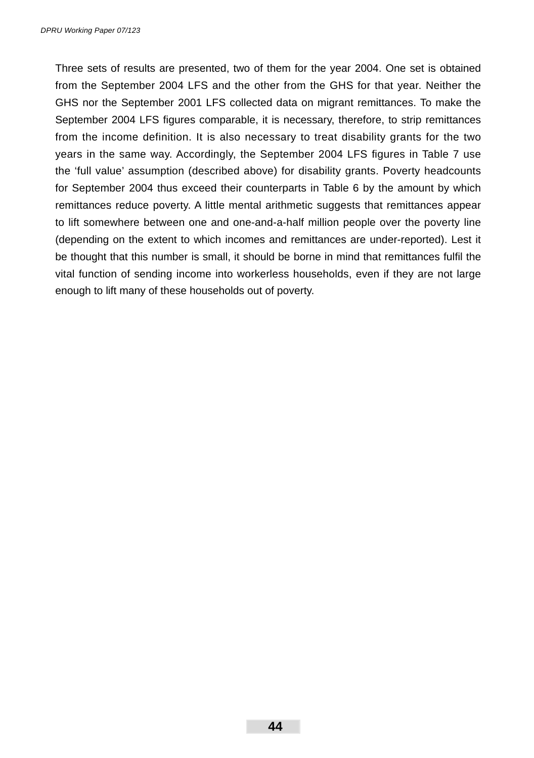Three sets of results are presented, two of them for the year 2004. One set is obtained from the September 2004 LFS and the other from the GHS for that year. Neither the GHS nor the September 2001 LFS collected data on migrant remittances. To make the September 2004 LFS figures comparable, it is necessary, therefore, to strip remittances from the income definition. It is also necessary to treat disability grants for the two years in the same way. Accordingly, the September 2004 LFS figures in Table 7 use the 'full value' assumption (described above) for disability grants. Poverty headcounts for September 2004 thus exceed their counterparts in Table 6 by the amount by which remittances reduce poverty. A little mental arithmetic suggests that remittances appear to lift somewhere between one and one-and-a-half million people over the poverty line (depending on the extent to which incomes and remittances are under-reported). Lest it be thought that this number is small, it should be borne in mind that remittances fulfil the vital function of sending income into workerless households, even if they are not large enough to lift many of these households out of poverty.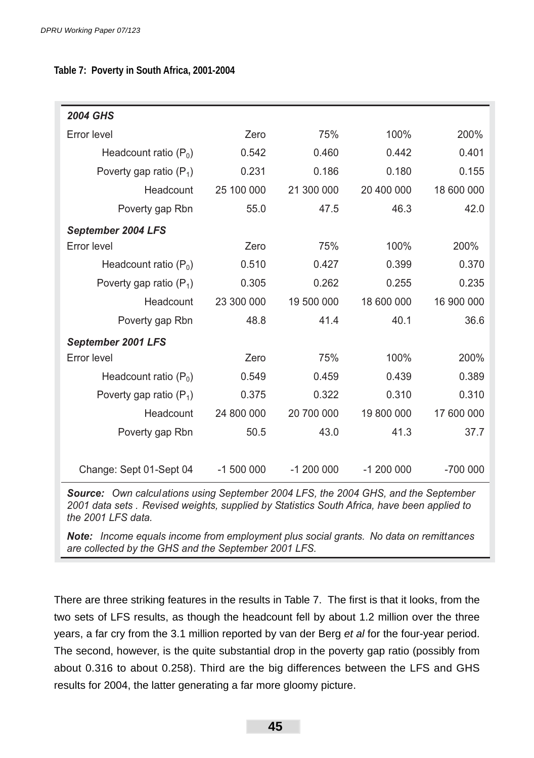**Table 7: Poverty in South Africa, 2001-2004**

| <b>2004 GHS</b>           |            |            |            |            |
|---------------------------|------------|------------|------------|------------|
| Error level               | Zero       | 75%        | 100%       | 200%       |
| Headcount ratio $(P_0)$   | 0.542      | 0.460      | 0.442      | 0.401      |
| Poverty gap ratio $(P_1)$ | 0.231      | 0.186      | 0.180      | 0.155      |
| Headcount                 | 25 100 000 | 21 300 000 | 20 400 000 | 18 600 000 |
| Poverty gap Rbn           | 55.0       | 47.5       | 46.3       | 42.0       |
| September 2004 LFS        |            |            |            |            |
| Error level               | Zero       | 75%        | 100%       | 200%       |
| Headcount ratio $(P_0)$   | 0.510      | 0.427      | 0.399      | 0.370      |
| Poverty gap ratio $(P_1)$ | 0.305      | 0.262      | 0.255      | 0.235      |
| Headcount                 | 23 300 000 | 19 500 000 | 18 600 000 | 16 900 000 |
| Poverty gap Rbn           | 48.8       | 41.4       | 40.1       | 36.6       |
| September 2001 LFS        |            |            |            |            |
| Error level               | Zero       | 75%        | 100%       | 200%       |
| Headcount ratio $(P_0)$   | 0.549      | 0.459      | 0.439      | 0.389      |
| Poverty gap ratio $(P_1)$ | 0.375      | 0.322      | 0.310      | 0.310      |
| Headcount                 | 24 800 000 | 20 700 000 | 19 800 000 | 17 600 000 |
| Poverty gap Rbn           | 50.5       | 43.0       | 41.3       | 37.7       |
|                           |            |            |            |            |
| Change: Sept 01-Sept 04   | $-1500000$ | $-1200000$ | $-1200000$ | $-700000$  |

*Source: Own calculations using September 2004 LFS, the 2004 GHS, and the September 2001 data sets . Revised weights, supplied by Statistics South Africa, have been applied to the 2001 LFS data.*

*Note: Income equals income from employment plus social grants. No data on remittances are collected by the GHS and the September 2001 LFS.*

There are three striking features in the results in Table 7. The first is that it looks, from the two sets of LFS results, as though the headcount fell by about 1.2 million over the three years, a far cry from the 3.1 million reported by van der Berg *et al* for the four-year period. The second, however, is the quite substantial drop in the poverty gap ratio (possibly from about 0.316 to about 0.258). Third are the big differences between the LFS and GHS results for 2004, the latter generating a far more gloomy picture.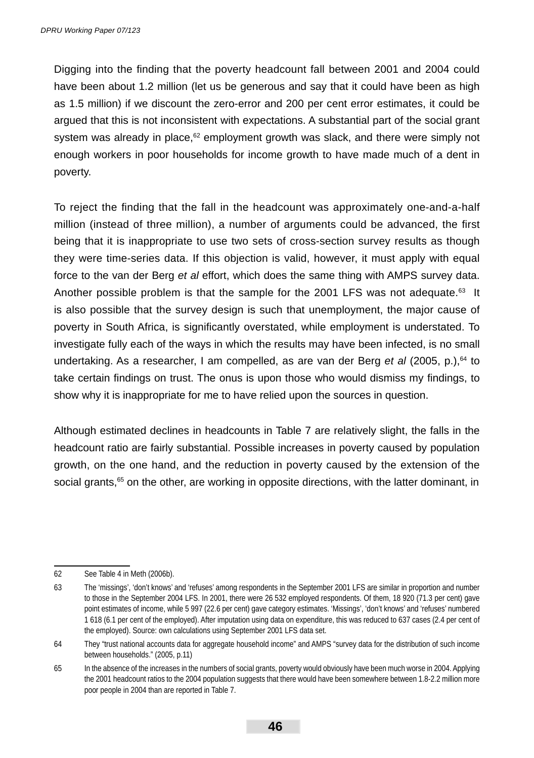Digging into the finding that the poverty headcount fall between 2001 and 2004 could have been about 1.2 million (let us be generous and say that it could have been as high as 1.5 million) if we discount the zero-error and 200 per cent error estimates, it could be argued that this is not inconsistent with expectations. A substantial part of the social grant system was already in place, $62$  employment growth was slack, and there were simply not enough workers in poor households for income growth to have made much of a dent in poverty.

To reject the finding that the fall in the headcount was approximately one-and-a-half million (instead of three million), a number of arguments could be advanced, the first being that it is inappropriate to use two sets of cross-section survey results as though they were time-series data. If this objection is valid, however, it must apply with equal force to the van der Berg *et al* effort, which does the same thing with AMPS survey data. Another possible problem is that the sample for the 2001 LFS was not adequate. $63$  It is also possible that the survey design is such that unemployment, the major cause of poverty in South Africa, is significantly overstated, while employment is understated. To investigate fully each of the ways in which the results may have been infected, is no small undertaking. As a researcher, I am compelled, as are van der Berg *et al* (2005, p.),<sup>64</sup> to take certain findings on trust. The onus is upon those who would dismiss my findings, to show why it is inappropriate for me to have relied upon the sources in question.

Although estimated declines in headcounts in Table 7 are relatively slight, the falls in the headcount ratio are fairly substantial. Possible increases in poverty caused by population growth, on the one hand, and the reduction in poverty caused by the extension of the social grants,<sup>65</sup> on the other, are working in opposite directions, with the latter dominant, in

<sup>62</sup> See Table 4 in Meth (2006b).

<sup>63</sup> The 'missings', 'don't knows' and 'refuses' among respondents in the September 2001 LFS are similar in proportion and number to those in the September 2004 LFS. In 2001, there were 26 532 employed respondents. Of them, 18 920 (71.3 per cent) gave point estimates of income, while 5 997 (22.6 per cent) gave category estimates. 'Missings', 'don't knows' and 'refuses' numbered 1 618 (6.1 per cent of the employed). After imputation using data on expenditure, this was reduced to 637 cases (2.4 per cent of the employed). Source: own calculations using September 2001 LFS data set.

<sup>64</sup> They "trust national accounts data for aggregate household income" and AMPS "survey data for the distribution of such income between households." (2005, p.11)

<sup>65</sup> In the absence of the increases in the numbers of social grants, poverty would obviously have been much worse in 2004. Applying the 2001 headcount ratios to the 2004 population suggests that there would have been somewhere between 1.8-2.2 million more poor people in 2004 than are reported in Table 7.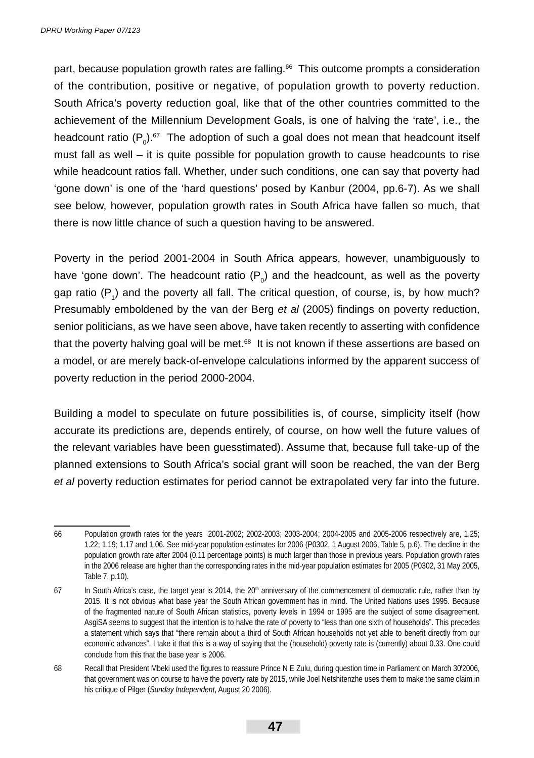part, because population growth rates are falling.66 This outcome prompts a consideration of the contribution, positive or negative, of population growth to poverty reduction. South Africa's poverty reduction goal, like that of the other countries committed to the achievement of the Millennium Development Goals, is one of halving the 'rate', i.e., the headcount ratio  $(P_0)$ .<sup>67</sup> The adoption of such a goal does not mean that headcount itself must fall as well – it is quite possible for population growth to cause headcounts to rise while headcount ratios fall. Whether, under such conditions, one can say that poverty had 'gone down' is one of the 'hard questions' posed by Kanbur (2004, pp.6-7). As we shall see below, however, population growth rates in South Africa have fallen so much, that there is now little chance of such a question having to be answered.

Poverty in the period 2001-2004 in South Africa appears, however, unambiguously to have 'gone down'. The headcount ratio  $(P_{o})$  and the headcount, as well as the poverty gap ratio  $(P_1)$  and the poverty all fall. The critical question, of course, is, by how much? Presumably emboldened by the van der Berg *et al* (2005) findings on poverty reduction, senior politicians, as we have seen above, have taken recently to asserting with confidence that the poverty halving goal will be met. $68$  It is not known if these assertions are based on a model, or are merely back-of-envelope calculations informed by the apparent success of poverty reduction in the period 2000-2004.

Building a model to speculate on future possibilities is, of course, simplicity itself (how accurate its predictions are, depends entirely, of course, on how well the future values of the relevant variables have been guesstimated). Assume that, because full take-up of the planned extensions to South Africa's social grant will soon be reached, the van der Berg *et al* poverty reduction estimates for period cannot be extrapolated very far into the future.

<sup>66</sup> Population growth rates for the years 2001-2002; 2002-2003; 2003-2004; 2004-2005 and 2005-2006 respectively are, 1.25; 1.22; 1.19; 1.17 and 1.06. See mid-year population estimates for 2006 (P0302, 1 August 2006, Table 5, p.6). The decline in the population growth rate after 2004 (0.11 percentage points) is much larger than those in previous years. Population growth rates in the 2006 release are higher than the corresponding rates in the mid-year population estimates for 2005 (P0302, 31 May 2005, Table 7, p.10).

 $67$  In South Africa's case, the target year is 2014, the  $20<sup>th</sup>$  anniversary of the commencement of democratic rule, rather than by 2015. It is not obvious what base year the South African government has in mind. The United Nations uses 1995. Because of the fragmented nature of South African statistics, poverty levels in 1994 or 1995 are the subject of some disagreement. AsgiSA seems to suggest that the intention is to halve the rate of poverty to "less than one sixth of households". This precedes a statement which says that "there remain about a third of South African households not yet able to benefit directly from our economic advances". I take it that this is a way of saying that the (household) poverty rate is (currently) about 0.33. One could conclude from this that the base year is 2006.

<sup>68</sup> Recall that President Mbeki used the figures to reassure Prince N E Zulu, during question time in Parliament on March 30'2006, that government was on course to halve the poverty rate by 2015, while Joel Netshitenzhe uses them to make the same claim in his critique of Pilger (*Sunday Independent*, August 20 2006).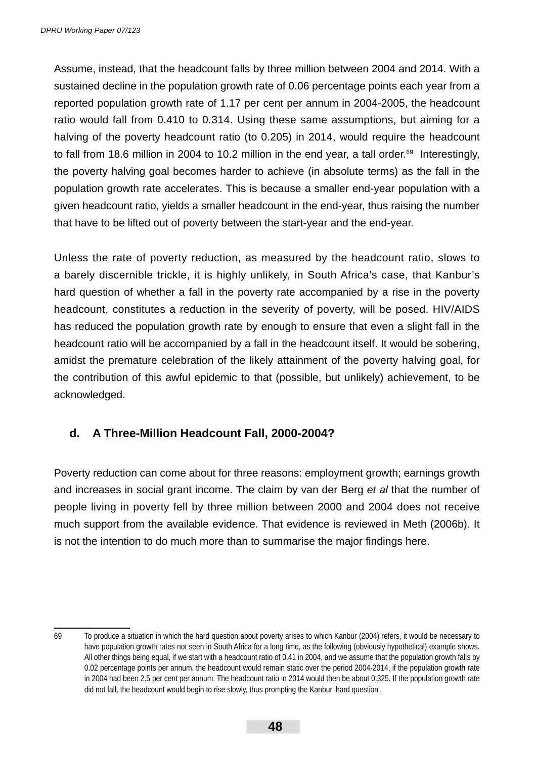Assume, instead, that the headcount falls by three million between 2004 and 2014. With a sustained decline in the population growth rate of 0.06 percentage points each year from a reported population growth rate of 1.17 per cent per annum in 2004-2005, the headcount ratio would fall from 0.410 to 0.314. Using these same assumptions, but aiming for a halving of the poverty headcount ratio (to 0.205) in 2014, would require the headcount to fall from 18.6 million in 2004 to 10.2 million in the end year, a tall order.<sup>69</sup> Interestingly, the poverty halving goal becomes harder to achieve (in absolute terms) as the fall in the population growth rate accelerates. This is because a smaller end-year population with a given headcount ratio, yields a smaller headcount in the end-year, thus raising the number that have to be lifted out of poverty between the start-year and the end-year.

Unless the rate of poverty reduction, as measured by the headcount ratio, slows to a barely discernible trickle, it is highly unlikely, in South Africa's case, that Kanbur's hard question of whether a fall in the poverty rate accompanied by a rise in the poverty headcount, constitutes a reduction in the severity of poverty, will be posed. HIV/AIDS has reduced the population growth rate by enough to ensure that even a slight fall in the headcount ratio will be accompanied by a fall in the headcount itself. It would be sobering, amidst the premature celebration of the likely attainment of the poverty halving goal, for the contribution of this awful epidemic to that (possible, but unlikely) achievement, to be acknowledged.

### **d. A Three-Million Headcount Fall, 2000-2004?**

Poverty reduction can come about for three reasons: employment growth; earnings growth and increases in social grant income. The claim by van der Berg *et al* that the number of people living in poverty fell by three million between 2000 and 2004 does not receive much support from the available evidence. That evidence is reviewed in Meth (2006b). It is not the intention to do much more than to summarise the major findings here.

<sup>69</sup> To produce a situation in which the hard question about poverty arises to which Kanbur (2004) refers, it would be necessary to have population growth rates not seen in South Africa for a long time, as the following (obviously hypothetical) example shows. All other things being equal, if we start with a headcount ratio of 0.41 in 2004, and we assume that the population growth falls by 0.02 percentage points per annum, the headcount would remain static over the period 2004-2014, if the population growth rate in 2004 had been 2.5 per cent per annum. The headcount ratio in 2014 would then be about 0.325. If the population growth rate did not fall, the headcount would begin to rise slowly, thus prompting the Kanbur 'hard question'.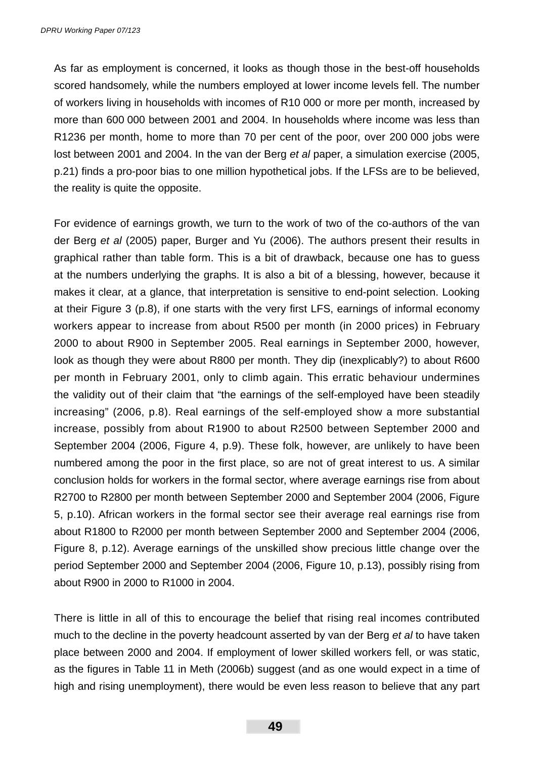As far as employment is concerned, it looks as though those in the best-off households scored handsomely, while the numbers employed at lower income levels fell. The number of workers living in households with incomes of R10 000 or more per month, increased by more than 600 000 between 2001 and 2004. In households where income was less than R1236 per month, home to more than 70 per cent of the poor, over 200 000 jobs were lost between 2001 and 2004. In the van der Berg *et al* paper, a simulation exercise (2005, p.21) finds a pro-poor bias to one million hypothetical jobs. If the LFSs are to be believed, the reality is quite the opposite.

For evidence of earnings growth, we turn to the work of two of the co-authors of the van der Berg *et al* (2005) paper, Burger and Yu (2006). The authors present their results in graphical rather than table form. This is a bit of drawback, because one has to guess at the numbers underlying the graphs. It is also a bit of a blessing, however, because it makes it clear, at a glance, that interpretation is sensitive to end-point selection. Looking at their Figure 3 (p.8), if one starts with the very first LFS, earnings of informal economy workers appear to increase from about R500 per month (in 2000 prices) in February 2000 to about R900 in September 2005. Real earnings in September 2000, however, look as though they were about R800 per month. They dip (inexplicably?) to about R600 per month in February 2001, only to climb again. This erratic behaviour undermines the validity out of their claim that "the earnings of the self-employed have been steadily increasing" (2006, p.8). Real earnings of the self-employed show a more substantial increase, possibly from about R1900 to about R2500 between September 2000 and September 2004 (2006, Figure 4, p.9). These folk, however, are unlikely to have been numbered among the poor in the first place, so are not of great interest to us. A similar conclusion holds for workers in the formal sector, where average earnings rise from about R2700 to R2800 per month between September 2000 and September 2004 (2006, Figure 5, p.10). African workers in the formal sector see their average real earnings rise from about R1800 to R2000 per month between September 2000 and September 2004 (2006, Figure 8, p.12). Average earnings of the unskilled show precious little change over the period September 2000 and September 2004 (2006, Figure 10, p.13), possibly rising from about R900 in 2000 to R1000 in 2004.

There is little in all of this to encourage the belief that rising real incomes contributed much to the decline in the poverty headcount asserted by van der Berg *et al* to have taken place between 2000 and 2004. If employment of lower skilled workers fell, or was static, as the figures in Table 11 in Meth (2006b) suggest (and as one would expect in a time of high and rising unemployment), there would be even less reason to believe that any part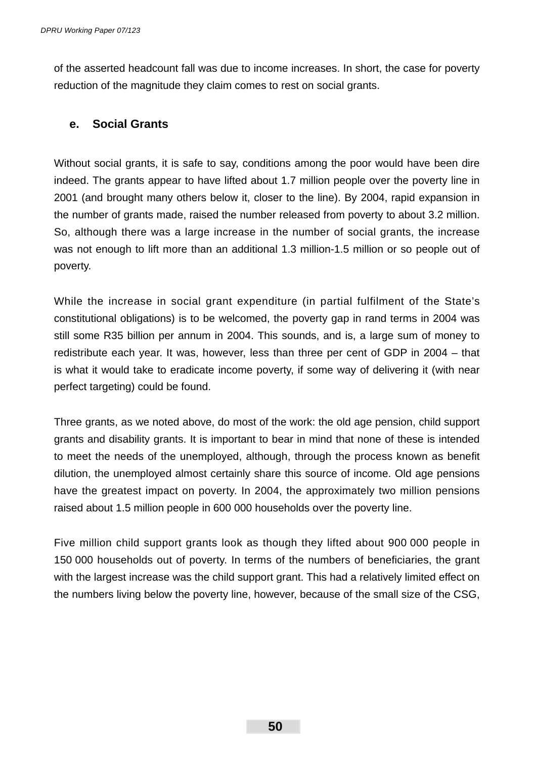of the asserted headcount fall was due to income increases. In short, the case for poverty reduction of the magnitude they claim comes to rest on social grants.

### **e. Social Grants**

Without social grants, it is safe to say, conditions among the poor would have been dire indeed. The grants appear to have lifted about 1.7 million people over the poverty line in 2001 (and brought many others below it, closer to the line). By 2004, rapid expansion in the number of grants made, raised the number released from poverty to about 3.2 million. So, although there was a large increase in the number of social grants, the increase was not enough to lift more than an additional 1.3 million-1.5 million or so people out of poverty.

While the increase in social grant expenditure (in partial fulfilment of the State's constitutional obligations) is to be welcomed, the poverty gap in rand terms in 2004 was still some R35 billion per annum in 2004. This sounds, and is, a large sum of money to redistribute each year. It was, however, less than three per cent of GDP in 2004 – that is what it would take to eradicate income poverty, if some way of delivering it (with near perfect targeting) could be found.

Three grants, as we noted above, do most of the work: the old age pension, child support grants and disability grants. It is important to bear in mind that none of these is intended to meet the needs of the unemployed, although, through the process known as benefit dilution, the unemployed almost certainly share this source of income. Old age pensions have the greatest impact on poverty. In 2004, the approximately two million pensions raised about 1.5 million people in 600 000 households over the poverty line.

Five million child support grants look as though they lifted about 900 000 people in 150 000 households out of poverty. In terms of the numbers of beneficiaries, the grant with the largest increase was the child support grant. This had a relatively limited effect on the numbers living below the poverty line, however, because of the small size of the CSG,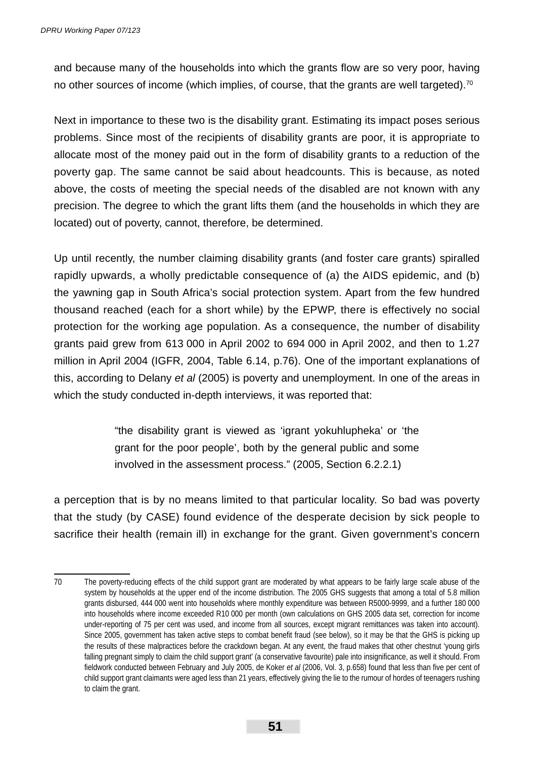and because many of the households into which the grants flow are so very poor, having no other sources of income (which implies, of course, that the grants are well targeted).<sup>70</sup>

Next in importance to these two is the disability grant. Estimating its impact poses serious problems. Since most of the recipients of disability grants are poor, it is appropriate to allocate most of the money paid out in the form of disability grants to a reduction of the poverty gap. The same cannot be said about headcounts. This is because, as noted above, the costs of meeting the special needs of the disabled are not known with any precision. The degree to which the grant lifts them (and the households in which they are located) out of poverty, cannot, therefore, be determined.

Up until recently, the number claiming disability grants (and foster care grants) spiralled rapidly upwards, a wholly predictable consequence of (a) the AIDS epidemic, and (b) the yawning gap in South Africa's social protection system. Apart from the few hundred thousand reached (each for a short while) by the EPWP, there is effectively no social protection for the working age population. As a consequence, the number of disability grants paid grew from 613 000 in April 2002 to 694 000 in April 2002, and then to 1.27 million in April 2004 (IGFR, 2004, Table 6.14, p.76). One of the important explanations of this, according to Delany *et al* (2005) is poverty and unemployment. In one of the areas in which the study conducted in-depth interviews, it was reported that:

> "the disability grant is viewed as 'igrant yokuhlupheka' or 'the grant for the poor people', both by the general public and some involved in the assessment process." (2005, Section 6.2.2.1)

a perception that is by no means limited to that particular locality. So bad was poverty that the study (by CASE) found evidence of the desperate decision by sick people to sacrifice their health (remain ill) in exchange for the grant. Given government's concern

<sup>70</sup> The poverty-reducing effects of the child support grant are moderated by what appears to be fairly large scale abuse of the system by households at the upper end of the income distribution. The 2005 GHS suggests that among a total of 5.8 million grants disbursed, 444 000 went into households where monthly expenditure was between R5000-9999, and a further 180 000 into households where income exceeded R10 000 per month (own calculations on GHS 2005 data set, correction for income under-reporting of 75 per cent was used, and income from all sources, except migrant remittances was taken into account). Since 2005, government has taken active steps to combat benefit fraud (see below), so it may be that the GHS is picking up the results of these malpractices before the crackdown began. At any event, the fraud makes that other chestnut 'young girls falling pregnant simply to claim the child support grant' (a conservative favourite) pale into insignificance, as well it should. From fieldwork conducted between February and July 2005, de Koker *et al* (2006, Vol. 3, p.658) found that less than five per cent of child support grant claimants were aged less than 21 years, effectively giving the lie to the rumour of hordes of teenagers rushing to claim the grant.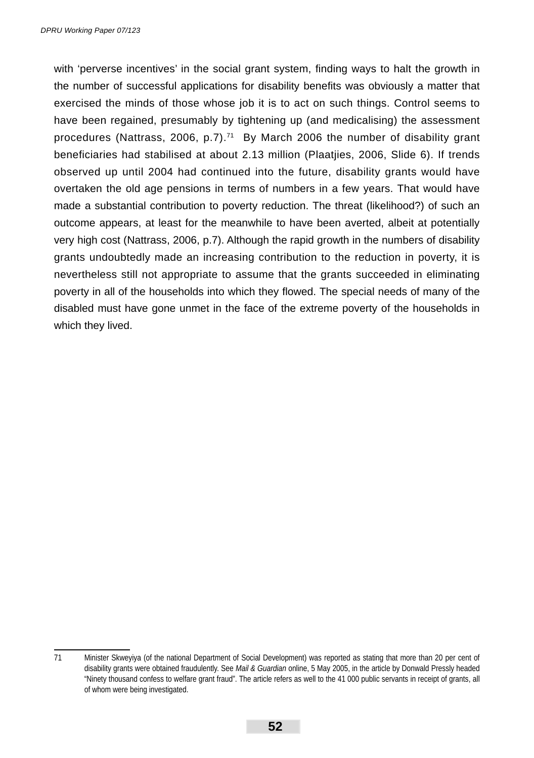with 'perverse incentives' in the social grant system, finding ways to halt the growth in the number of successful applications for disability benefits was obviously a matter that exercised the minds of those whose job it is to act on such things. Control seems to have been regained, presumably by tightening up (and medicalising) the assessment procedures (Nattrass, 2006, p.7).71 By March 2006 the number of disability grant beneficiaries had stabilised at about 2.13 million (Plaatjies, 2006, Slide 6). If trends observed up until 2004 had continued into the future, disability grants would have overtaken the old age pensions in terms of numbers in a few years. That would have made a substantial contribution to poverty reduction. The threat (likelihood?) of such an outcome appears, at least for the meanwhile to have been averted, albeit at potentially very high cost (Nattrass, 2006, p.7). Although the rapid growth in the numbers of disability grants undoubtedly made an increasing contribution to the reduction in poverty, it is nevertheless still not appropriate to assume that the grants succeeded in eliminating poverty in all of the households into which they flowed. The special needs of many of the disabled must have gone unmet in the face of the extreme poverty of the households in which they lived.

<sup>71</sup> Minister Skweyiya (of the national Department of Social Development) was reported as stating that more than 20 per cent of disability grants were obtained fraudulently. See *Mail & Guardian* online, 5 May 2005, in the article by Donwald Pressly headed "Ninety thousand confess to welfare grant fraud". The article refers as well to the 41 000 public servants in receipt of grants, all of whom were being investigated.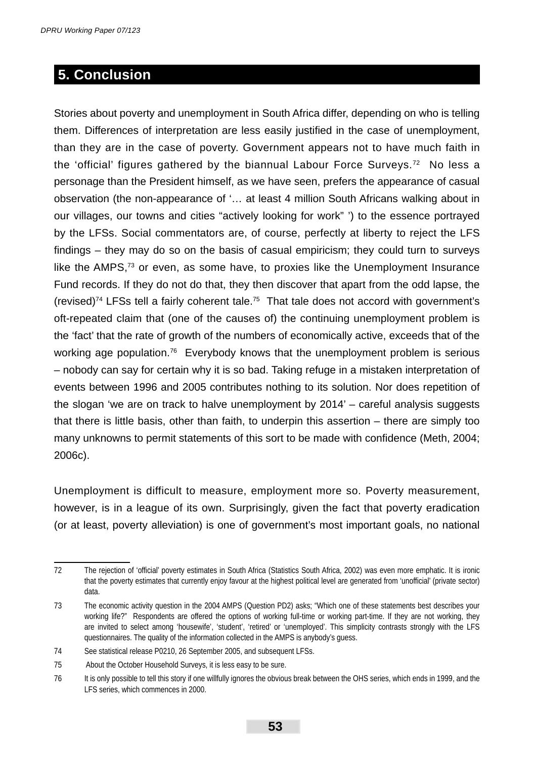## **5. Conclusion**

Stories about poverty and unemployment in South Africa differ, depending on who is telling them. Differences of interpretation are less easily justified in the case of unemployment, than they are in the case of poverty. Government appears not to have much faith in the 'official' figures gathered by the biannual Labour Force Surveys.<sup>72</sup> No less a personage than the President himself, as we have seen, prefers the appearance of casual observation (the non-appearance of '… at least 4 million South Africans walking about in our villages, our towns and cities "actively looking for work" ') to the essence portrayed by the LFSs. Social commentators are, of course, perfectly at liberty to reject the LFS findings – they may do so on the basis of casual empiricism; they could turn to surveys like the  $AMPS<sub>1</sub>$ <sup>3</sup> or even, as some have, to proxies like the Unemployment Insurance Fund records. If they do not do that, they then discover that apart from the odd lapse, the (revised)<sup>74</sup> LFSs tell a fairly coherent tale.<sup>75</sup> That tale does not accord with government's oft-repeated claim that (one of the causes of) the continuing unemployment problem is the 'fact' that the rate of growth of the numbers of economically active, exceeds that of the working age population.76 Everybody knows that the unemployment problem is serious – nobody can say for certain why it is so bad. Taking refuge in a mistaken interpretation of events between 1996 and 2005 contributes nothing to its solution. Nor does repetition of the slogan 'we are on track to halve unemployment by 2014' – careful analysis suggests that there is little basis, other than faith, to underpin this assertion – there are simply too many unknowns to permit statements of this sort to be made with confidence (Meth, 2004; 2006c).

Unemployment is difficult to measure, employment more so. Poverty measurement, however, is in a league of its own. Surprisingly, given the fact that poverty eradication (or at least, poverty alleviation) is one of government's most important goals, no national

<sup>72</sup> The rejection of 'official' poverty estimates in South Africa (Statistics South Africa, 2002) was even more emphatic. It is ironic that the poverty estimates that currently enjoy favour at the highest political level are generated from 'unofficial' (private sector) data.

<sup>73</sup> The economic activity question in the 2004 AMPS (Question PD2) asks; "Which one of these statements best describes your working life?" Respondents are offered the options of working full-time or working part-time. If they are not working, they are invited to select among 'housewife', 'student', 'retired' or 'unemployed'. This simplicity contrasts strongly with the LFS questionnaires. The quality of the information collected in the AMPS is anybody's guess.

<sup>74</sup> See statistical release P0210, 26 September 2005, and subsequent LFSs.

<sup>75</sup> About the October Household Surveys, it is less easy to be sure.

<sup>76</sup> It is only possible to tell this story if one willfully ignores the obvious break between the OHS series, which ends in 1999, and the LFS series, which commences in 2000.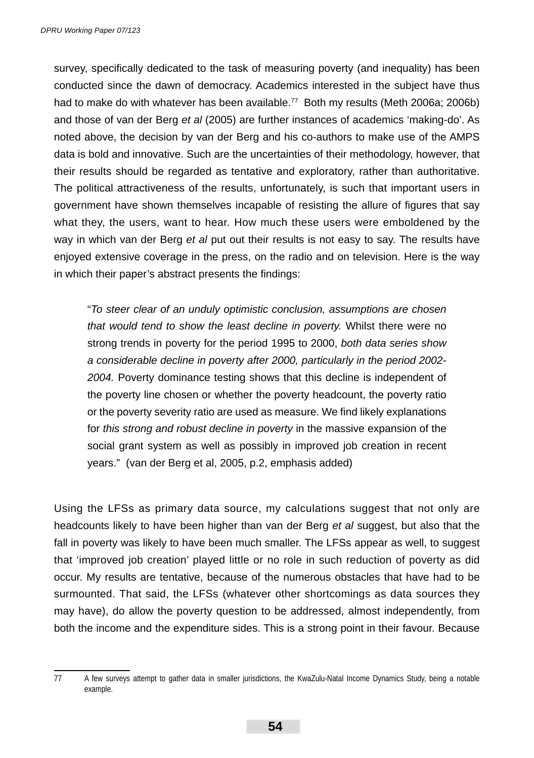survey, specifically dedicated to the task of measuring poverty (and inequality) has been conducted since the dawn of democracy. Academics interested in the subject have thus had to make do with whatever has been available.<sup>77</sup> Both my results (Meth 2006a; 2006b) and those of van der Berg *et al* (2005) are further instances of academics 'making-do'. As noted above, the decision by van der Berg and his co-authors to make use of the AMPS data is bold and innovative. Such are the uncertainties of their methodology, however, that their results should be regarded as tentative and exploratory, rather than authoritative. The political attractiveness of the results, unfortunately, is such that important users in government have shown themselves incapable of resisting the allure of figures that say what they, the users, want to hear. How much these users were emboldened by the way in which van der Berg *et al* put out their results is not easy to say. The results have enjoyed extensive coverage in the press, on the radio and on television. Here is the way in which their paper's abstract presents the findings:

"*To steer clear of an unduly optimistic conclusion, assumptions are chosen that would tend to show the least decline in poverty.* Whilst there were no strong trends in poverty for the period 1995 to 2000, *both data series show a considerable decline in poverty after 2000, particularly in the period 2002- 2004.* Poverty dominance testing shows that this decline is independent of the poverty line chosen or whether the poverty headcount, the poverty ratio or the poverty severity ratio are used as measure. We find likely explanations for *this strong and robust decline in poverty* in the massive expansion of the social grant system as well as possibly in improved job creation in recent years." (van der Berg et al, 2005, p.2, emphasis added)

Using the LFSs as primary data source, my calculations suggest that not only are headcounts likely to have been higher than van der Berg *et al* suggest, but also that the fall in poverty was likely to have been much smaller. The LFSs appear as well, to suggest that 'improved job creation' played little or no role in such reduction of poverty as did occur. My results are tentative, because of the numerous obstacles that have had to be surmounted. That said, the LFSs (whatever other shortcomings as data sources they may have), do allow the poverty question to be addressed, almost independently, from both the income and the expenditure sides. This is a strong point in their favour. Because

<sup>77</sup> A few surveys attempt to gather data in smaller jurisdictions, the KwaZulu-Natal Income Dynamics Study, being a notable example.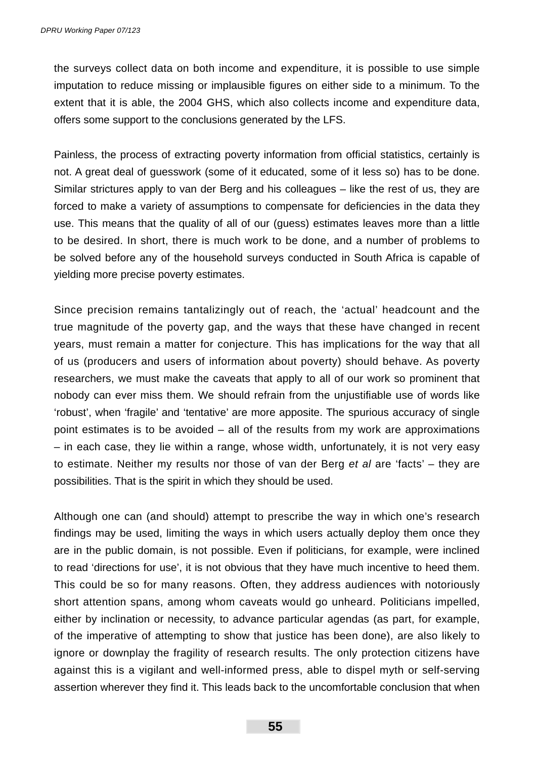the surveys collect data on both income and expenditure, it is possible to use simple imputation to reduce missing or implausible figures on either side to a minimum. To the extent that it is able, the 2004 GHS, which also collects income and expenditure data, offers some support to the conclusions generated by the LFS.

Painless, the process of extracting poverty information from official statistics, certainly is not. A great deal of guesswork (some of it educated, some of it less so) has to be done. Similar strictures apply to van der Berg and his colleagues – like the rest of us, they are forced to make a variety of assumptions to compensate for deficiencies in the data they use. This means that the quality of all of our (guess) estimates leaves more than a little to be desired. In short, there is much work to be done, and a number of problems to be solved before any of the household surveys conducted in South Africa is capable of yielding more precise poverty estimates.

Since precision remains tantalizingly out of reach, the 'actual' headcount and the true magnitude of the poverty gap, and the ways that these have changed in recent years, must remain a matter for conjecture. This has implications for the way that all of us (producers and users of information about poverty) should behave. As poverty researchers, we must make the caveats that apply to all of our work so prominent that nobody can ever miss them. We should refrain from the unjustifiable use of words like 'robust', when 'fragile' and 'tentative' are more apposite. The spurious accuracy of single point estimates is to be avoided – all of the results from my work are approximations – in each case, they lie within a range, whose width, unfortunately, it is not very easy to estimate. Neither my results nor those of van der Berg *et al* are 'facts' – they are possibilities. That is the spirit in which they should be used.

Although one can (and should) attempt to prescribe the way in which one's research findings may be used, limiting the ways in which users actually deploy them once they are in the public domain, is not possible. Even if politicians, for example, were inclined to read 'directions for use', it is not obvious that they have much incentive to heed them. This could be so for many reasons. Often, they address audiences with notoriously short attention spans, among whom caveats would go unheard. Politicians impelled, either by inclination or necessity, to advance particular agendas (as part, for example, of the imperative of attempting to show that justice has been done), are also likely to ignore or downplay the fragility of research results. The only protection citizens have against this is a vigilant and well-informed press, able to dispel myth or self-serving assertion wherever they find it. This leads back to the uncomfortable conclusion that when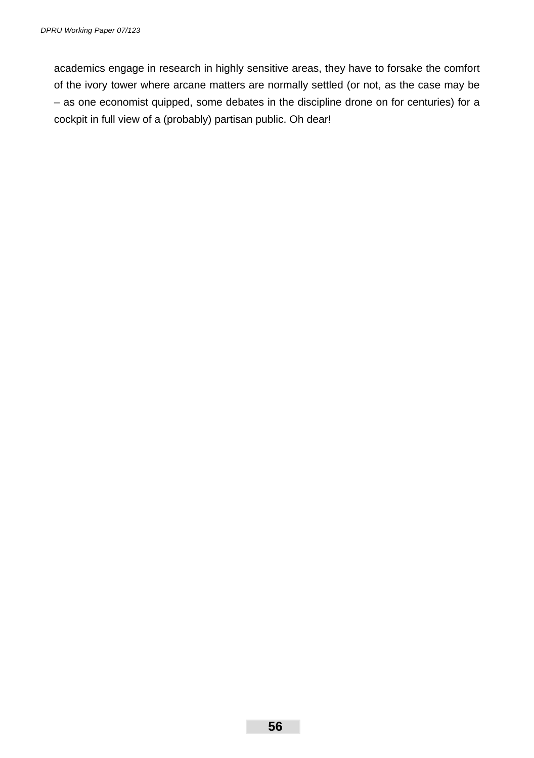academics engage in research in highly sensitive areas, they have to forsake the comfort of the ivory tower where arcane matters are normally settled (or not, as the case may be – as one economist quipped, some debates in the discipline drone on for centuries) for a cockpit in full view of a (probably) partisan public. Oh dear!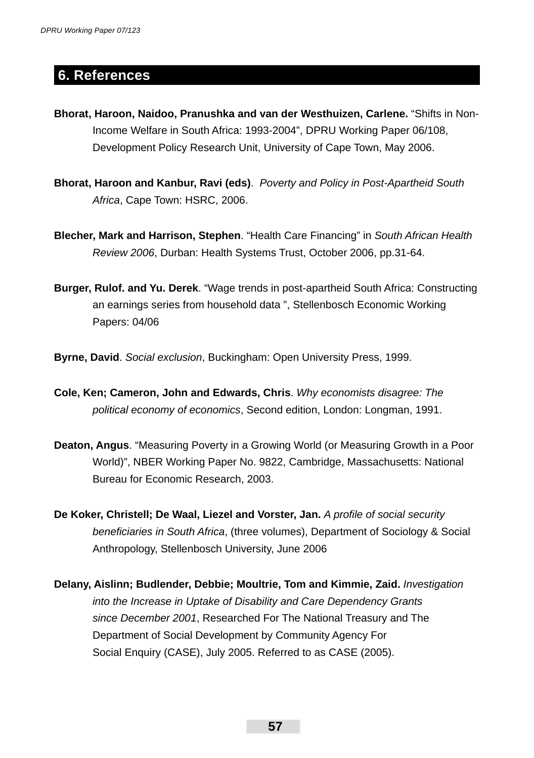## **6. References**

- **Bhorat, Haroon, Naidoo, Pranushka and van der Westhuizen, Carlene.** "Shifts in Non- Income Welfare in South Africa: 1993-2004", DPRU Working Paper 06/108, Development Policy Research Unit, University of Cape Town, May 2006.
- **Bhorat, Haroon and Kanbur, Ravi (eds)**. *Poverty and Policy in Post-Apartheid South Africa*, Cape Town: HSRC, 2006.
- **Blecher, Mark and Harrison, Stephen**. "Health Care Financing" in *South African Health Review 2006*, Durban: Health Systems Trust, October 2006, pp.31-64.
- **Burger, Rulof. and Yu. Derek**. "Wage trends in post-apartheid South Africa: Constructing an earnings series from household data ", Stellenbosch Economic Working Papers: 04/06
- **Byrne, David**. *Social exclusion*, Buckingham: Open University Press, 1999.
- **Cole, Ken; Cameron, John and Edwards, Chris**. *Why economists disagree: The political economy of economics*, Second edition, London: Longman, 1991.
- **Deaton, Angus**. "Measuring Poverty in a Growing World (or Measuring Growth in a Poor World)", NBER Working Paper No. 9822, Cambridge, Massachusetts: National Bureau for Economic Research, 2003.
- De Koker, Christell; De Waal, Liezel and Vorster, Jan. A profile of social security  *benefi ciaries in South Africa*, (three volumes), Department of Sociology & Social Anthropology, Stellenbosch University, June 2006
- **Delany, Aislinn; Budlender, Debbie; Moultrie, Tom and Kimmie, Zaid.** *Investigation into the Increase in Uptake of Disability and Care Dependency Grants since December 2001*, Researched For The National Treasury and The Department of Social Development by Community Agency For Social Enquiry (CASE), July 2005. Referred to as CASE (2005).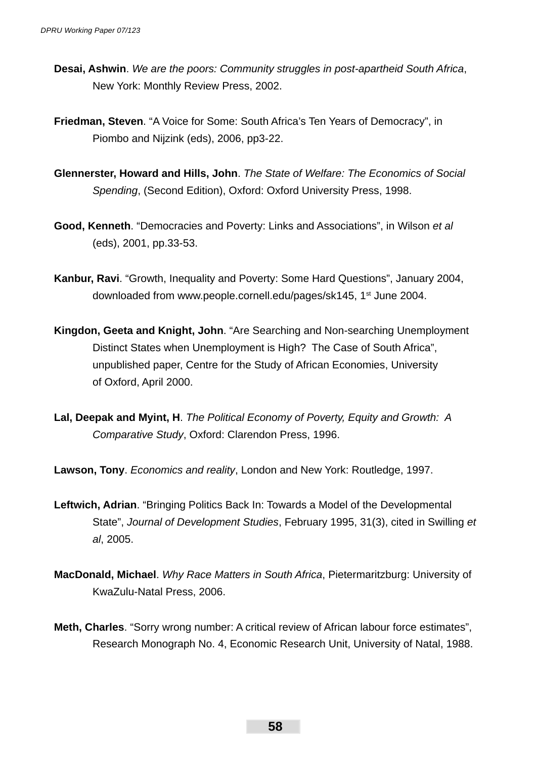- **Desai, Ashwin**. *We are the poors: Community struggles in post-apartheid South Africa*, New York: Monthly Review Press, 2002.
- **Friedman, Steven**. "A Voice for Some: South Africa's Ten Years of Democracy", in Piombo and Nijzink (eds), 2006, pp3-22.
- **Glennerster, Howard and Hills, John**. *The State of Welfare: The Economics of Social Spending*, (Second Edition), Oxford: Oxford University Press, 1998.
- **Good, Kenneth**. "Democracies and Poverty: Links and Associations", in Wilson *et al* (eds), 2001, pp.33-53.
- **Kanbur, Ravi**. "Growth, Inequality and Poverty: Some Hard Questions", January 2004, downloaded from www.people.cornell.edu/pages/sk145, 1<sup>st</sup> June 2004.
- **Kingdon, Geeta and Knight, John**. "Are Searching and Non-searching Unemployment Distinct States when Unemployment is High? The Case of South Africa", unpublished paper, Centre for the Study of African Economies, University of Oxford, April 2000.
- **Lal, Deepak and Myint, H**. *The Political Economy of Poverty, Equity and Growth: A Comparative Study*, Oxford: Clarendon Press, 1996.
- **Lawson, Tony**. *Economics and reality*, London and New York: Routledge, 1997.
- **Leftwich, Adrian**. "Bringing Politics Back In: Towards a Model of the Developmental State", *Journal of Development Studies*, February 1995, 31(3), cited in Swilling *et al*, 2005.
- **MacDonald, Michael**. *Why Race Matters in South Africa*, Pietermaritzburg: University of KwaZulu-Natal Press, 2006.
- **Meth, Charles**. "Sorry wrong number: A critical review of African labour force estimates", Research Monograph No. 4, Economic Research Unit, University of Natal, 1988.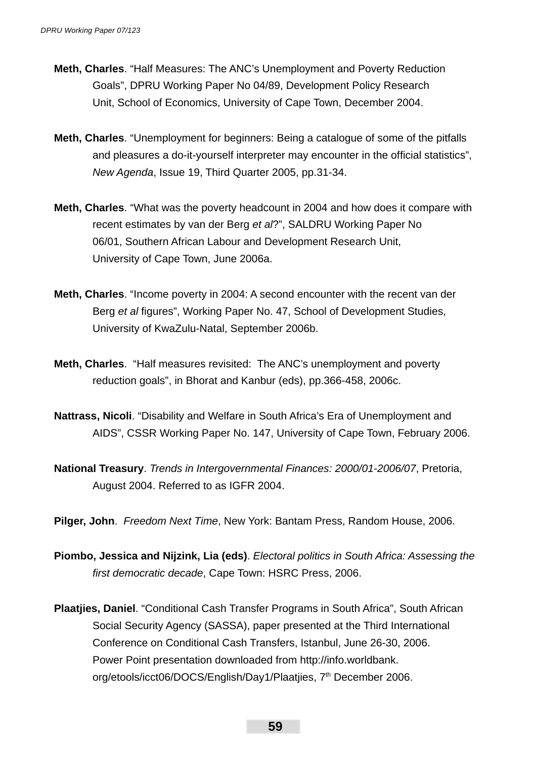- **Meth, Charles**. "Half Measures: The ANC's Unemployment and Poverty Reduction Goals", DPRU Working Paper No 04/89, Development Policy Research Unit, School of Economics, University of Cape Town, December 2004.
- **Meth, Charles**. "Unemployment for beginners: Being a catalogue of some of the pitfalls and pleasures a do-it-yourself interpreter may encounter in the official statistics", *New Agenda*, Issue 19, Third Quarter 2005, pp.31-34.
- **Meth, Charles**. "What was the poverty headcount in 2004 and how does it compare with recent estimates by van der Berg *et al*?", SALDRU Working Paper No 06/01, Southern African Labour and Development Research Unit, University of Cape Town, June 2006a.
- **Meth, Charles**. "Income poverty in 2004: A second encounter with the recent van der Berg *et al* figures", Working Paper No. 47, School of Development Studies, University of KwaZulu-Natal, September 2006b.
- **Meth, Charles**. "Half measures revisited: The ANC's unemployment and poverty reduction goals", in Bhorat and Kanbur (eds), pp.366-458, 2006c.
- **Nattrass, Nicoli**. "Disability and Welfare in South Africa's Era of Unemployment and AIDS", CSSR Working Paper No. 147, University of Cape Town, February 2006.
- **National Treasury**. *Trends in Intergovernmental Finances: 2000/01-2006/07*, Pretoria, August 2004. Referred to as IGFR 2004.
- **Pilger, John**. *Freedom Next Time*, New York: Bantam Press, Random House, 2006.
- **Piombo, Jessica and Nijzink, Lia (eds)**. *Electoral politics in South Africa: Assessing the fi rst democratic decade*, Cape Town: HSRC Press, 2006.
- **Plaatjies, Daniel**. "Conditional Cash Transfer Programs in South Africa", South African Social Security Agency (SASSA), paper presented at the Third International Conference on Conditional Cash Transfers, Istanbul, June 26-30, 2006. Power Point presentation downloaded from http://info.worldbank. org/etools/icct06/DOCS/English/Day1/Plaatjies, 7<sup>th</sup> December 2006.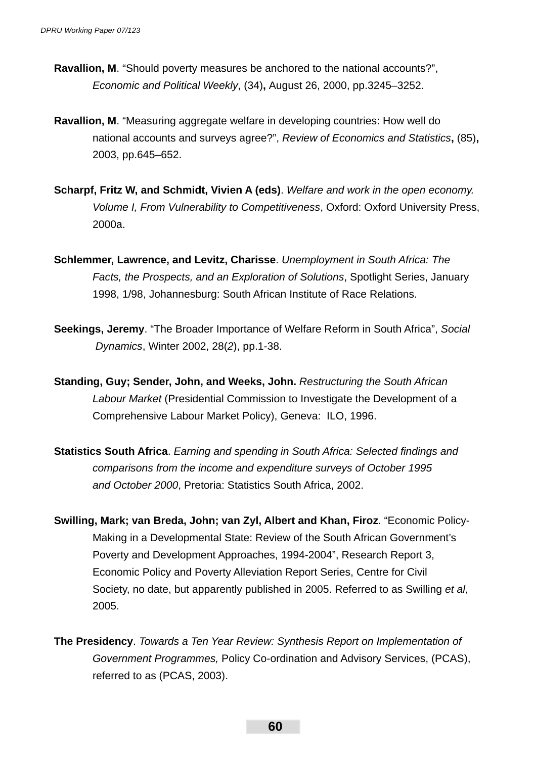- **Ravallion, M**. "Should poverty measures be anchored to the national accounts?", *Economic and Political Weekly*, (34)**,** August 26, 2000, pp.3245–3252.
- **Ravallion, M**. "Measuring aggregate welfare in developing countries: How well do national accounts and surveys agree?", *Review of Economics and Statistics***,** (85)**,** 2003, pp.645–652.
- **Scharpf, Fritz W, and Schmidt, Vivien A (eds)**. *Welfare and work in the open economy. Volume I, From Vulnerability to Competitiveness*, Oxford: Oxford University Press, 2000a.
- **Schlemmer, Lawrence, and Levitz, Charisse**. *Unemployment in South Africa: The Facts, the Prospects, and an Exploration of Solutions*, Spotlight Series, January 1998, 1/98, Johannesburg: South African Institute of Race Relations.
- **Seekings, Jeremy**. "The Broader Importance of Welfare Reform in South Africa", *Social Dynamics*, Winter 2002, 28(*2*), pp.1-38.
- **Standing, Guy; Sender, John, and Weeks, John.** *Restructuring the South African Labour Market* (Presidential Commission to Investigate the Development of a Comprehensive Labour Market Policy), Geneva: ILO, 1996.
- **Statistics South Africa.** *Earning and spending in South Africa: Selected findings and comparisons from the income and expenditure surveys of October 1995 and October 2000*, Pretoria: Statistics South Africa, 2002.
- **Swilling, Mark; van Breda, John; van Zyl, Albert and Khan, Firoz**. "Economic Policy- Making in a Developmental State: Review of the South African Government's Poverty and Development Approaches, 1994-2004", Research Report 3, Economic Policy and Poverty Alleviation Report Series, Centre for Civil Society, no date, but apparently published in 2005. Referred to as Swilling *et al*, 2005.
- **The Presidency**. *Towards a Ten Year Review: Synthesis Report on Implementation of Government Programmes,* Policy Co-ordination and Advisory Services, (PCAS), referred to as (PCAS, 2003).